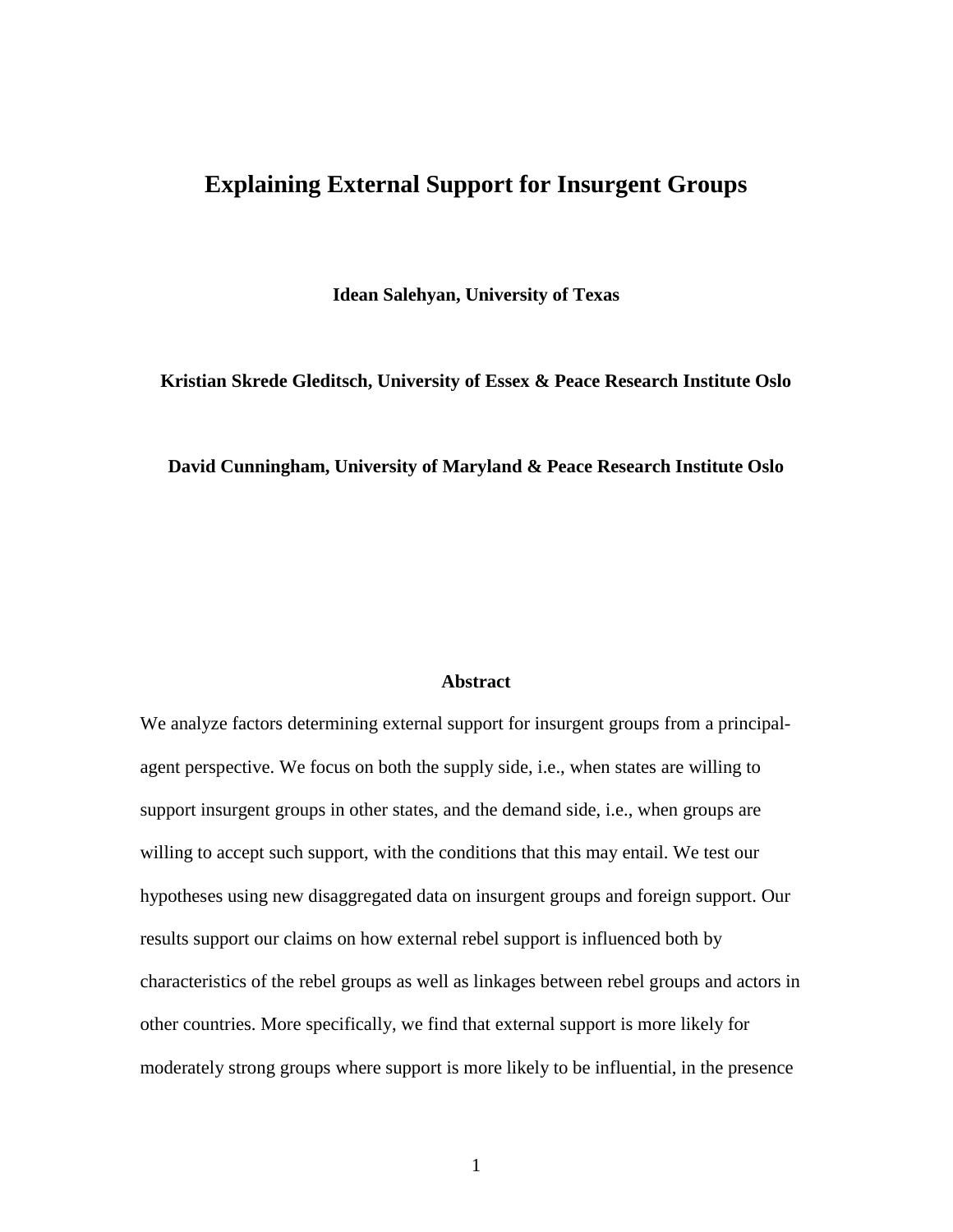# **Explaining External Support for Insurgent Groups**

**Idean Salehyan, University of Texas**

**Kristian Skrede Gleditsch, University of Essex & Peace Research Institute Oslo**

#### **David Cunningham, University of Maryland & Peace Research Institute Oslo**

### **Abstract**

We analyze factors determining external support for insurgent groups from a principalagent perspective. We focus on both the supply side, i.e., when states are willing to support insurgent groups in other states, and the demand side, i.e., when groups are willing to accept such support, with the conditions that this may entail. We test our hypotheses using new disaggregated data on insurgent groups and foreign support. Our results support our claims on how external rebel support is influenced both by characteristics of the rebel groups as well as linkages between rebel groups and actors in other countries. More specifically, we find that external support is more likely for moderately strong groups where support is more likely to be influential, in the presence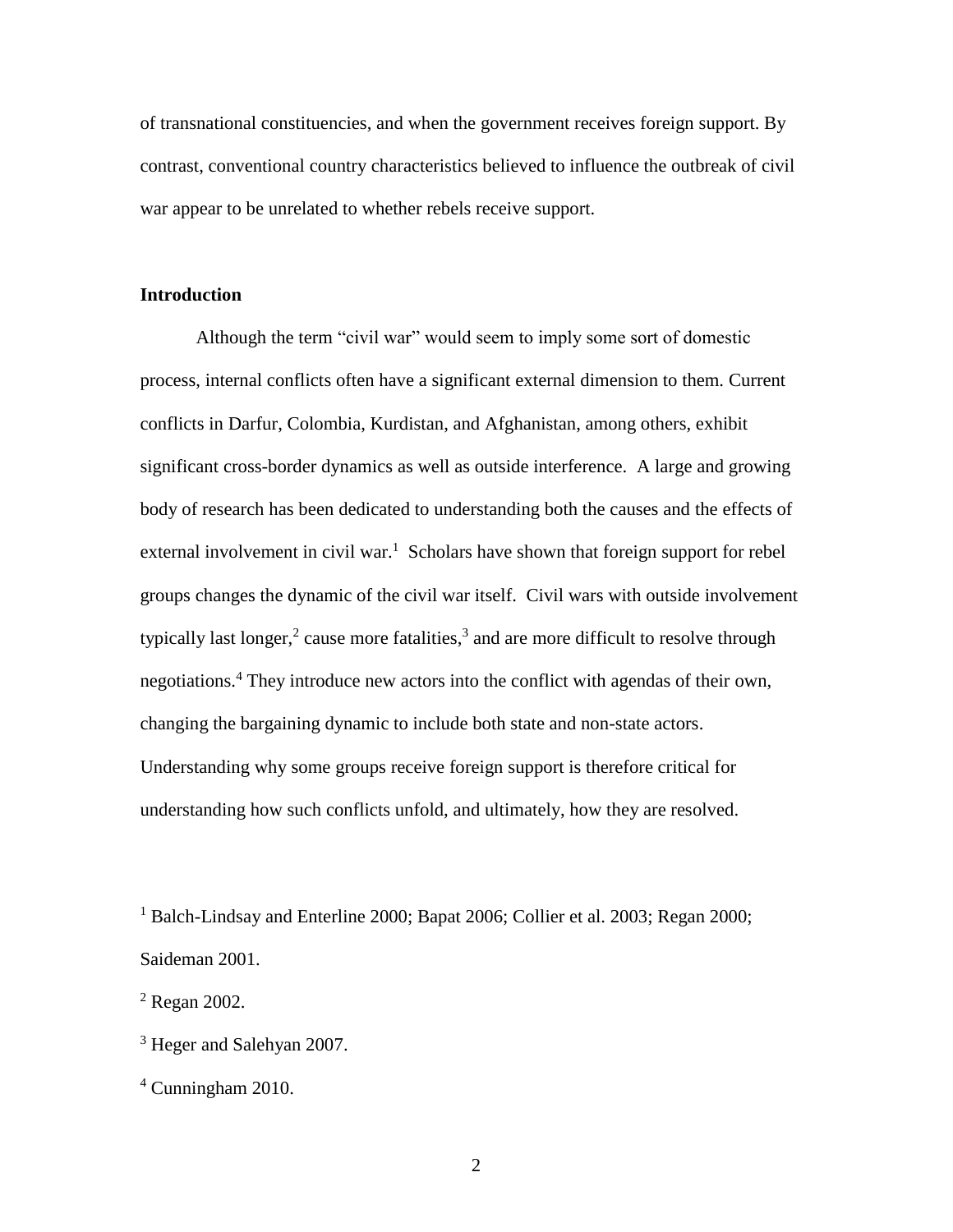of transnational constituencies, and when the government receives foreign support. By contrast, conventional country characteristics believed to influence the outbreak of civil war appear to be unrelated to whether rebels receive support.

## **Introduction**

Although the term "civil war" would seem to imply some sort of domestic process, internal conflicts often have a significant external dimension to them. Current conflicts in Darfur, Colombia, Kurdistan, and Afghanistan, among others, exhibit significant cross-border dynamics as well as outside interference. A large and growing body of research has been dedicated to understanding both the causes and the effects of external involvement in civil war.<sup>1</sup> Scholars have shown that foreign support for rebel groups changes the dynamic of the civil war itself. Civil wars with outside involvement typically last longer,<sup>2</sup> cause more fatalities,<sup>3</sup> and are more difficult to resolve through negotiations.<sup>4</sup> They introduce new actors into the conflict with agendas of their own, changing the bargaining dynamic to include both state and non-state actors. Understanding why some groups receive foreign support is therefore critical for understanding how such conflicts unfold, and ultimately, how they are resolved.

<sup>1</sup> Balch-Lindsay and Enterline 2000; Bapat 2006; Collier et al. 2003; Regan 2000; Saideman 2001.

 $2$  Regan 2002.

<sup>3</sup> Heger and Salehyan 2007.

 $4$  Cunningham 2010.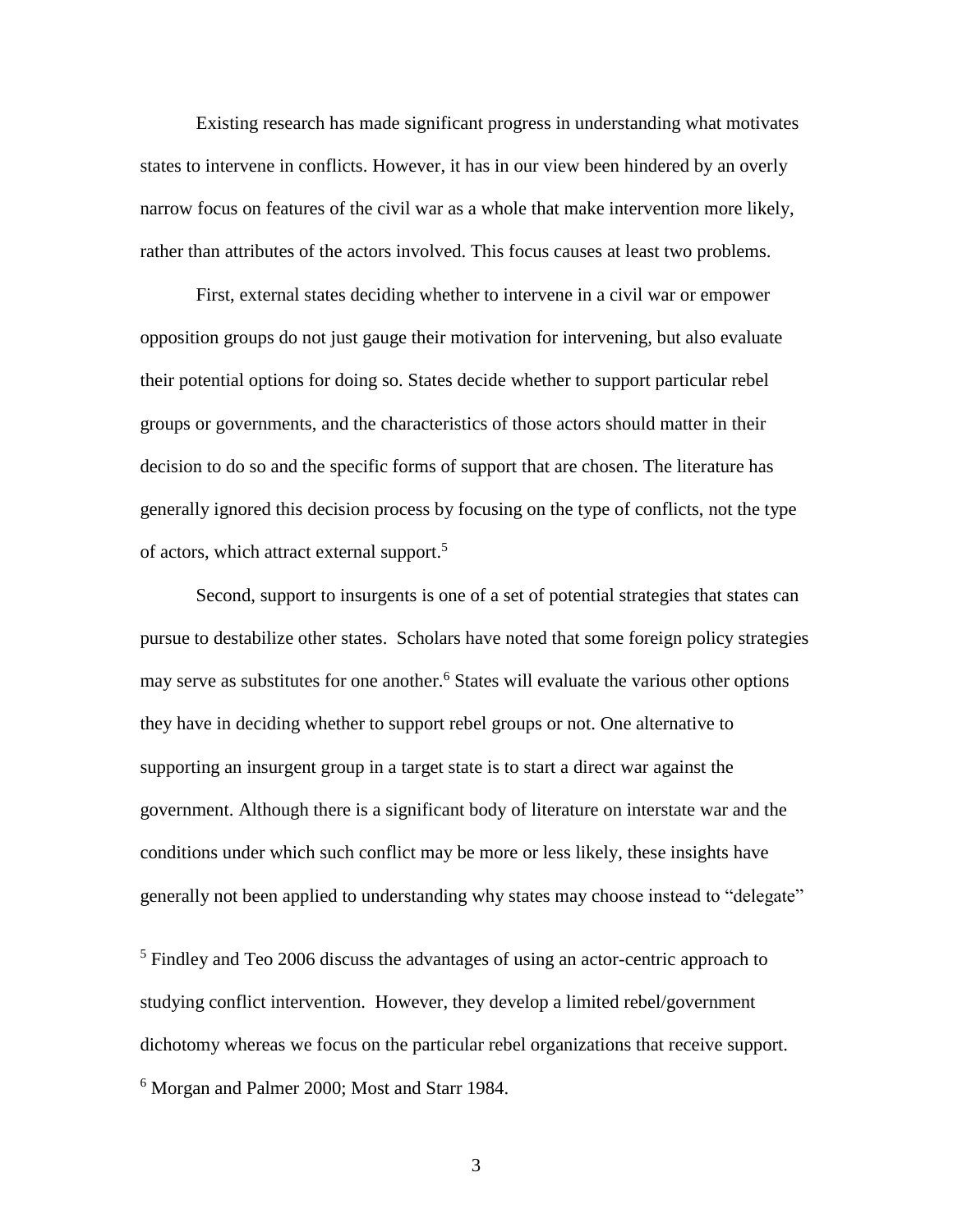Existing research has made significant progress in understanding what motivates states to intervene in conflicts. However, it has in our view been hindered by an overly narrow focus on features of the civil war as a whole that make intervention more likely, rather than attributes of the actors involved. This focus causes at least two problems.

First, external states deciding whether to intervene in a civil war or empower opposition groups do not just gauge their motivation for intervening, but also evaluate their potential options for doing so. States decide whether to support particular rebel groups or governments, and the characteristics of those actors should matter in their decision to do so and the specific forms of support that are chosen. The literature has generally ignored this decision process by focusing on the type of conflicts, not the type of actors, which attract external support.<sup>5</sup>

Second, support to insurgents is one of a set of potential strategies that states can pursue to destabilize other states. Scholars have noted that some foreign policy strategies may serve as substitutes for one another.<sup>6</sup> States will evaluate the various other options they have in deciding whether to support rebel groups or not. One alternative to supporting an insurgent group in a target state is to start a direct war against the government. Although there is a significant body of literature on interstate war and the conditions under which such conflict may be more or less likely, these insights have generally not been applied to understanding why states may choose instead to "delegate"

<sup>5</sup> Findley and Teo 2006 discuss the advantages of using an actor-centric approach to studying conflict intervention. However, they develop a limited rebel/government dichotomy whereas we focus on the particular rebel organizations that receive support. <sup>6</sup> Morgan and Palmer 2000; Most and Starr 1984.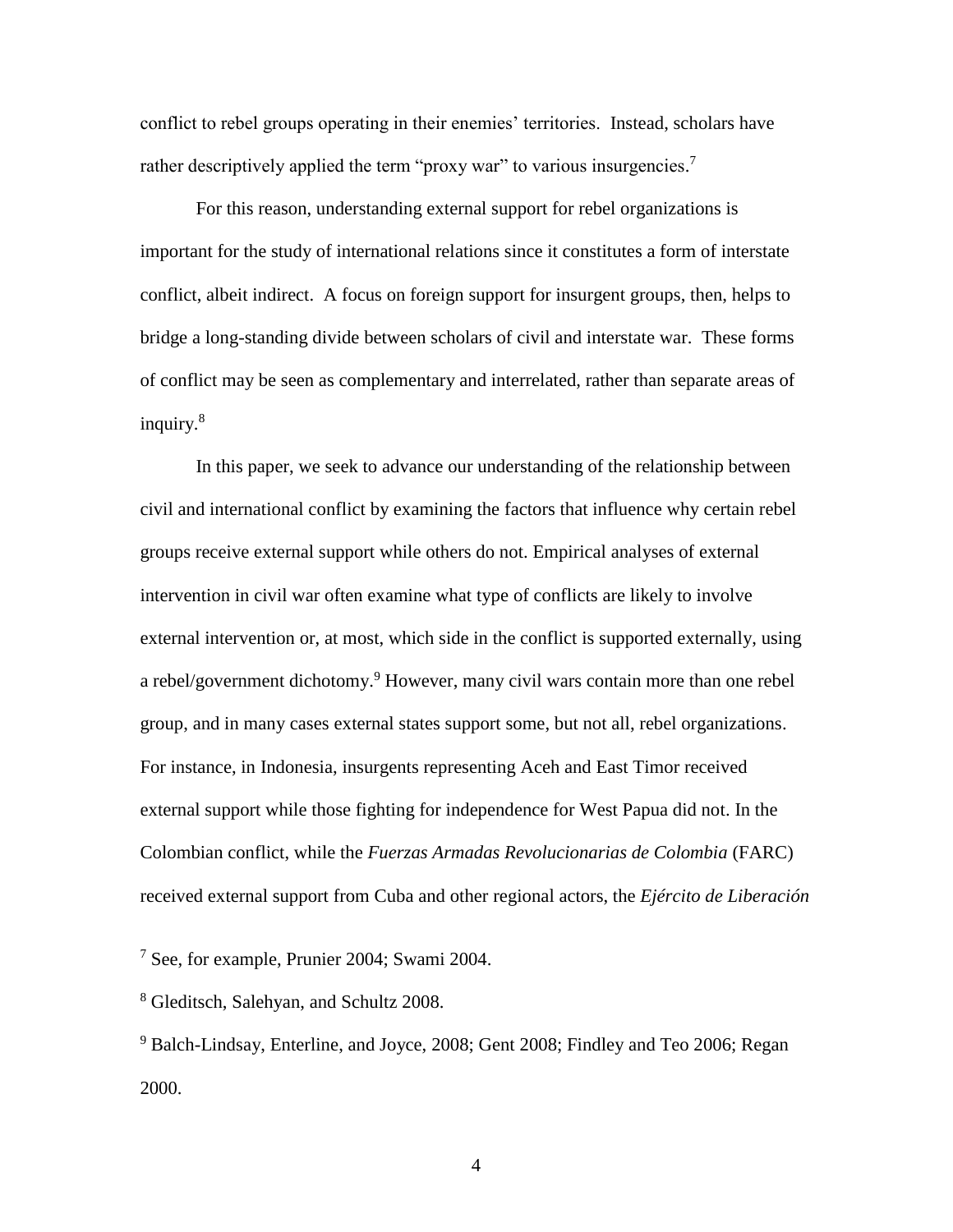conflict to rebel groups operating in their enemies' territories. Instead, scholars have rather descriptively applied the term "proxy war" to various insurgencies.<sup>7</sup>

For this reason, understanding external support for rebel organizations is important for the study of international relations since it constitutes a form of interstate conflict, albeit indirect. A focus on foreign support for insurgent groups, then, helps to bridge a long-standing divide between scholars of civil and interstate war. These forms of conflict may be seen as complementary and interrelated, rather than separate areas of inquiry.<sup>8</sup>

In this paper, we seek to advance our understanding of the relationship between civil and international conflict by examining the factors that influence why certain rebel groups receive external support while others do not. Empirical analyses of external intervention in civil war often examine what type of conflicts are likely to involve external intervention or, at most, which side in the conflict is supported externally, using a rebel/government dichotomy.<sup>9</sup> However, many civil wars contain more than one rebel group, and in many cases external states support some, but not all, rebel organizations. For instance, in Indonesia, insurgents representing Aceh and East Timor received external support while those fighting for independence for West Papua did not. In the Colombian conflict, while the *Fuerzas Armadas Revolucionarias de Colombia* (FARC) received external support from Cuba and other regional actors, the *Ejército de Liberación* 

 $7$  See, for example, Prunier 2004; Swami 2004.

<sup>8</sup> Gleditsch, Salehyan, and Schultz 2008.

<sup>9</sup> Balch-Lindsay, Enterline, and Joyce, 2008; Gent 2008; Findley and Teo 2006; Regan 2000.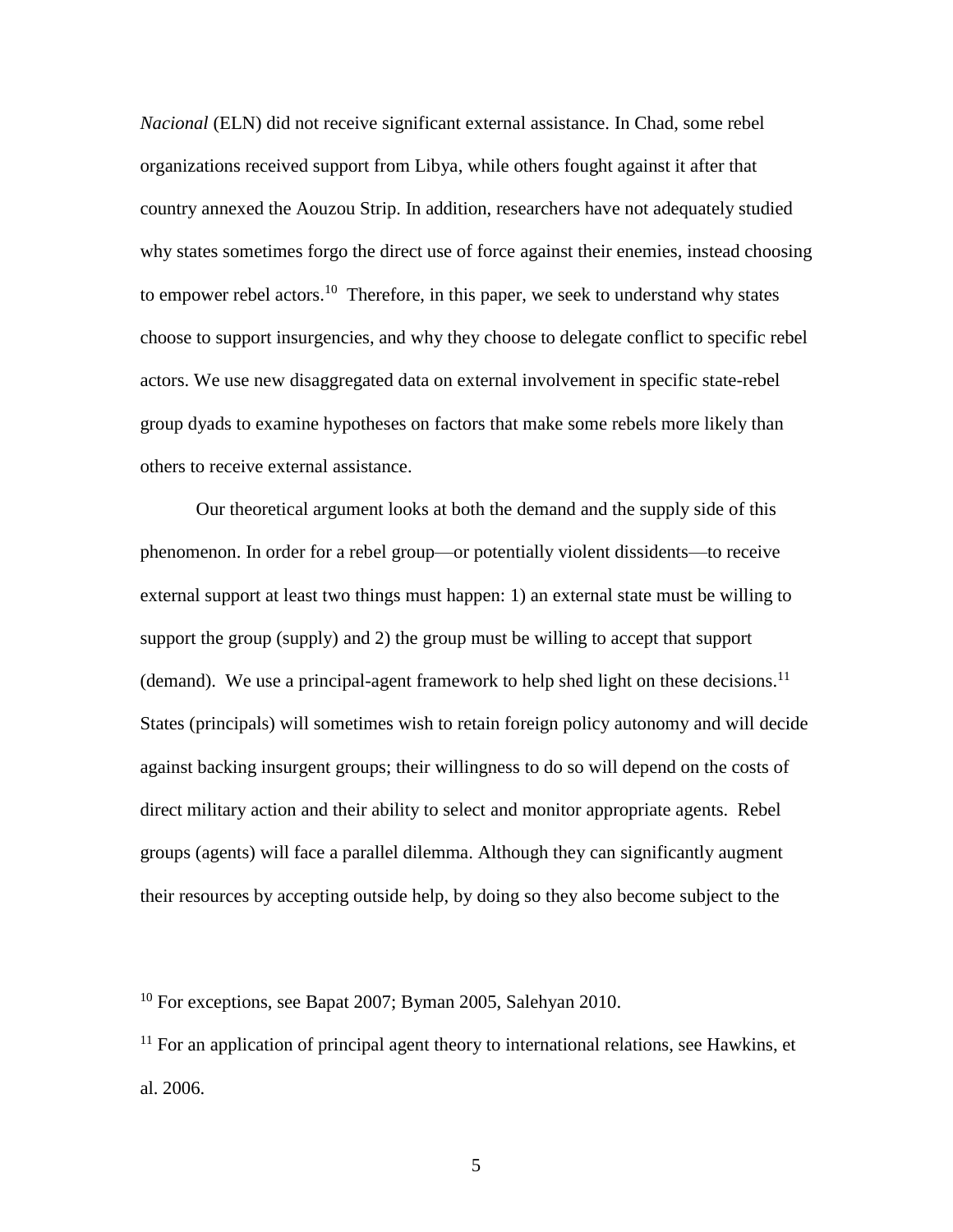*Nacional* (ELN) did not receive significant external assistance. In Chad, some rebel organizations received support from Libya, while others fought against it after that country annexed the Aouzou Strip. In addition, researchers have not adequately studied why states sometimes forgo the direct use of force against their enemies, instead choosing to empower rebel actors.<sup>10</sup> Therefore, in this paper, we seek to understand why states choose to support insurgencies, and why they choose to delegate conflict to specific rebel actors. We use new disaggregated data on external involvement in specific state-rebel group dyads to examine hypotheses on factors that make some rebels more likely than others to receive external assistance.

Our theoretical argument looks at both the demand and the supply side of this phenomenon. In order for a rebel group—or potentially violent dissidents—to receive external support at least two things must happen: 1) an external state must be willing to support the group (supply) and 2) the group must be willing to accept that support (demand). We use a principal-agent framework to help shed light on these decisions.<sup>11</sup> States (principals) will sometimes wish to retain foreign policy autonomy and will decide against backing insurgent groups; their willingness to do so will depend on the costs of direct military action and their ability to select and monitor appropriate agents. Rebel groups (agents) will face a parallel dilemma. Although they can significantly augment their resources by accepting outside help, by doing so they also become subject to the

 $10$  For exceptions, see Bapat 2007; Byman 2005, Salehyan 2010.

 $11$  For an application of principal agent theory to international relations, see Hawkins, et al. 2006.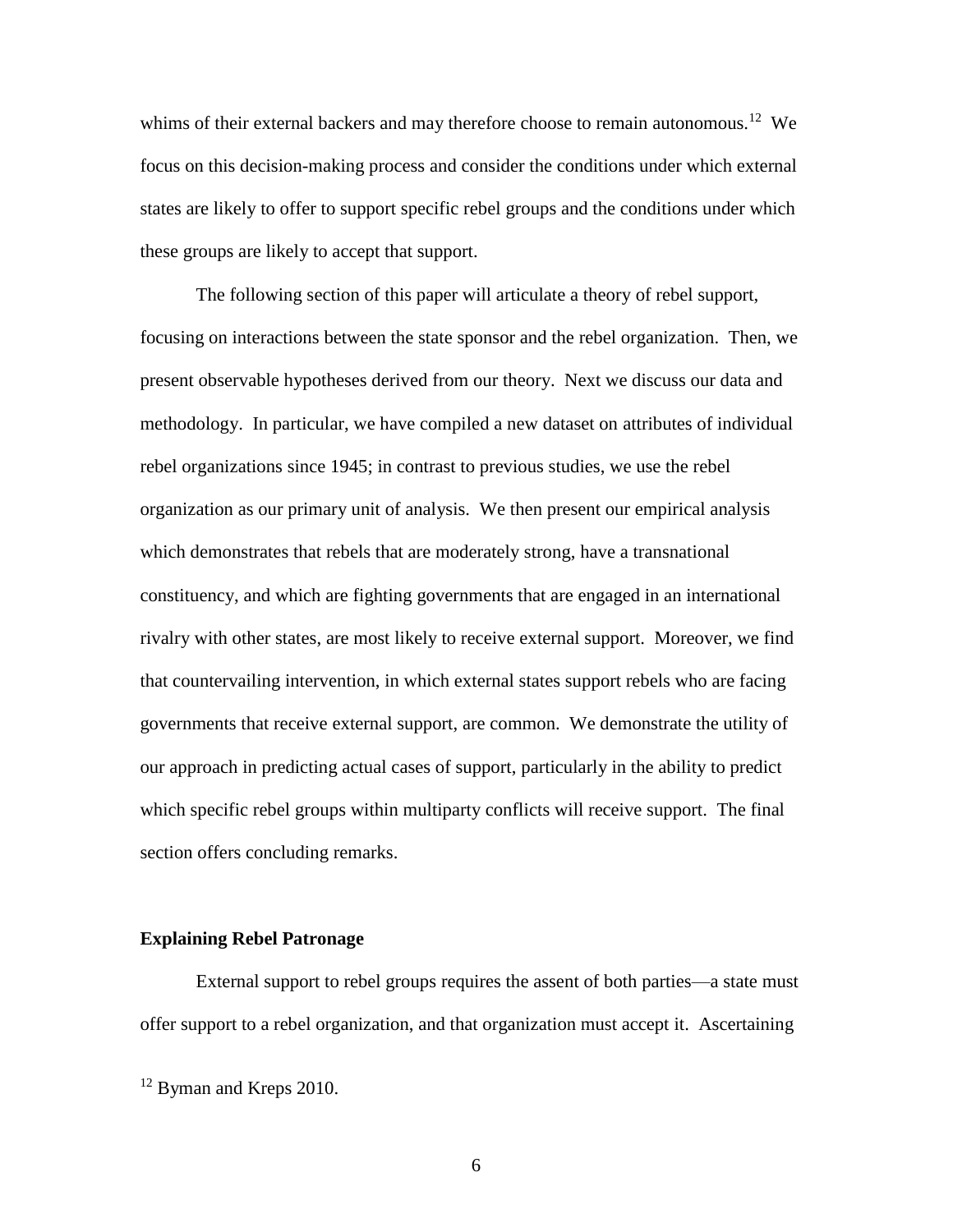whims of their external backers and may therefore choose to remain autonomous.<sup>12</sup> We focus on this decision-making process and consider the conditions under which external states are likely to offer to support specific rebel groups and the conditions under which these groups are likely to accept that support.

The following section of this paper will articulate a theory of rebel support, focusing on interactions between the state sponsor and the rebel organization. Then, we present observable hypotheses derived from our theory. Next we discuss our data and methodology. In particular, we have compiled a new dataset on attributes of individual rebel organizations since 1945; in contrast to previous studies, we use the rebel organization as our primary unit of analysis. We then present our empirical analysis which demonstrates that rebels that are moderately strong, have a transnational constituency, and which are fighting governments that are engaged in an international rivalry with other states, are most likely to receive external support. Moreover, we find that countervailing intervention, in which external states support rebels who are facing governments that receive external support, are common. We demonstrate the utility of our approach in predicting actual cases of support, particularly in the ability to predict which specific rebel groups within multiparty conflicts will receive support. The final section offers concluding remarks.

#### **Explaining Rebel Patronage**

External support to rebel groups requires the assent of both parties—a state must offer support to a rebel organization, and that organization must accept it. Ascertaining

<sup>&</sup>lt;sup>12</sup> Byman and Kreps 2010.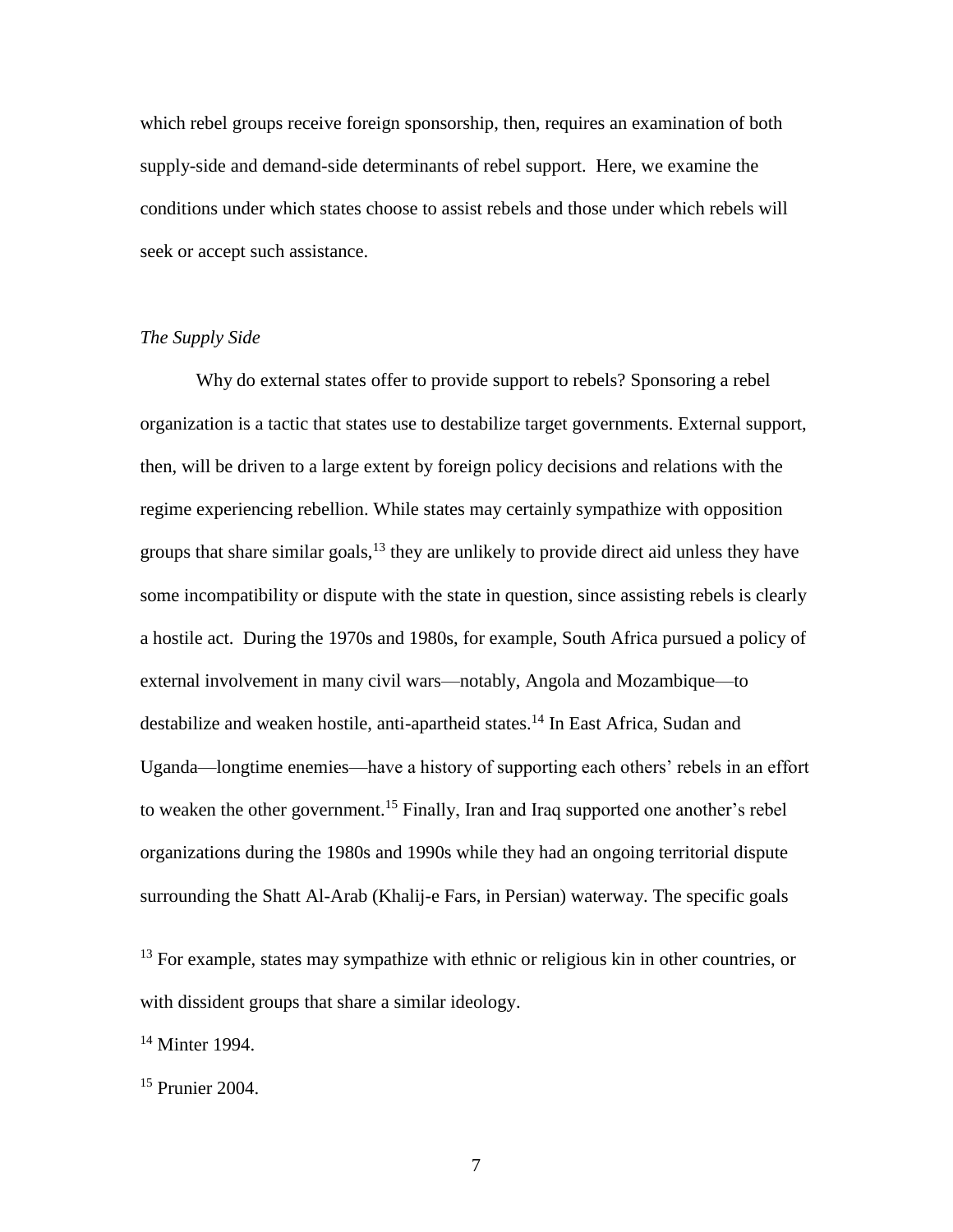which rebel groups receive foreign sponsorship, then, requires an examination of both supply-side and demand-side determinants of rebel support. Here, we examine the conditions under which states choose to assist rebels and those under which rebels will seek or accept such assistance.

## *The Supply Side*

Why do external states offer to provide support to rebels? Sponsoring a rebel organization is a tactic that states use to destabilize target governments. External support, then, will be driven to a large extent by foreign policy decisions and relations with the regime experiencing rebellion. While states may certainly sympathize with opposition groups that share similar goals,  $^{13}$  they are unlikely to provide direct aid unless they have some incompatibility or dispute with the state in question, since assisting rebels is clearly a hostile act. During the 1970s and 1980s, for example, South Africa pursued a policy of external involvement in many civil wars—notably, Angola and Mozambique—to destabilize and weaken hostile, anti-apartheid states.<sup>14</sup> In East Africa, Sudan and Uganda—longtime enemies—have a history of supporting each others' rebels in an effort to weaken the other government.<sup>15</sup> Finally, Iran and Iraq supported one another's rebel organizations during the 1980s and 1990s while they had an ongoing territorial dispute surrounding the Shatt Al-Arab (Khalij-e Fars, in Persian) waterway. The specific goals

 $13$  For example, states may sympathize with ethnic or religious kin in other countries, or with dissident groups that share a similar ideology.

<sup>14</sup> Minter 1994.

<sup>15</sup> Prunier 2004.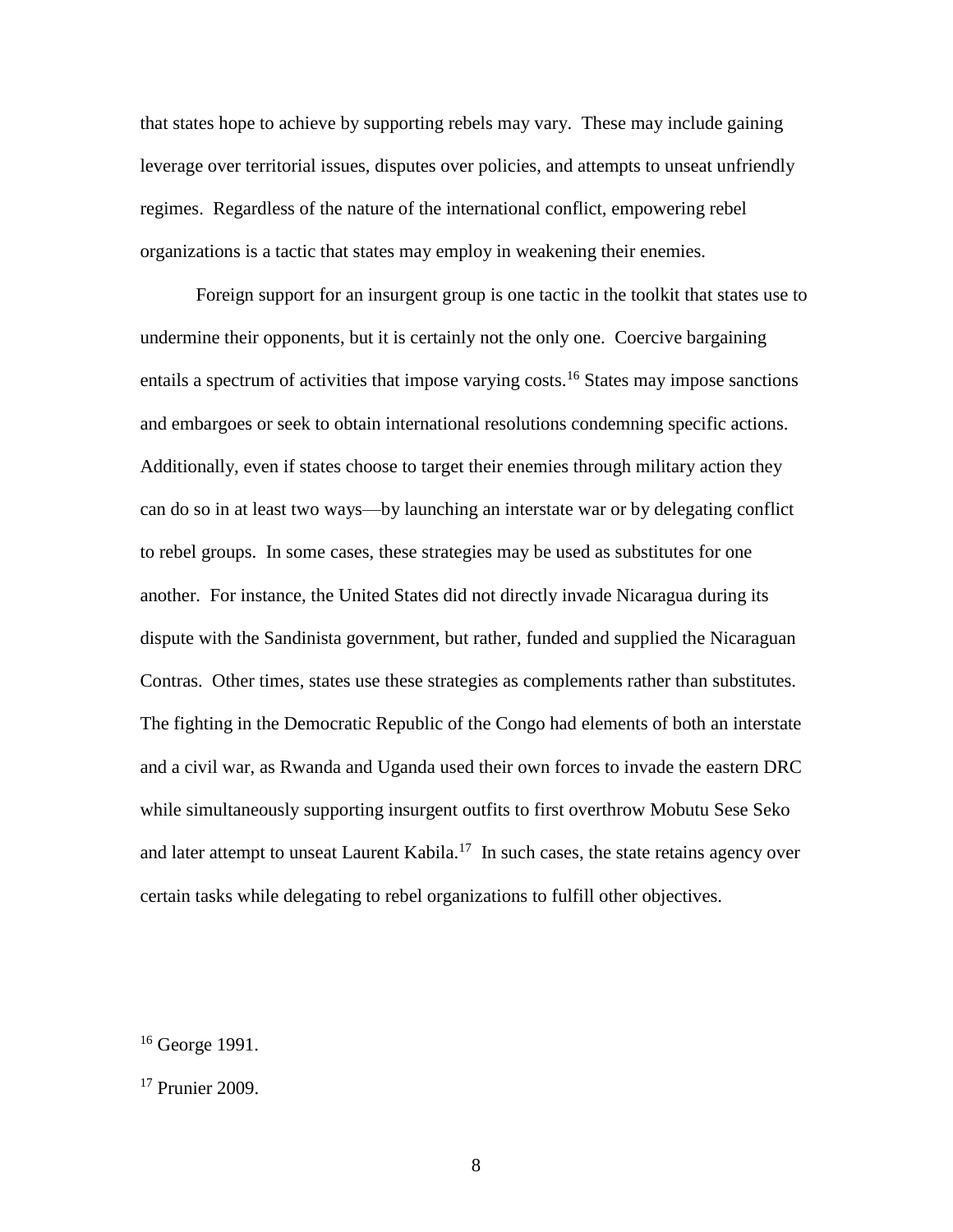that states hope to achieve by supporting rebels may vary. These may include gaining leverage over territorial issues, disputes over policies, and attempts to unseat unfriendly regimes. Regardless of the nature of the international conflict, empowering rebel organizations is a tactic that states may employ in weakening their enemies.

Foreign support for an insurgent group is one tactic in the toolkit that states use to undermine their opponents, but it is certainly not the only one. Coercive bargaining entails a spectrum of activities that impose varying costs.<sup>16</sup> States may impose sanctions and embargoes or seek to obtain international resolutions condemning specific actions. Additionally, even if states choose to target their enemies through military action they can do so in at least two ways—by launching an interstate war or by delegating conflict to rebel groups. In some cases, these strategies may be used as substitutes for one another. For instance, the United States did not directly invade Nicaragua during its dispute with the Sandinista government, but rather, funded and supplied the Nicaraguan Contras. Other times, states use these strategies as complements rather than substitutes. The fighting in the Democratic Republic of the Congo had elements of both an interstate and a civil war, as Rwanda and Uganda used their own forces to invade the eastern DRC while simultaneously supporting insurgent outfits to first overthrow Mobutu Sese Seko and later attempt to unseat Laurent Kabila.<sup>17</sup> In such cases, the state retains agency over certain tasks while delegating to rebel organizations to fulfill other objectives.

 $16$  George 1991.

<sup>17</sup> Prunier 2009.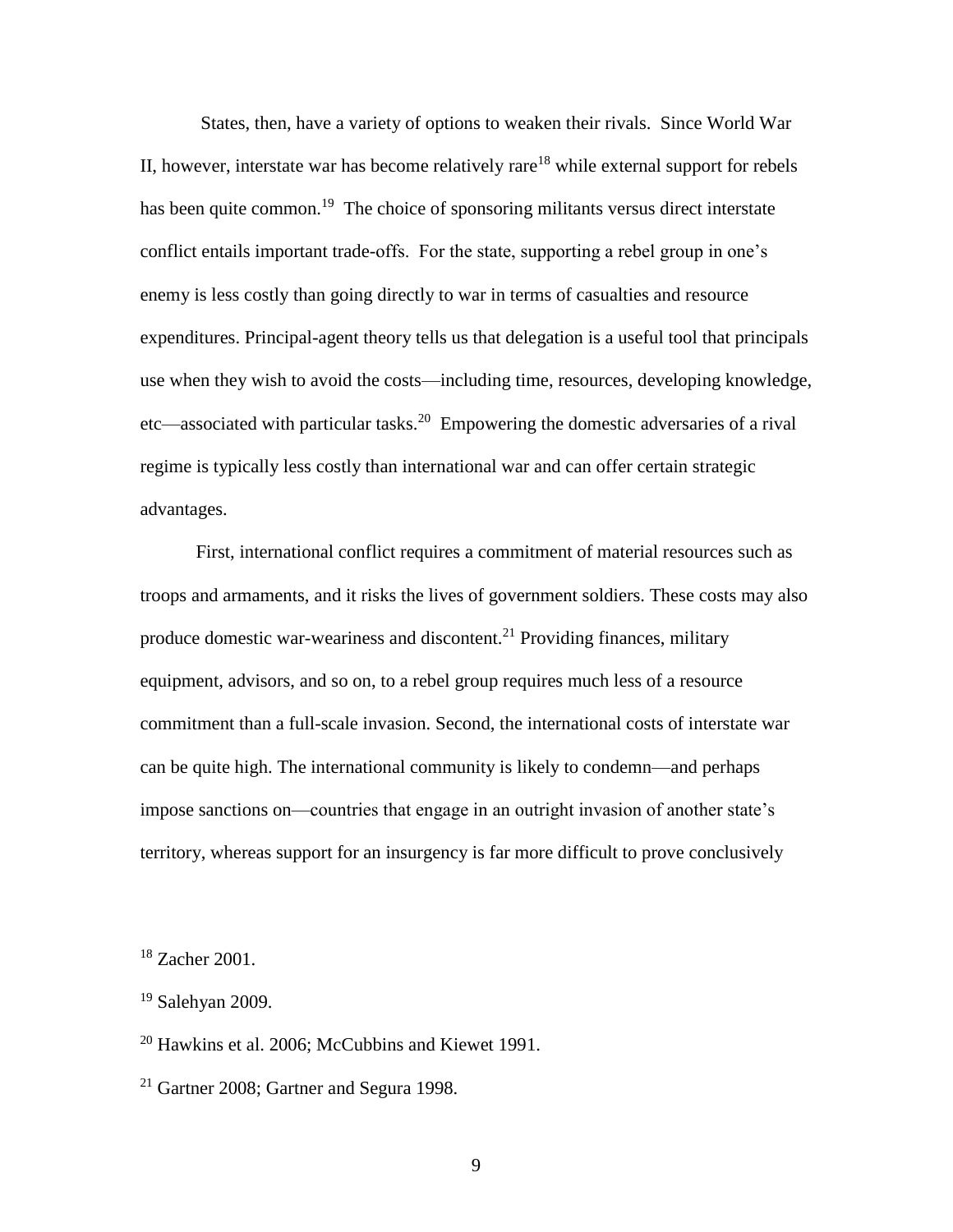States, then, have a variety of options to weaken their rivals. Since World War II, however, interstate war has become relatively rare<sup>18</sup> while external support for rebels has been quite common.<sup>19</sup> The choice of sponsoring militants versus direct interstate conflict entails important trade-offs. For the state, supporting a rebel group in one's enemy is less costly than going directly to war in terms of casualties and resource expenditures. Principal-agent theory tells us that delegation is a useful tool that principals use when they wish to avoid the costs—including time, resources, developing knowledge, etc—associated with particular tasks.<sup>20</sup> Empowering the domestic adversaries of a rival regime is typically less costly than international war and can offer certain strategic advantages.

First, international conflict requires a commitment of material resources such as troops and armaments, and it risks the lives of government soldiers. These costs may also produce domestic war-weariness and discontent. $^{21}$  Providing finances, military equipment, advisors, and so on, to a rebel group requires much less of a resource commitment than a full-scale invasion. Second, the international costs of interstate war can be quite high. The international community is likely to condemn—and perhaps impose sanctions on—countries that engage in an outright invasion of another state's territory, whereas support for an insurgency is far more difficult to prove conclusively

<sup>18</sup> Zacher 2001.

 $20$  Hawkins et al. 2006; McCubbins and Kiewet 1991.

<sup>21</sup> Gartner 2008; Gartner and Segura 1998.

 $19$  Salehyan 2009.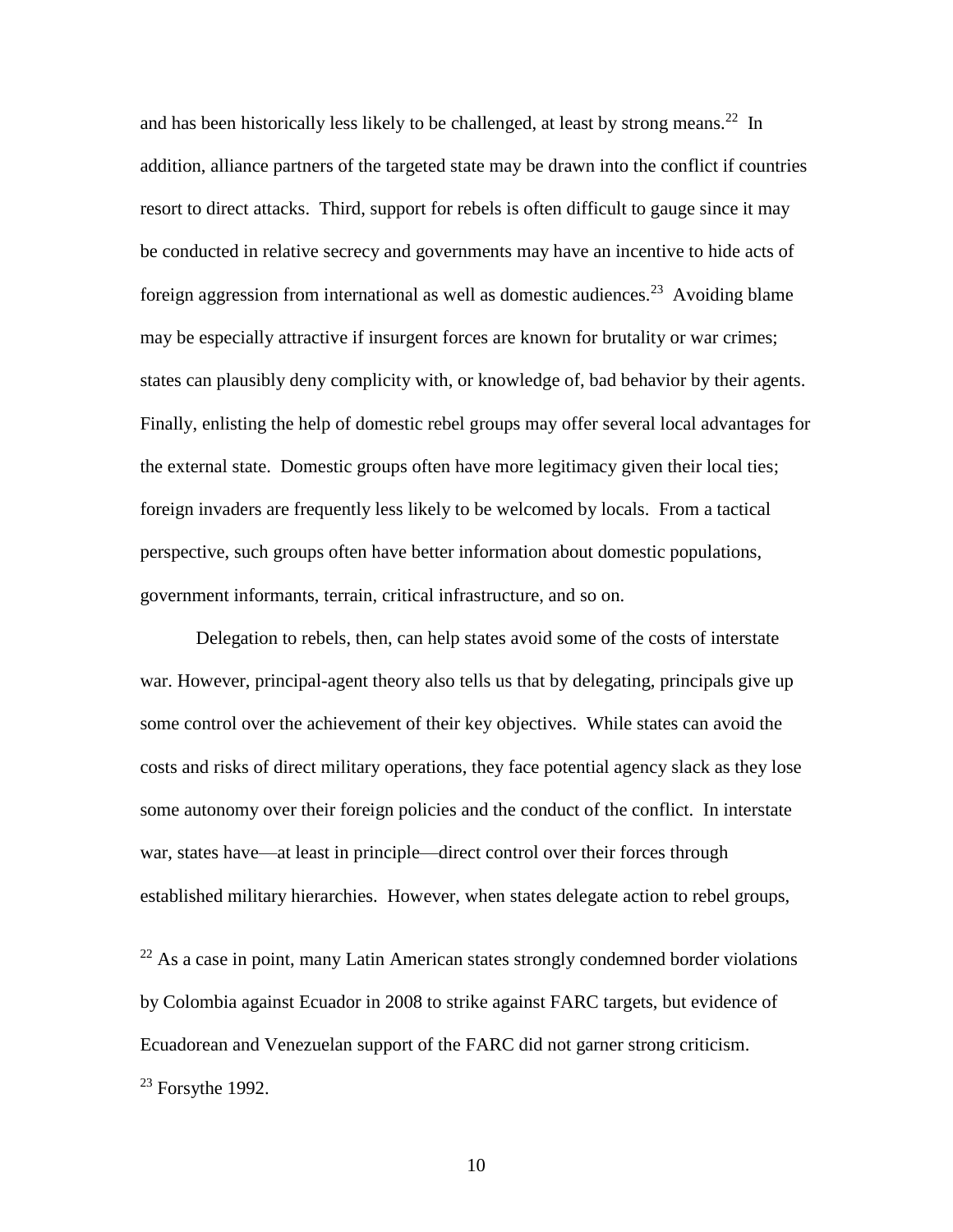and has been historically less likely to be challenged, at least by strong means.<sup>22</sup> In addition, alliance partners of the targeted state may be drawn into the conflict if countries resort to direct attacks. Third, support for rebels is often difficult to gauge since it may be conducted in relative secrecy and governments may have an incentive to hide acts of foreign aggression from international as well as domestic audiences.<sup>23</sup> Avoiding blame may be especially attractive if insurgent forces are known for brutality or war crimes; states can plausibly deny complicity with, or knowledge of, bad behavior by their agents. Finally, enlisting the help of domestic rebel groups may offer several local advantages for the external state. Domestic groups often have more legitimacy given their local ties; foreign invaders are frequently less likely to be welcomed by locals. From a tactical perspective, such groups often have better information about domestic populations, government informants, terrain, critical infrastructure, and so on.

Delegation to rebels, then, can help states avoid some of the costs of interstate war. However, principal-agent theory also tells us that by delegating, principals give up some control over the achievement of their key objectives. While states can avoid the costs and risks of direct military operations, they face potential agency slack as they lose some autonomy over their foreign policies and the conduct of the conflict. In interstate war, states have—at least in principle—direct control over their forces through established military hierarchies. However, when states delegate action to rebel groups,

 $22$  As a case in point, many Latin American states strongly condemned border violations by Colombia against Ecuador in 2008 to strike against FARC targets, but evidence of Ecuadorean and Venezuelan support of the FARC did not garner strong criticism.  $23$  Forsythe 1992.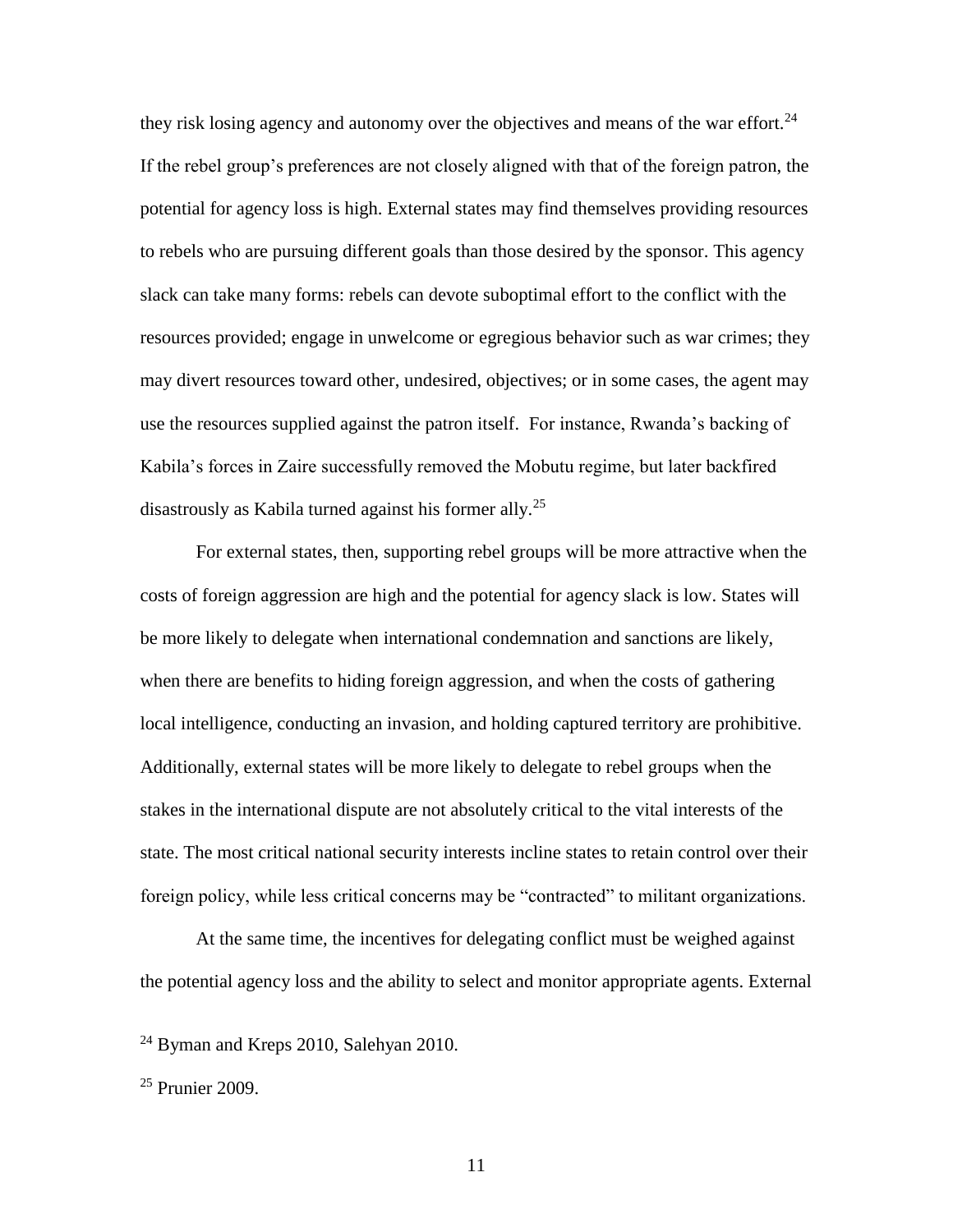they risk losing agency and autonomy over the objectives and means of the war effort.<sup>24</sup> If the rebel group's preferences are not closely aligned with that of the foreign patron, the potential for agency loss is high. External states may find themselves providing resources to rebels who are pursuing different goals than those desired by the sponsor. This agency slack can take many forms: rebels can devote suboptimal effort to the conflict with the resources provided; engage in unwelcome or egregious behavior such as war crimes; they may divert resources toward other, undesired, objectives; or in some cases, the agent may use the resources supplied against the patron itself. For instance, Rwanda's backing of Kabila's forces in Zaire successfully removed the Mobutu regime, but later backfired disastrously as Kabila turned against his former ally.<sup>25</sup>

For external states, then, supporting rebel groups will be more attractive when the costs of foreign aggression are high and the potential for agency slack is low. States will be more likely to delegate when international condemnation and sanctions are likely, when there are benefits to hiding foreign aggression, and when the costs of gathering local intelligence, conducting an invasion, and holding captured territory are prohibitive. Additionally, external states will be more likely to delegate to rebel groups when the stakes in the international dispute are not absolutely critical to the vital interests of the state. The most critical national security interests incline states to retain control over their foreign policy, while less critical concerns may be "contracted" to militant organizations.

At the same time, the incentives for delegating conflict must be weighed against the potential agency loss and the ability to select and monitor appropriate agents. External

 $24$  Byman and Kreps 2010, Salehyan 2010.

<sup>25</sup> Prunier 2009.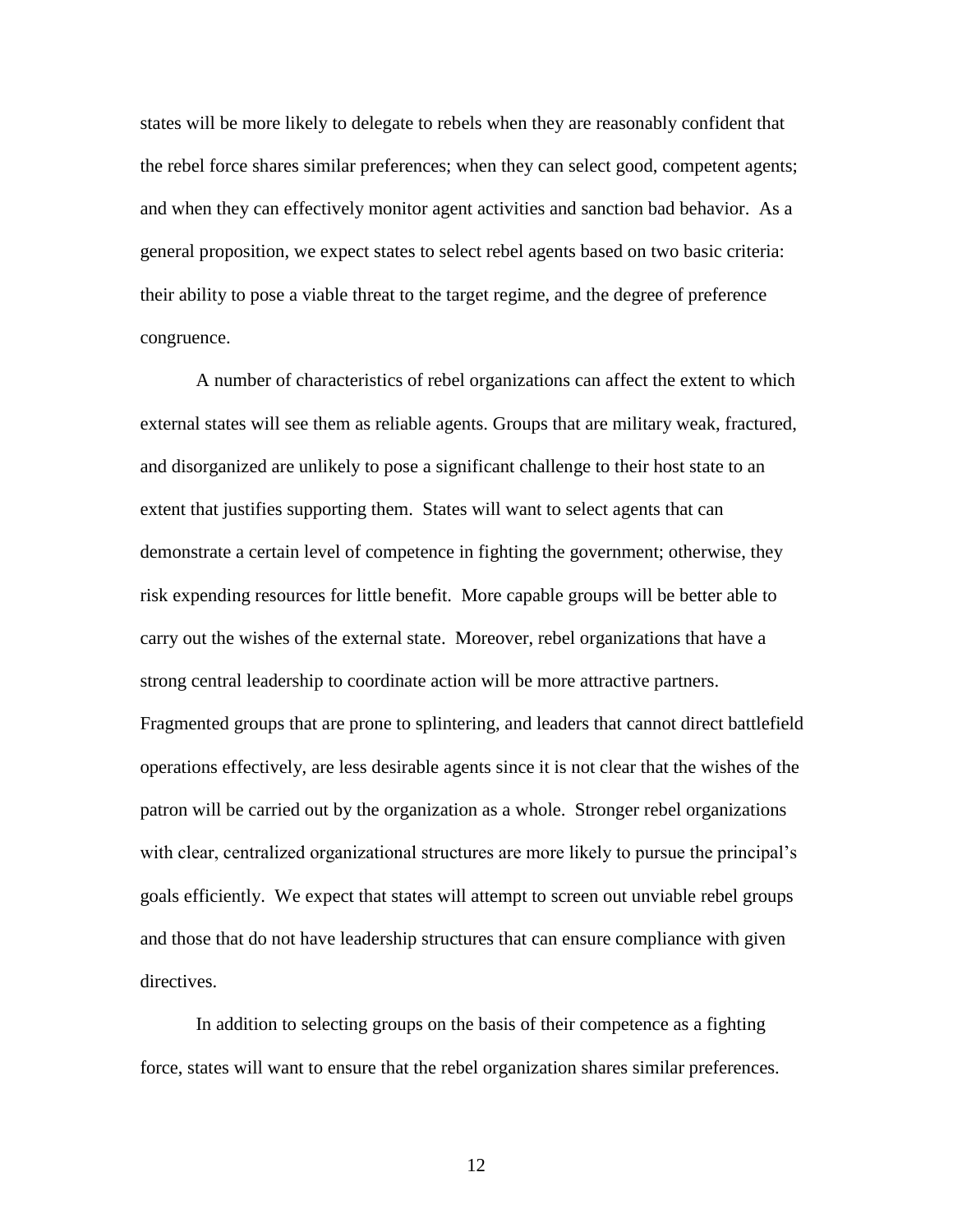states will be more likely to delegate to rebels when they are reasonably confident that the rebel force shares similar preferences; when they can select good, competent agents; and when they can effectively monitor agent activities and sanction bad behavior. As a general proposition, we expect states to select rebel agents based on two basic criteria: their ability to pose a viable threat to the target regime, and the degree of preference congruence.

A number of characteristics of rebel organizations can affect the extent to which external states will see them as reliable agents. Groups that are military weak, fractured, and disorganized are unlikely to pose a significant challenge to their host state to an extent that justifies supporting them. States will want to select agents that can demonstrate a certain level of competence in fighting the government; otherwise, they risk expending resources for little benefit. More capable groups will be better able to carry out the wishes of the external state. Moreover, rebel organizations that have a strong central leadership to coordinate action will be more attractive partners. Fragmented groups that are prone to splintering, and leaders that cannot direct battlefield operations effectively, are less desirable agents since it is not clear that the wishes of the patron will be carried out by the organization as a whole. Stronger rebel organizations with clear, centralized organizational structures are more likely to pursue the principal's goals efficiently. We expect that states will attempt to screen out unviable rebel groups and those that do not have leadership structures that can ensure compliance with given directives.

In addition to selecting groups on the basis of their competence as a fighting force, states will want to ensure that the rebel organization shares similar preferences.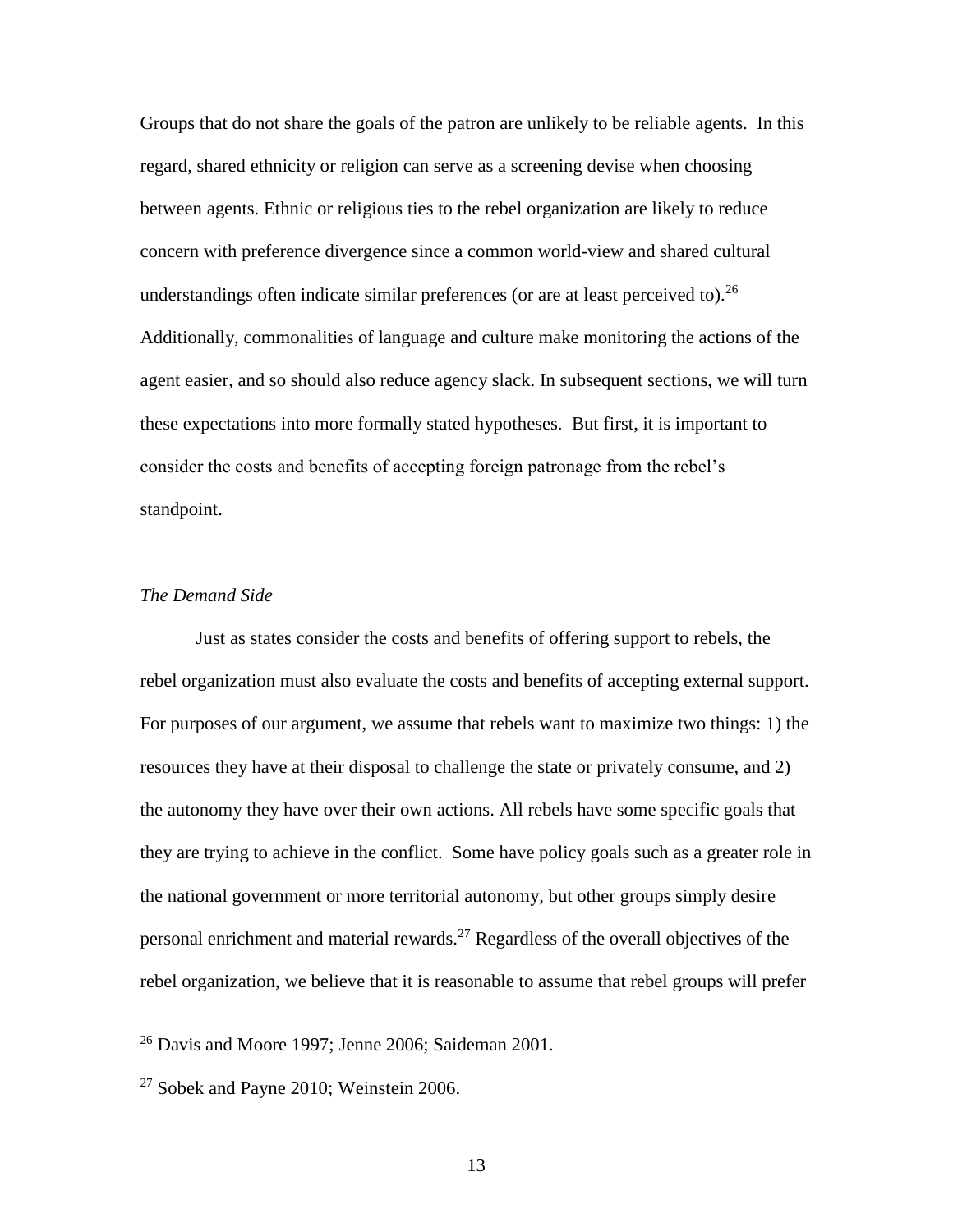Groups that do not share the goals of the patron are unlikely to be reliable agents. In this regard, shared ethnicity or religion can serve as a screening devise when choosing between agents. Ethnic or religious ties to the rebel organization are likely to reduce concern with preference divergence since a common world-view and shared cultural understandings often indicate similar preferences (or are at least perceived to).  $^{26}$ Additionally, commonalities of language and culture make monitoring the actions of the agent easier, and so should also reduce agency slack. In subsequent sections, we will turn these expectations into more formally stated hypotheses. But first, it is important to consider the costs and benefits of accepting foreign patronage from the rebel's standpoint.

## *The Demand Side*

Just as states consider the costs and benefits of offering support to rebels, the rebel organization must also evaluate the costs and benefits of accepting external support. For purposes of our argument, we assume that rebels want to maximize two things: 1) the resources they have at their disposal to challenge the state or privately consume, and 2) the autonomy they have over their own actions. All rebels have some specific goals that they are trying to achieve in the conflict. Some have policy goals such as a greater role in the national government or more territorial autonomy, but other groups simply desire personal enrichment and material rewards.<sup>27</sup> Regardless of the overall objectives of the rebel organization, we believe that it is reasonable to assume that rebel groups will prefer

 $26$  Davis and Moore 1997; Jenne 2006; Saideman 2001.

 $27$  Sobek and Payne 2010; Weinstein 2006.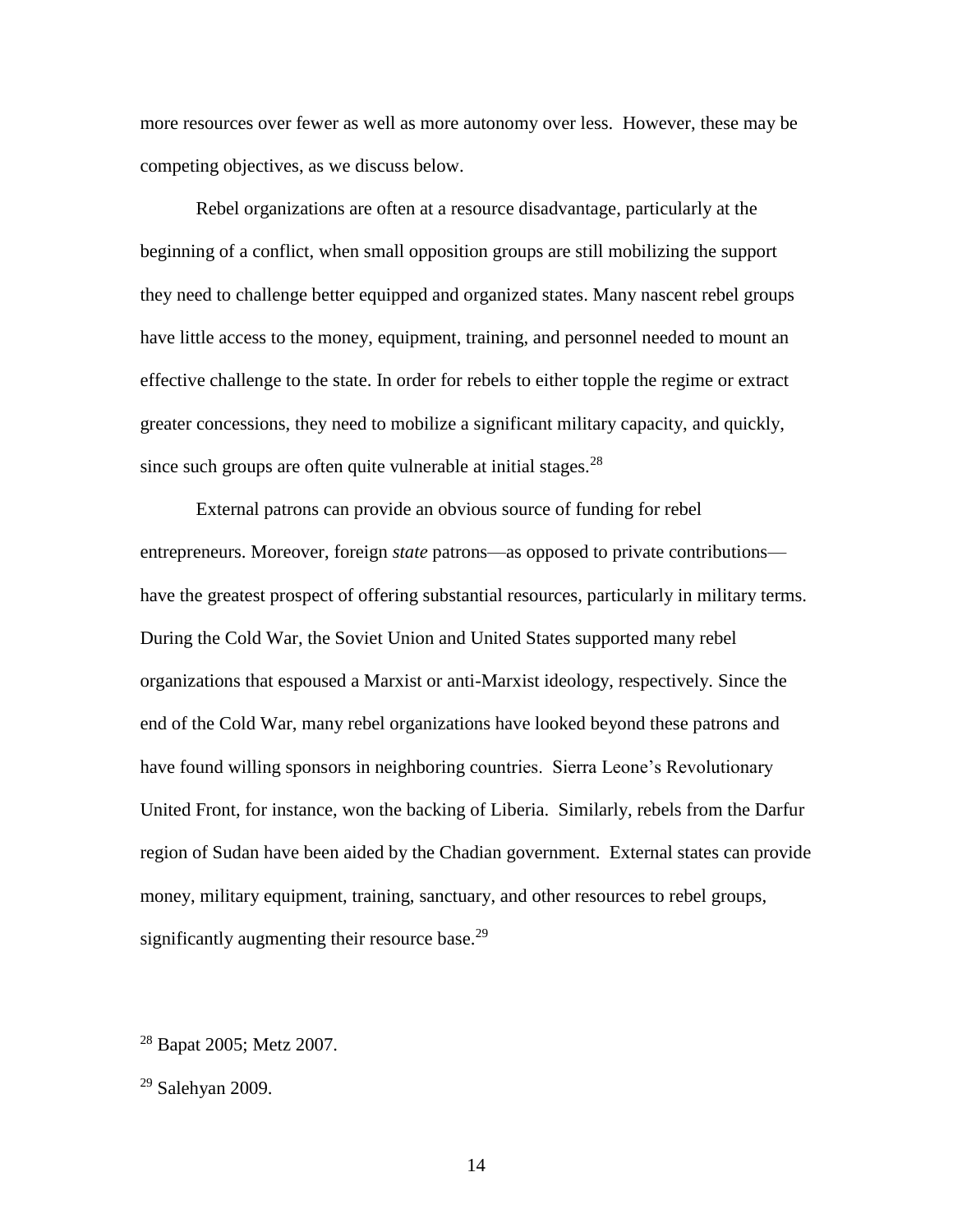more resources over fewer as well as more autonomy over less. However, these may be competing objectives, as we discuss below.

Rebel organizations are often at a resource disadvantage, particularly at the beginning of a conflict, when small opposition groups are still mobilizing the support they need to challenge better equipped and organized states. Many nascent rebel groups have little access to the money, equipment, training, and personnel needed to mount an effective challenge to the state. In order for rebels to either topple the regime or extract greater concessions, they need to mobilize a significant military capacity, and quickly, since such groups are often quite vulnerable at initial stages. $28$ 

External patrons can provide an obvious source of funding for rebel entrepreneurs. Moreover, foreign *state* patrons—as opposed to private contributions have the greatest prospect of offering substantial resources, particularly in military terms. During the Cold War, the Soviet Union and United States supported many rebel organizations that espoused a Marxist or anti-Marxist ideology, respectively. Since the end of the Cold War, many rebel organizations have looked beyond these patrons and have found willing sponsors in neighboring countries. Sierra Leone's Revolutionary United Front, for instance, won the backing of Liberia. Similarly, rebels from the Darfur region of Sudan have been aided by the Chadian government. External states can provide money, military equipment, training, sanctuary, and other resources to rebel groups, significantly augmenting their resource base. $29$ 

<sup>28</sup> Bapat 2005; Metz 2007.

 $29$  Salehyan 2009.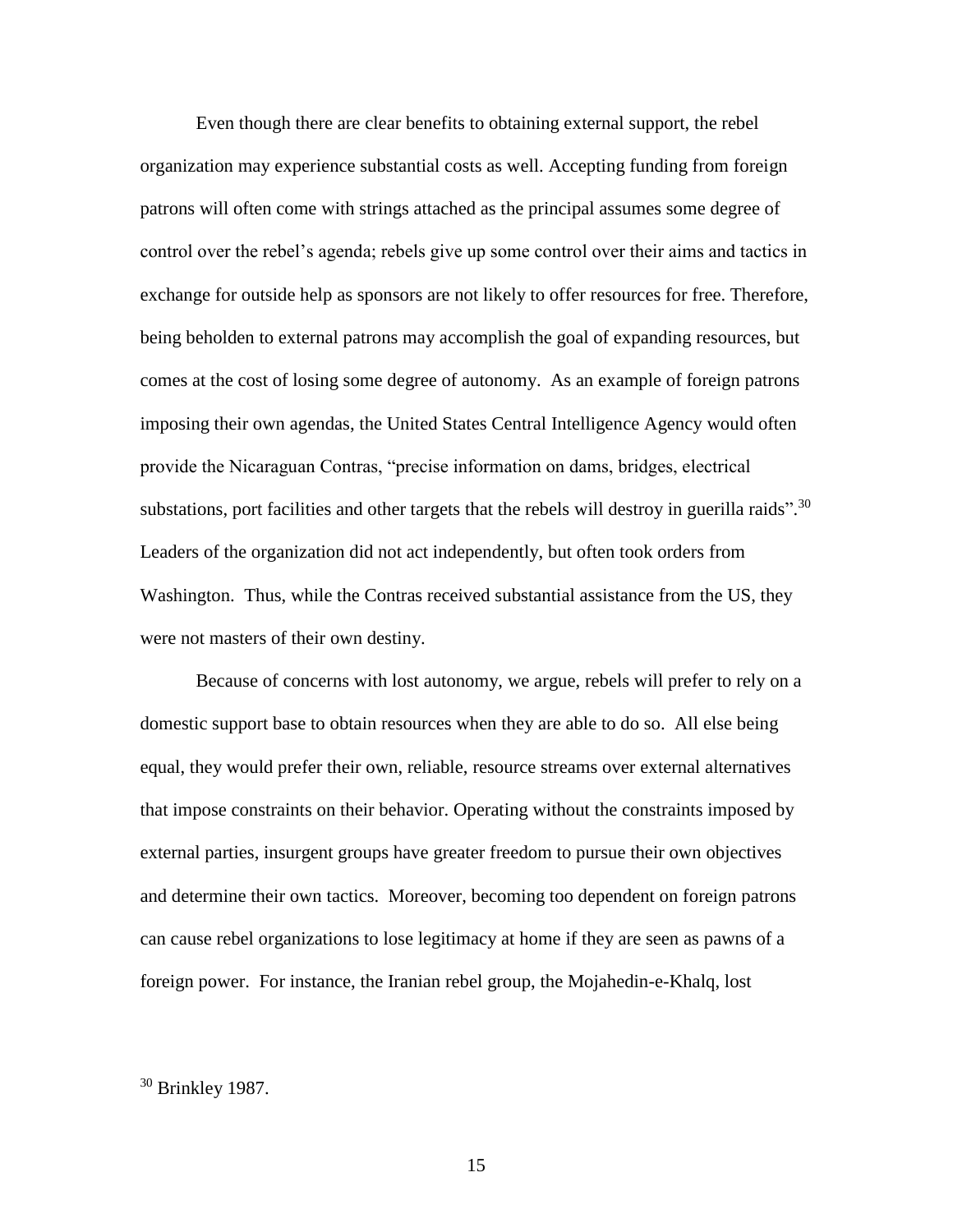Even though there are clear benefits to obtaining external support, the rebel organization may experience substantial costs as well. Accepting funding from foreign patrons will often come with strings attached as the principal assumes some degree of control over the rebel's agenda; rebels give up some control over their aims and tactics in exchange for outside help as sponsors are not likely to offer resources for free. Therefore, being beholden to external patrons may accomplish the goal of expanding resources, but comes at the cost of losing some degree of autonomy. As an example of foreign patrons imposing their own agendas, the United States Central Intelligence Agency would often provide the Nicaraguan Contras, "precise information on dams, bridges, electrical substations, port facilities and other targets that the rebels will destroy in guerilla raids".<sup>30</sup> Leaders of the organization did not act independently, but often took orders from Washington. Thus, while the Contras received substantial assistance from the US, they were not masters of their own destiny.

Because of concerns with lost autonomy, we argue, rebels will prefer to rely on a domestic support base to obtain resources when they are able to do so. All else being equal, they would prefer their own, reliable, resource streams over external alternatives that impose constraints on their behavior. Operating without the constraints imposed by external parties, insurgent groups have greater freedom to pursue their own objectives and determine their own tactics. Moreover, becoming too dependent on foreign patrons can cause rebel organizations to lose legitimacy at home if they are seen as pawns of a foreign power. For instance, the Iranian rebel group, the Mojahedin-e-Khalq, lost

<sup>30</sup> Brinkley 1987.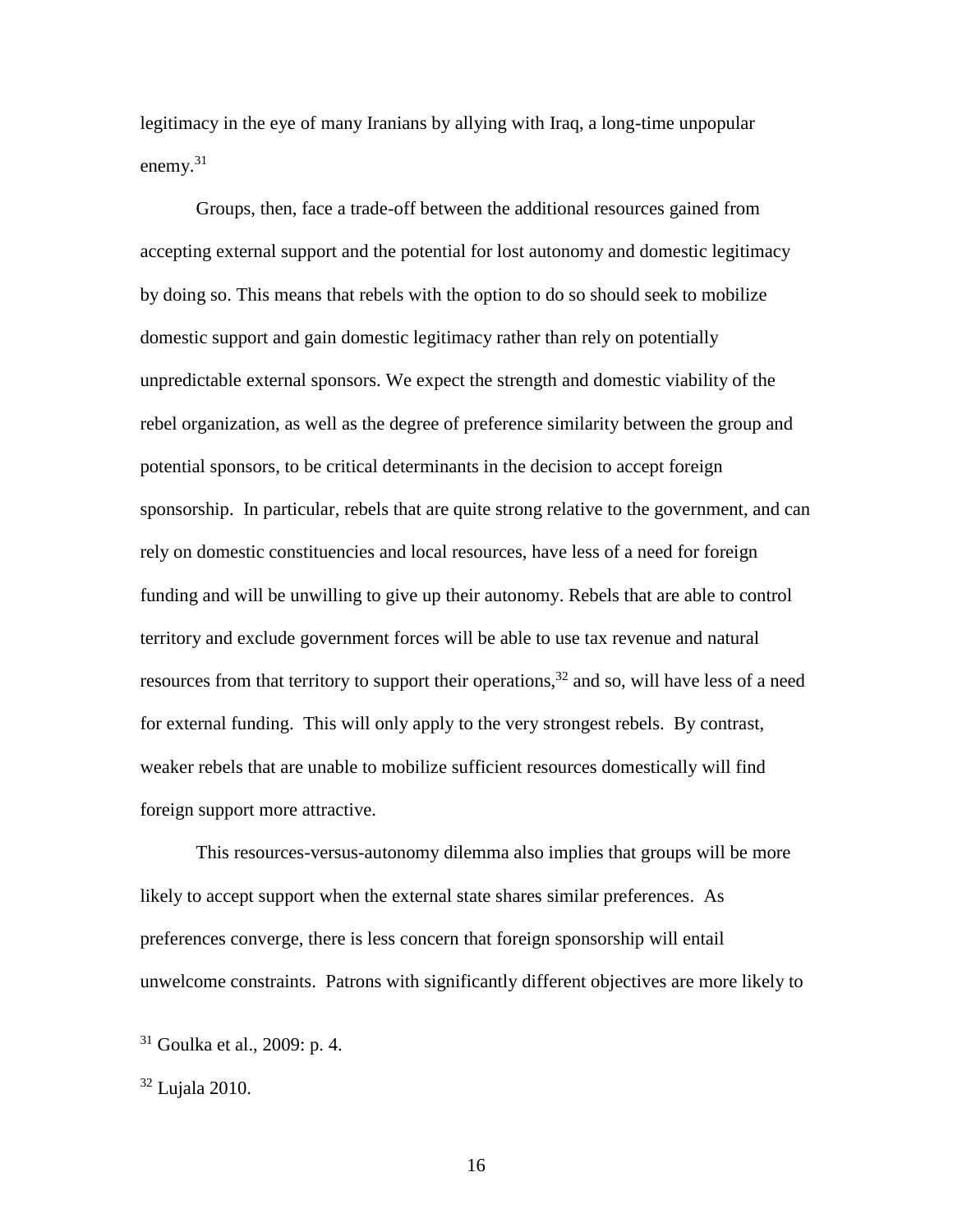legitimacy in the eye of many Iranians by allying with Iraq, a long-time unpopular enemy. $31$ 

Groups, then, face a trade-off between the additional resources gained from accepting external support and the potential for lost autonomy and domestic legitimacy by doing so. This means that rebels with the option to do so should seek to mobilize domestic support and gain domestic legitimacy rather than rely on potentially unpredictable external sponsors. We expect the strength and domestic viability of the rebel organization, as well as the degree of preference similarity between the group and potential sponsors, to be critical determinants in the decision to accept foreign sponsorship. In particular, rebels that are quite strong relative to the government, and can rely on domestic constituencies and local resources, have less of a need for foreign funding and will be unwilling to give up their autonomy. Rebels that are able to control territory and exclude government forces will be able to use tax revenue and natural resources from that territory to support their operations,  $32$  and so, will have less of a need for external funding. This will only apply to the very strongest rebels. By contrast, weaker rebels that are unable to mobilize sufficient resources domestically will find foreign support more attractive.

This resources-versus-autonomy dilemma also implies that groups will be more likely to accept support when the external state shares similar preferences. As preferences converge, there is less concern that foreign sponsorship will entail unwelcome constraints. Patrons with significantly different objectives are more likely to

 $31$  Goulka et al., 2009: p. 4.

<sup>32</sup> Lujala 2010.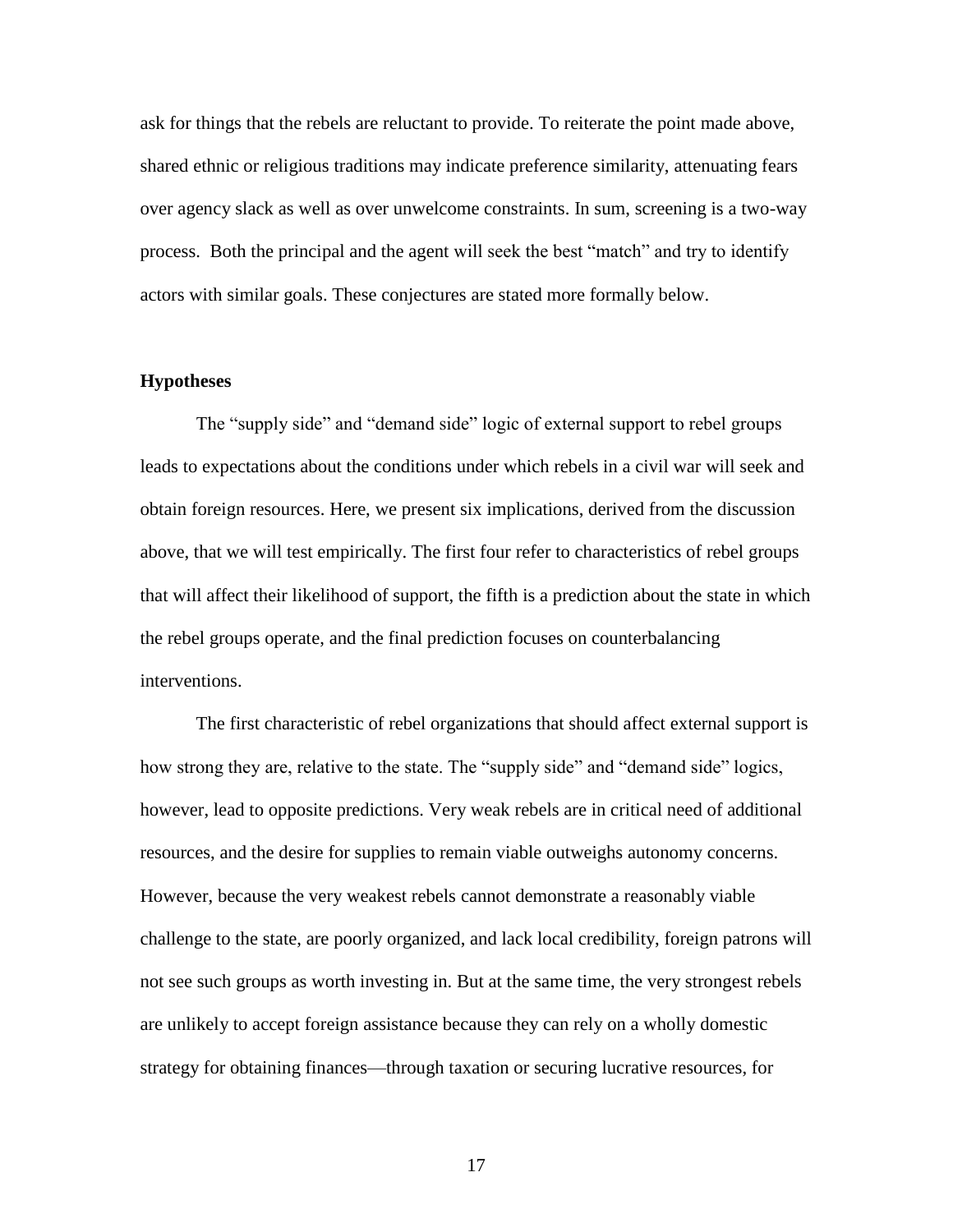ask for things that the rebels are reluctant to provide. To reiterate the point made above, shared ethnic or religious traditions may indicate preference similarity, attenuating fears over agency slack as well as over unwelcome constraints. In sum, screening is a two-way process. Both the principal and the agent will seek the best "match" and try to identify actors with similar goals. These conjectures are stated more formally below.

## **Hypotheses**

The "supply side" and "demand side" logic of external support to rebel groups leads to expectations about the conditions under which rebels in a civil war will seek and obtain foreign resources. Here, we present six implications, derived from the discussion above, that we will test empirically. The first four refer to characteristics of rebel groups that will affect their likelihood of support, the fifth is a prediction about the state in which the rebel groups operate, and the final prediction focuses on counterbalancing interventions.

The first characteristic of rebel organizations that should affect external support is how strong they are, relative to the state. The "supply side" and "demand side" logics, however, lead to opposite predictions. Very weak rebels are in critical need of additional resources, and the desire for supplies to remain viable outweighs autonomy concerns. However, because the very weakest rebels cannot demonstrate a reasonably viable challenge to the state, are poorly organized, and lack local credibility, foreign patrons will not see such groups as worth investing in. But at the same time, the very strongest rebels are unlikely to accept foreign assistance because they can rely on a wholly domestic strategy for obtaining finances—through taxation or securing lucrative resources, for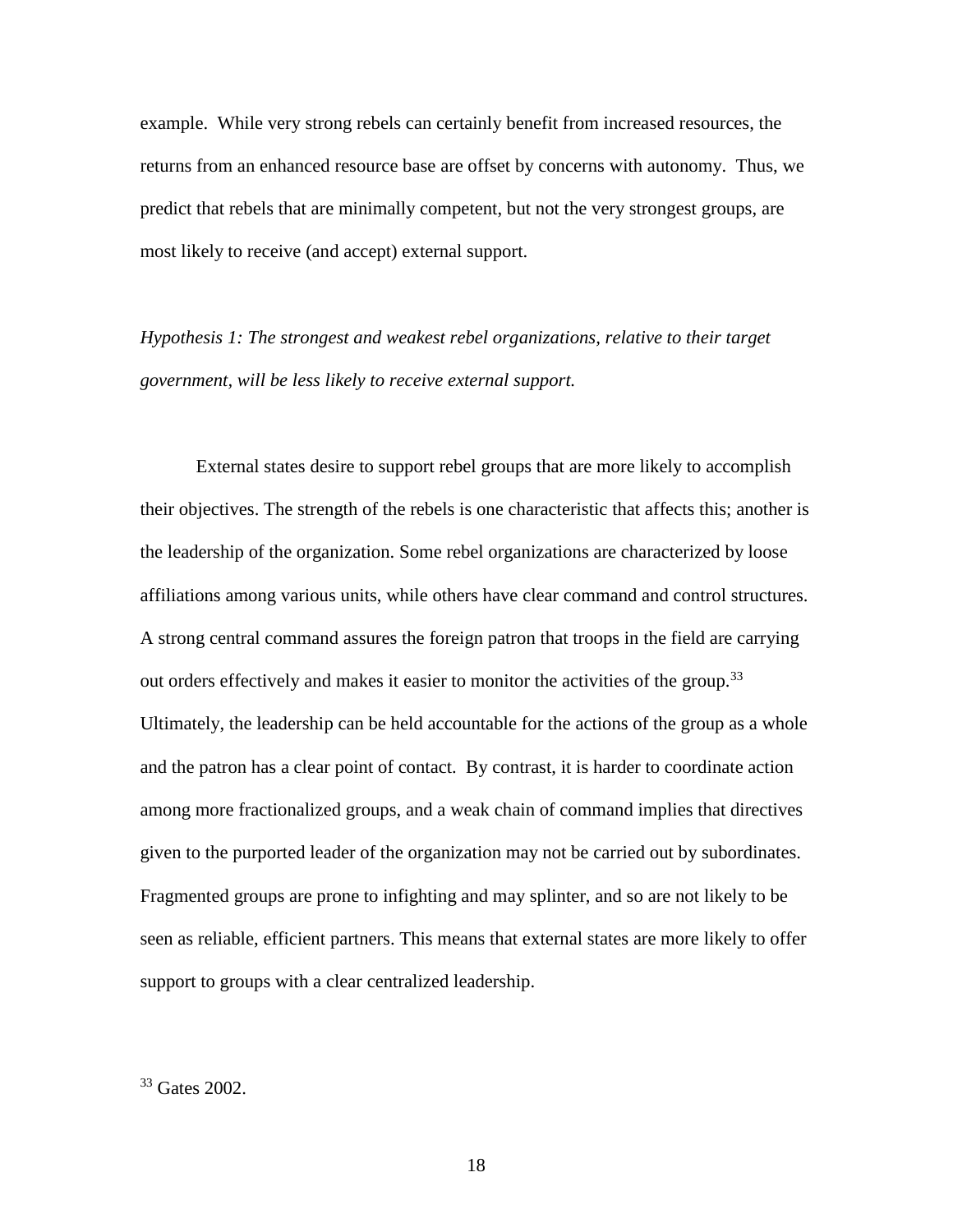example. While very strong rebels can certainly benefit from increased resources, the returns from an enhanced resource base are offset by concerns with autonomy. Thus, we predict that rebels that are minimally competent, but not the very strongest groups, are most likely to receive (and accept) external support.

*Hypothesis 1: The strongest and weakest rebel organizations, relative to their target government, will be less likely to receive external support.*

External states desire to support rebel groups that are more likely to accomplish their objectives. The strength of the rebels is one characteristic that affects this; another is the leadership of the organization. Some rebel organizations are characterized by loose affiliations among various units, while others have clear command and control structures. A strong central command assures the foreign patron that troops in the field are carrying out orders effectively and makes it easier to monitor the activities of the group.<sup>33</sup> Ultimately, the leadership can be held accountable for the actions of the group as a whole and the patron has a clear point of contact. By contrast, it is harder to coordinate action among more fractionalized groups, and a weak chain of command implies that directives given to the purported leader of the organization may not be carried out by subordinates. Fragmented groups are prone to infighting and may splinter, and so are not likely to be seen as reliable, efficient partners. This means that external states are more likely to offer support to groups with a clear centralized leadership.

<sup>33</sup> Gates 2002.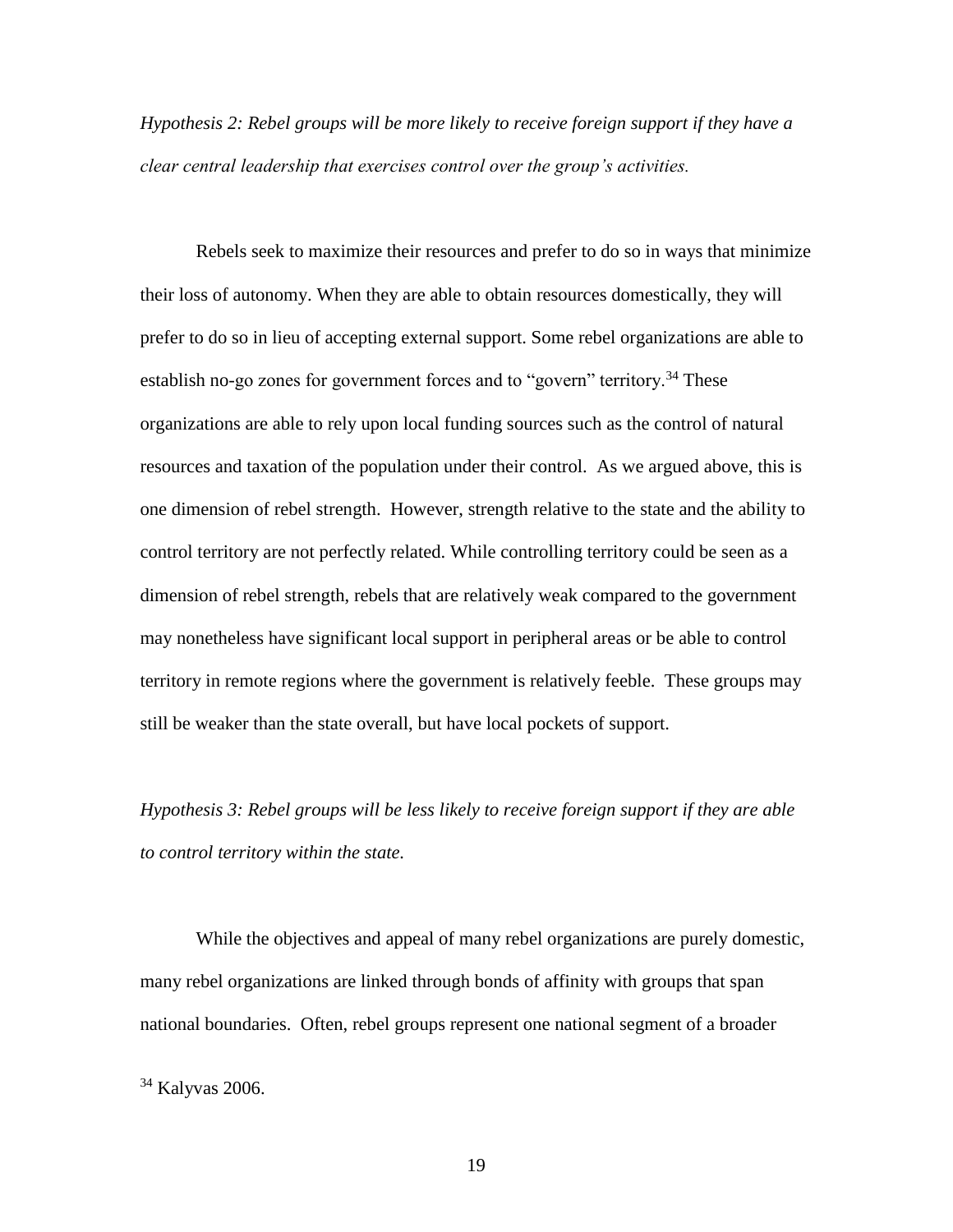*Hypothesis 2: Rebel groups will be more likely to receive foreign support if they have a clear central leadership that exercises control over the group's activities.* 

Rebels seek to maximize their resources and prefer to do so in ways that minimize their loss of autonomy. When they are able to obtain resources domestically, they will prefer to do so in lieu of accepting external support. Some rebel organizations are able to establish no-go zones for government forces and to "govern" territory.<sup>34</sup> These organizations are able to rely upon local funding sources such as the control of natural resources and taxation of the population under their control. As we argued above, this is one dimension of rebel strength. However, strength relative to the state and the ability to control territory are not perfectly related. While controlling territory could be seen as a dimension of rebel strength, rebels that are relatively weak compared to the government may nonetheless have significant local support in peripheral areas or be able to control territory in remote regions where the government is relatively feeble. These groups may still be weaker than the state overall, but have local pockets of support.

*Hypothesis 3: Rebel groups will be less likely to receive foreign support if they are able to control territory within the state.*

While the objectives and appeal of many rebel organizations are purely domestic, many rebel organizations are linked through bonds of affinity with groups that span national boundaries. Often, rebel groups represent one national segment of a broader

<sup>34</sup> Kalyvas 2006.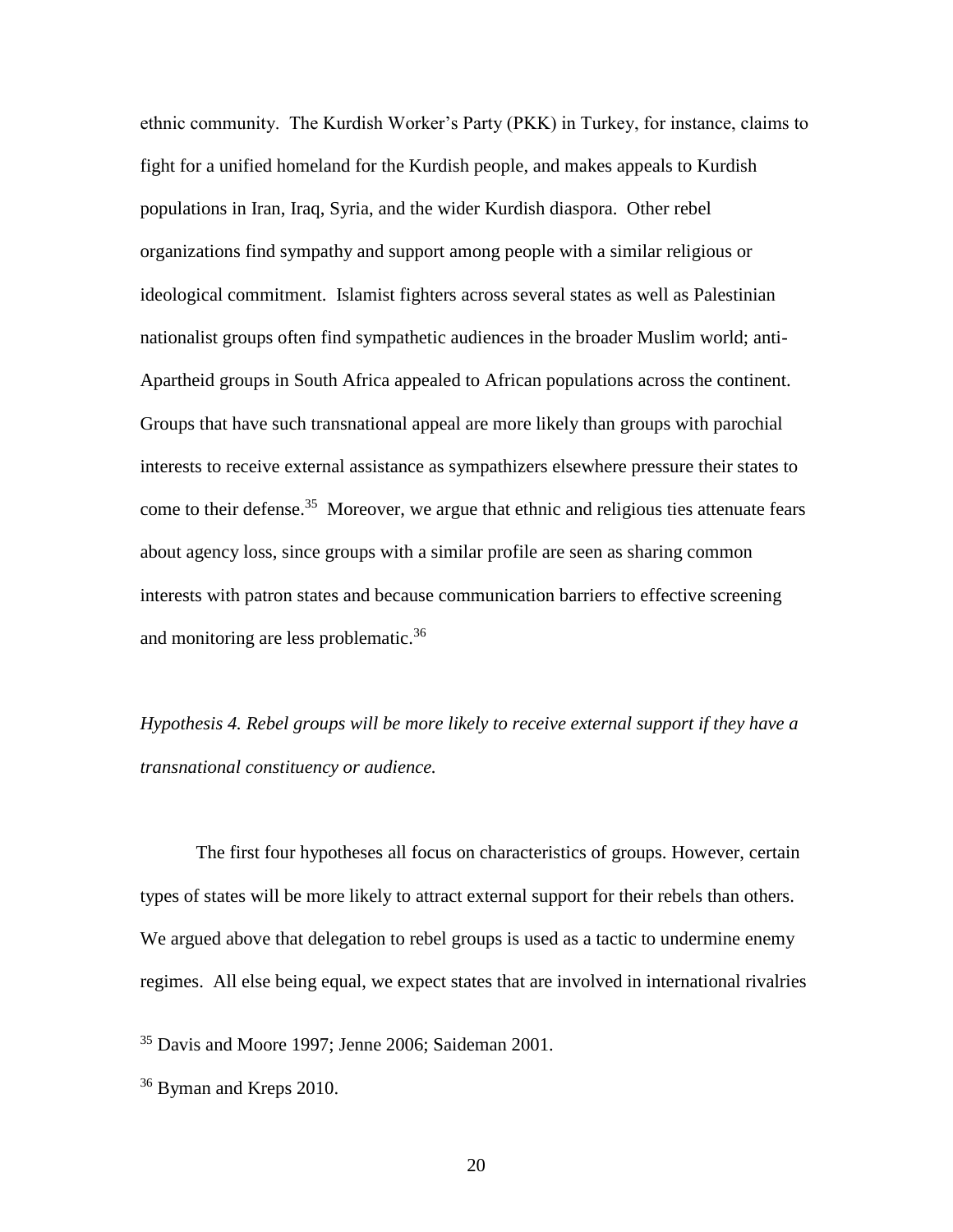ethnic community. The Kurdish Worker's Party (PKK) in Turkey, for instance, claims to fight for a unified homeland for the Kurdish people, and makes appeals to Kurdish populations in Iran, Iraq, Syria, and the wider Kurdish diaspora. Other rebel organizations find sympathy and support among people with a similar religious or ideological commitment. Islamist fighters across several states as well as Palestinian nationalist groups often find sympathetic audiences in the broader Muslim world; anti-Apartheid groups in South Africa appealed to African populations across the continent. Groups that have such transnational appeal are more likely than groups with parochial interests to receive external assistance as sympathizers elsewhere pressure their states to come to their defense.<sup>35</sup> Moreover, we argue that ethnic and religious ties attenuate fears about agency loss, since groups with a similar profile are seen as sharing common interests with patron states and because communication barriers to effective screening and monitoring are less problematic.<sup>36</sup>

*Hypothesis 4. Rebel groups will be more likely to receive external support if they have a transnational constituency or audience.*

The first four hypotheses all focus on characteristics of groups. However, certain types of states will be more likely to attract external support for their rebels than others. We argued above that delegation to rebel groups is used as a tactic to undermine enemy regimes. All else being equal, we expect states that are involved in international rivalries

<sup>35</sup> Davis and Moore 1997; Jenne 2006; Saideman 2001.

<sup>36</sup> Byman and Kreps 2010.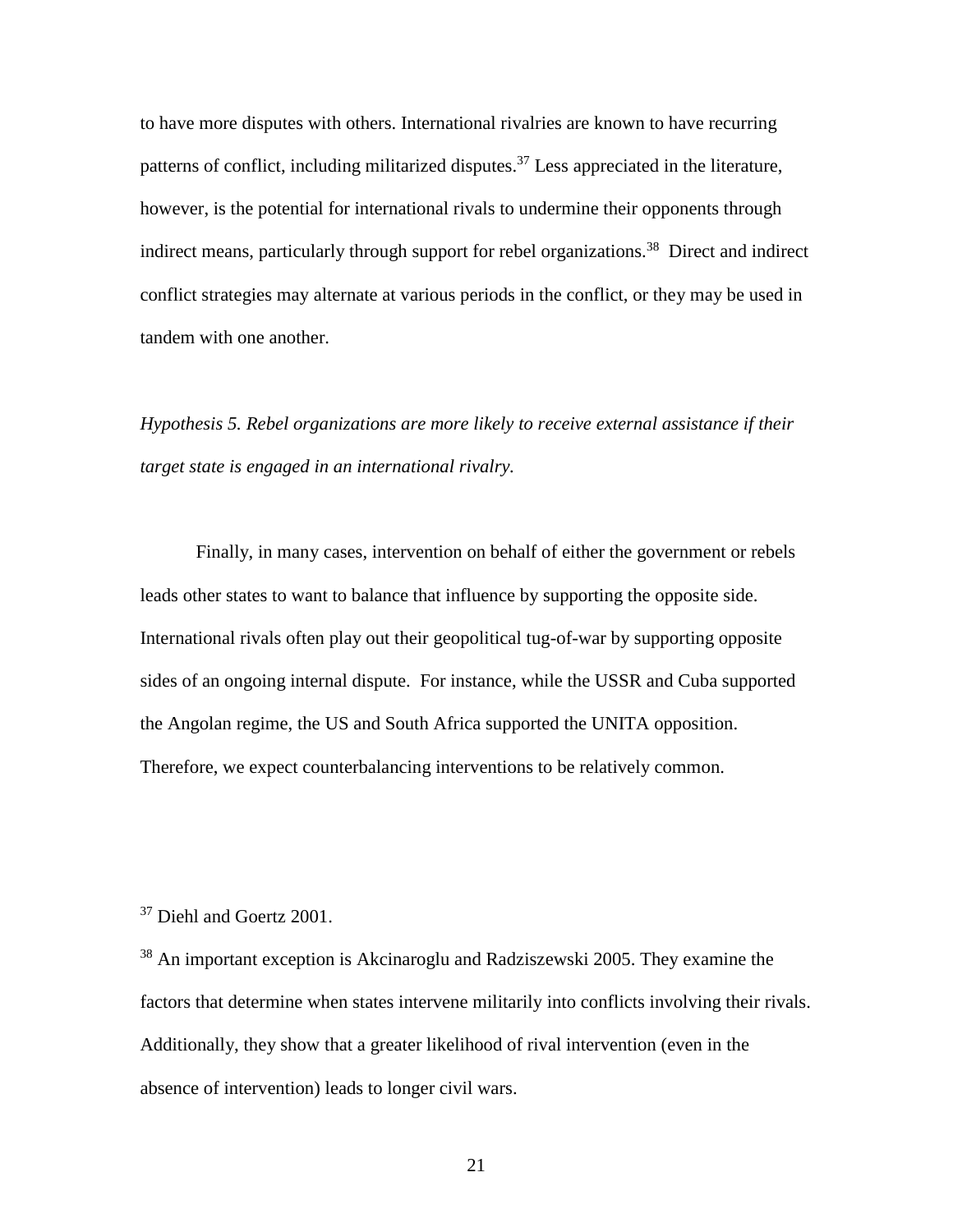to have more disputes with others. International rivalries are known to have recurring patterns of conflict, including militarized disputes.<sup>37</sup> Less appreciated in the literature, however, is the potential for international rivals to undermine their opponents through indirect means, particularly through support for rebel organizations.<sup>38</sup> Direct and indirect conflict strategies may alternate at various periods in the conflict, or they may be used in tandem with one another.

*Hypothesis 5. Rebel organizations are more likely to receive external assistance if their target state is engaged in an international rivalry.*

Finally, in many cases, intervention on behalf of either the government or rebels leads other states to want to balance that influence by supporting the opposite side. International rivals often play out their geopolitical tug-of-war by supporting opposite sides of an ongoing internal dispute. For instance, while the USSR and Cuba supported the Angolan regime, the US and South Africa supported the UNITA opposition. Therefore, we expect counterbalancing interventions to be relatively common.

<sup>37</sup> Diehl and Goertz 2001.

<sup>38</sup> An important exception is Akcinaroglu and Radziszewski 2005. They examine the factors that determine when states intervene militarily into conflicts involving their rivals. Additionally, they show that a greater likelihood of rival intervention (even in the absence of intervention) leads to longer civil wars.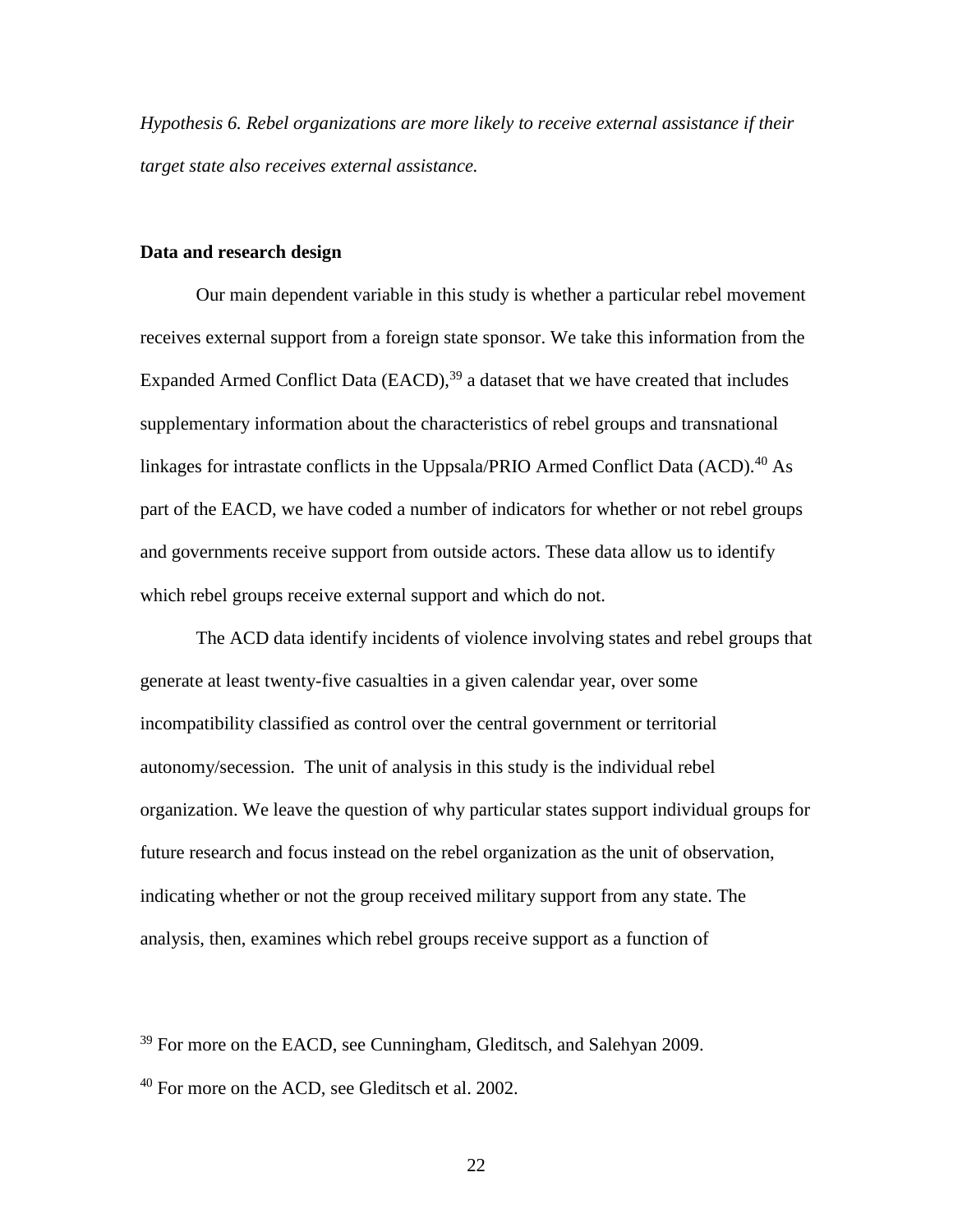*Hypothesis 6. Rebel organizations are more likely to receive external assistance if their target state also receives external assistance.*

## **Data and research design**

Our main dependent variable in this study is whether a particular rebel movement receives external support from a foreign state sponsor. We take this information from the Expanded Armed Conflict Data  $(EACD)$ ,  $39$  a dataset that we have created that includes supplementary information about the characteristics of rebel groups and transnational linkages for intrastate conflicts in the Uppsala/PRIO Armed Conflict Data  $(ACD)$ .<sup>40</sup> As part of the EACD, we have coded a number of indicators for whether or not rebel groups and governments receive support from outside actors. These data allow us to identify which rebel groups receive external support and which do not.

The ACD data identify incidents of violence involving states and rebel groups that generate at least twenty-five casualties in a given calendar year, over some incompatibility classified as control over the central government or territorial autonomy/secession. The unit of analysis in this study is the individual rebel organization. We leave the question of why particular states support individual groups for future research and focus instead on the rebel organization as the unit of observation, indicating whether or not the group received military support from any state. The analysis, then, examines which rebel groups receive support as a function of

<sup>39</sup> For more on the EACD, see Cunningham, Gleditsch, and Salehyan 2009.

 $40$  For more on the ACD, see Gleditsch et al. 2002.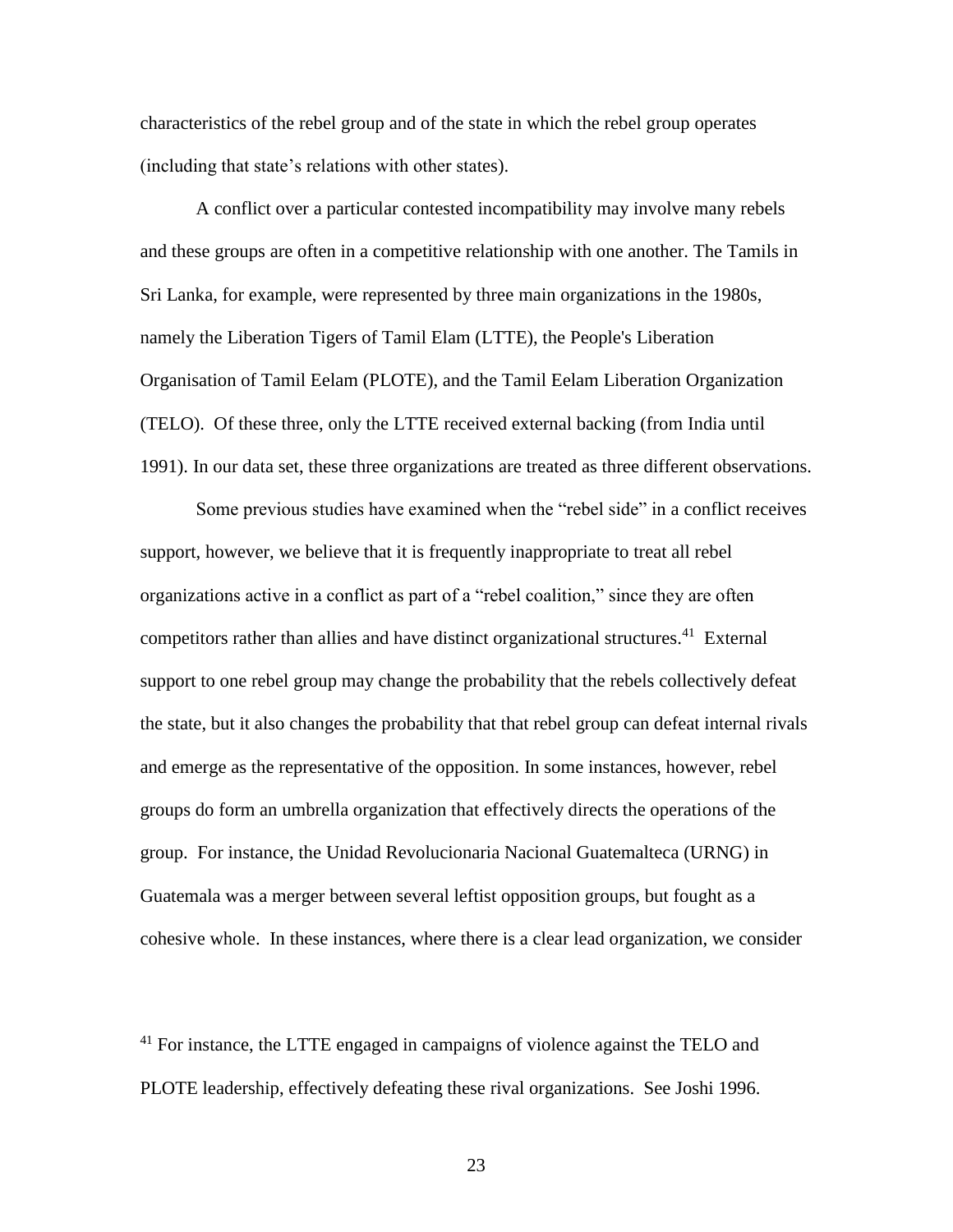characteristics of the rebel group and of the state in which the rebel group operates (including that state's relations with other states).

A conflict over a particular contested incompatibility may involve many rebels and these groups are often in a competitive relationship with one another. The Tamils in Sri Lanka, for example, were represented by three main organizations in the 1980s, namely the Liberation Tigers of Tamil Elam (LTTE), the People's Liberation Organisation of Tamil Eelam (PLOTE), and the Tamil Eelam Liberation Organization (TELO). Of these three, only the LTTE received external backing (from India until 1991). In our data set, these three organizations are treated as three different observations.

Some previous studies have examined when the "rebel side" in a conflict receives support, however, we believe that it is frequently inappropriate to treat all rebel organizations active in a conflict as part of a "rebel coalition," since they are often competitors rather than allies and have distinct organizational structures. <sup>41</sup> External support to one rebel group may change the probability that the rebels collectively defeat the state, but it also changes the probability that that rebel group can defeat internal rivals and emerge as the representative of the opposition. In some instances, however, rebel groups do form an umbrella organization that effectively directs the operations of the group. For instance, the Unidad Revolucionaria Nacional Guatemalteca (URNG) in Guatemala was a merger between several leftist opposition groups, but fought as a cohesive whole. In these instances, where there is a clear lead organization, we consider

 $41$  For instance, the LTTE engaged in campaigns of violence against the TELO and PLOTE leadership, effectively defeating these rival organizations. See Joshi 1996.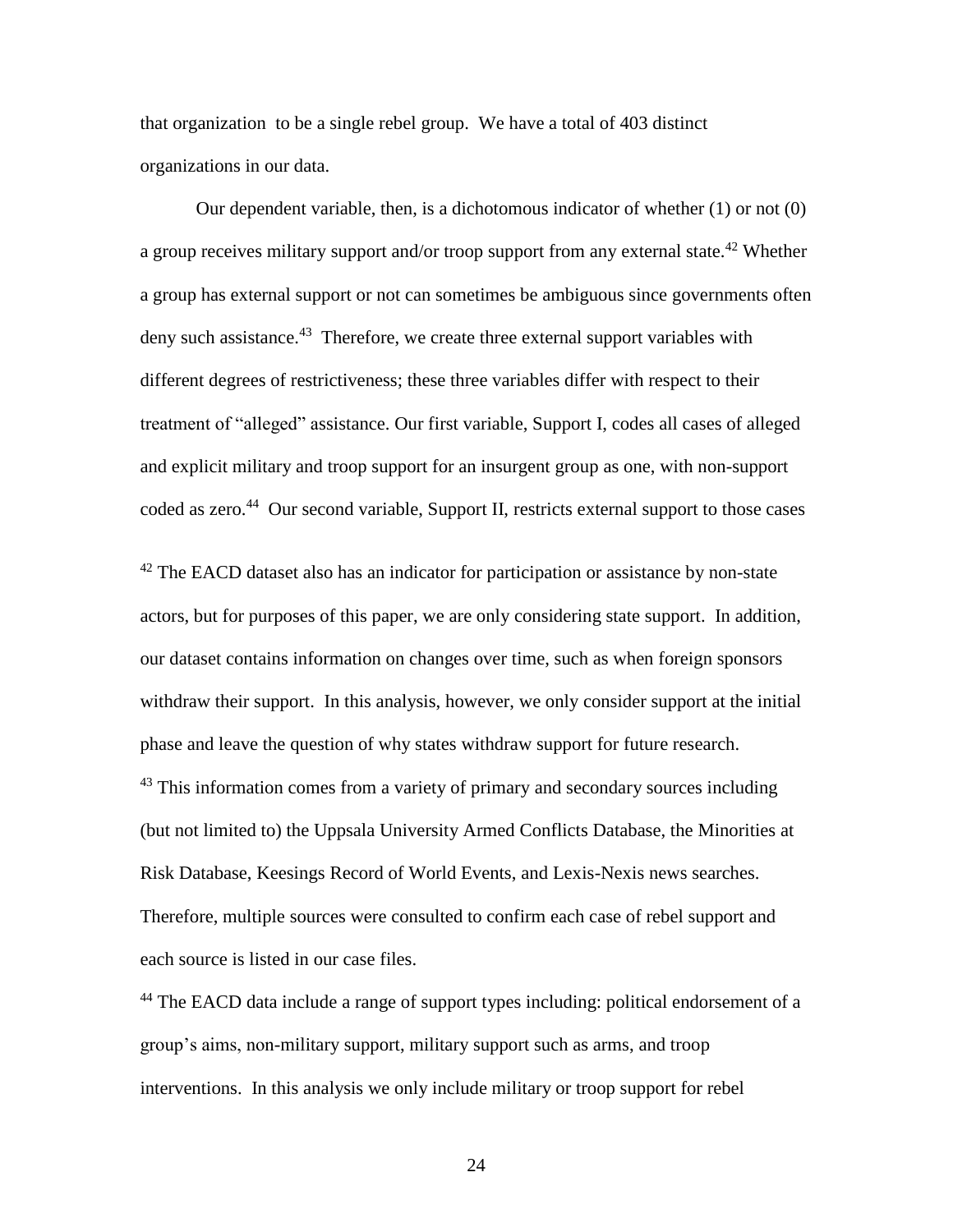that organization to be a single rebel group. We have a total of 403 distinct organizations in our data.

Our dependent variable, then, is a dichotomous indicator of whether (1) or not (0) a group receives military support and/or troop support from any external state.<sup>42</sup> Whether a group has external support or not can sometimes be ambiguous since governments often deny such assistance.<sup>43</sup> Therefore, we create three external support variables with different degrees of restrictiveness; these three variables differ with respect to their treatment of "alleged" assistance. Our first variable, Support I, codes all cases of alleged and explicit military and troop support for an insurgent group as one, with non-support coded as zero.<sup>44</sup> Our second variable, Support II, restricts external support to those cases

 $42$  The EACD dataset also has an indicator for participation or assistance by non-state actors, but for purposes of this paper, we are only considering state support. In addition, our dataset contains information on changes over time, such as when foreign sponsors withdraw their support. In this analysis, however, we only consider support at the initial phase and leave the question of why states withdraw support for future research.  $43$  This information comes from a variety of primary and secondary sources including (but not limited to) the Uppsala University Armed Conflicts Database, the Minorities at Risk Database, Keesings Record of World Events, and Lexis-Nexis news searches. Therefore, multiple sources were consulted to confirm each case of rebel support and each source is listed in our case files.

<sup>44</sup> The EACD data include a range of support types including: political endorsement of a group's aims, non-military support, military support such as arms, and troop interventions. In this analysis we only include military or troop support for rebel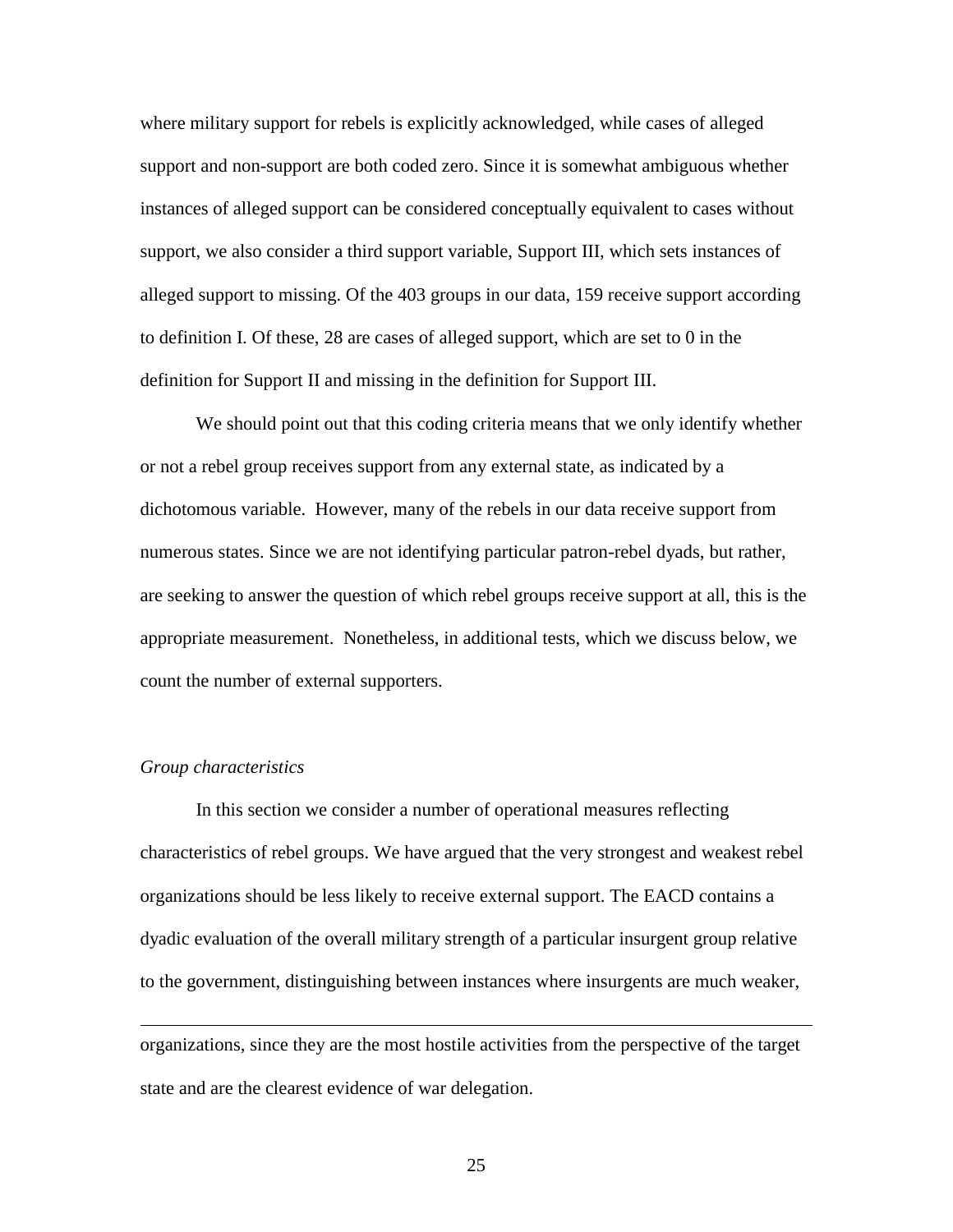where military support for rebels is explicitly acknowledged, while cases of alleged support and non-support are both coded zero. Since it is somewhat ambiguous whether instances of alleged support can be considered conceptually equivalent to cases without support, we also consider a third support variable, Support III, which sets instances of alleged support to missing. Of the 403 groups in our data, 159 receive support according to definition I. Of these, 28 are cases of alleged support, which are set to 0 in the definition for Support II and missing in the definition for Support III.

We should point out that this coding criteria means that we only identify whether or not a rebel group receives support from any external state, as indicated by a dichotomous variable. However, many of the rebels in our data receive support from numerous states. Since we are not identifying particular patron-rebel dyads, but rather, are seeking to answer the question of which rebel groups receive support at all, this is the appropriate measurement. Nonetheless, in additional tests, which we discuss below, we count the number of external supporters.

#### *Group characteristics*

 $\overline{a}$ 

In this section we consider a number of operational measures reflecting characteristics of rebel groups. We have argued that the very strongest and weakest rebel organizations should be less likely to receive external support. The EACD contains a dyadic evaluation of the overall military strength of a particular insurgent group relative to the government, distinguishing between instances where insurgents are much weaker,

organizations, since they are the most hostile activities from the perspective of the target state and are the clearest evidence of war delegation.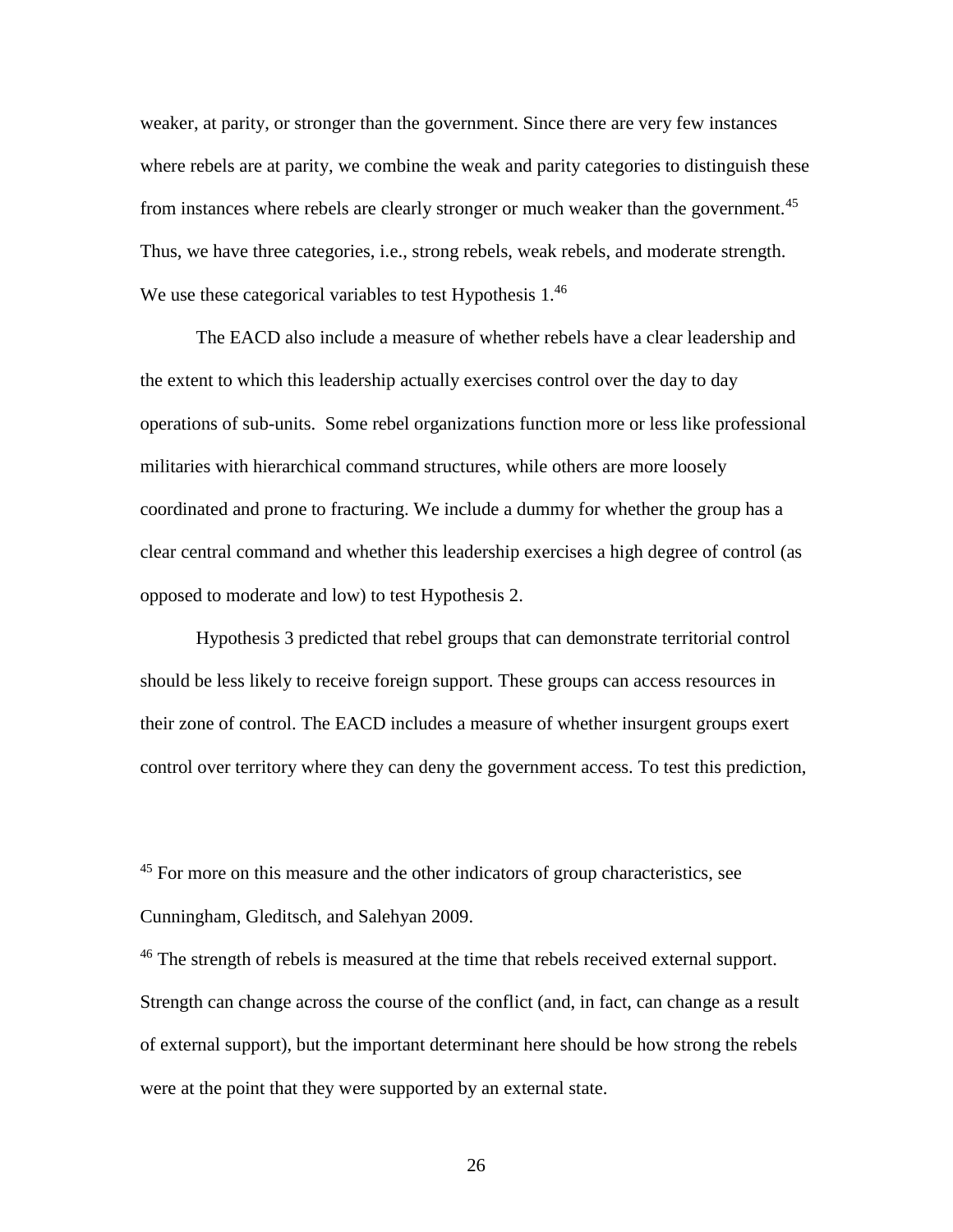weaker, at parity, or stronger than the government. Since there are very few instances where rebels are at parity, we combine the weak and parity categories to distinguish these from instances where rebels are clearly stronger or much weaker than the government.<sup>45</sup> Thus, we have three categories, i.e., strong rebels, weak rebels, and moderate strength. We use these categorical variables to test Hypothesis  $1<sup>46</sup>$ 

The EACD also include a measure of whether rebels have a clear leadership and the extent to which this leadership actually exercises control over the day to day operations of sub-units. Some rebel organizations function more or less like professional militaries with hierarchical command structures, while others are more loosely coordinated and prone to fracturing. We include a dummy for whether the group has a clear central command and whether this leadership exercises a high degree of control (as opposed to moderate and low) to test Hypothesis 2.

Hypothesis 3 predicted that rebel groups that can demonstrate territorial control should be less likely to receive foreign support. These groups can access resources in their zone of control. The EACD includes a measure of whether insurgent groups exert control over territory where they can deny the government access. To test this prediction,

<sup>45</sup> For more on this measure and the other indicators of group characteristics, see Cunningham, Gleditsch, and Salehyan 2009.

<sup>46</sup> The strength of rebels is measured at the time that rebels received external support. Strength can change across the course of the conflict (and, in fact, can change as a result of external support), but the important determinant here should be how strong the rebels were at the point that they were supported by an external state.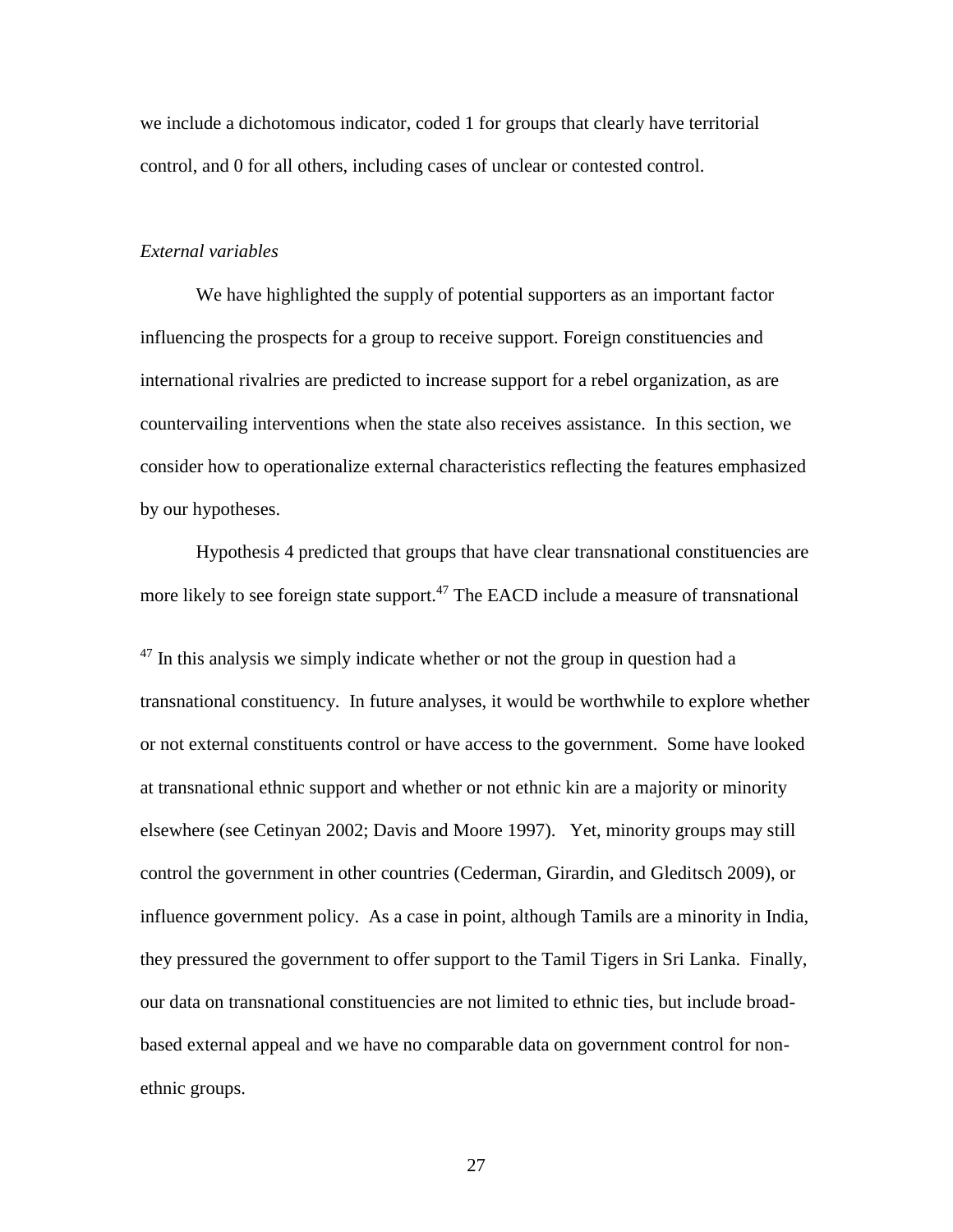we include a dichotomous indicator, coded 1 for groups that clearly have territorial control, and 0 for all others, including cases of unclear or contested control.

### *External variables*

We have highlighted the supply of potential supporters as an important factor influencing the prospects for a group to receive support. Foreign constituencies and international rivalries are predicted to increase support for a rebel organization, as are countervailing interventions when the state also receives assistance. In this section, we consider how to operationalize external characteristics reflecting the features emphasized by our hypotheses.

Hypothesis 4 predicted that groups that have clear transnational constituencies are more likely to see foreign state support.<sup>47</sup> The EACD include a measure of transnational

 $47$  In this analysis we simply indicate whether or not the group in question had a transnational constituency. In future analyses, it would be worthwhile to explore whether or not external constituents control or have access to the government. Some have looked at transnational ethnic support and whether or not ethnic kin are a majority or minority elsewhere (see Cetinyan 2002; Davis and Moore 1997). Yet, minority groups may still control the government in other countries (Cederman, Girardin, and Gleditsch 2009), or influence government policy. As a case in point, although Tamils are a minority in India, they pressured the government to offer support to the Tamil Tigers in Sri Lanka. Finally, our data on transnational constituencies are not limited to ethnic ties, but include broadbased external appeal and we have no comparable data on government control for nonethnic groups.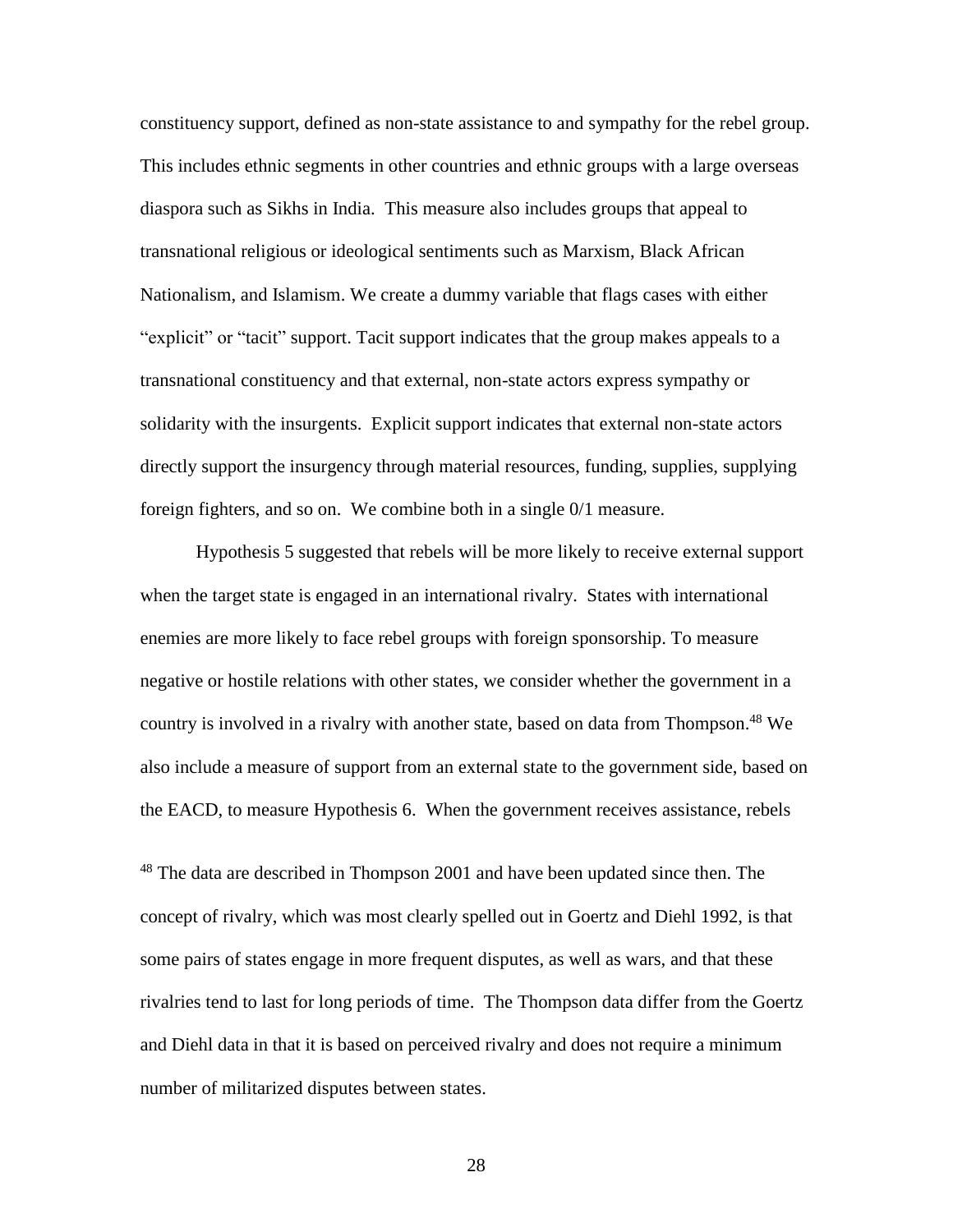constituency support, defined as non-state assistance to and sympathy for the rebel group. This includes ethnic segments in other countries and ethnic groups with a large overseas diaspora such as Sikhs in India. This measure also includes groups that appeal to transnational religious or ideological sentiments such as Marxism, Black African Nationalism, and Islamism. We create a dummy variable that flags cases with either "explicit" or "tacit" support. Tacit support indicates that the group makes appeals to a transnational constituency and that external, non-state actors express sympathy or solidarity with the insurgents. Explicit support indicates that external non-state actors directly support the insurgency through material resources, funding, supplies, supplying foreign fighters, and so on. We combine both in a single 0/1 measure.

Hypothesis 5 suggested that rebels will be more likely to receive external support when the target state is engaged in an international rivalry. States with international enemies are more likely to face rebel groups with foreign sponsorship. To measure negative or hostile relations with other states, we consider whether the government in a country is involved in a rivalry with another state, based on data from Thompson. <sup>48</sup> We also include a measure of support from an external state to the government side, based on the EACD, to measure Hypothesis 6. When the government receives assistance, rebels

<sup>48</sup> The data are described in Thompson 2001 and have been updated since then. The concept of rivalry, which was most clearly spelled out in Goertz and Diehl 1992, is that some pairs of states engage in more frequent disputes, as well as wars, and that these rivalries tend to last for long periods of time. The Thompson data differ from the Goertz and Diehl data in that it is based on perceived rivalry and does not require a minimum number of militarized disputes between states.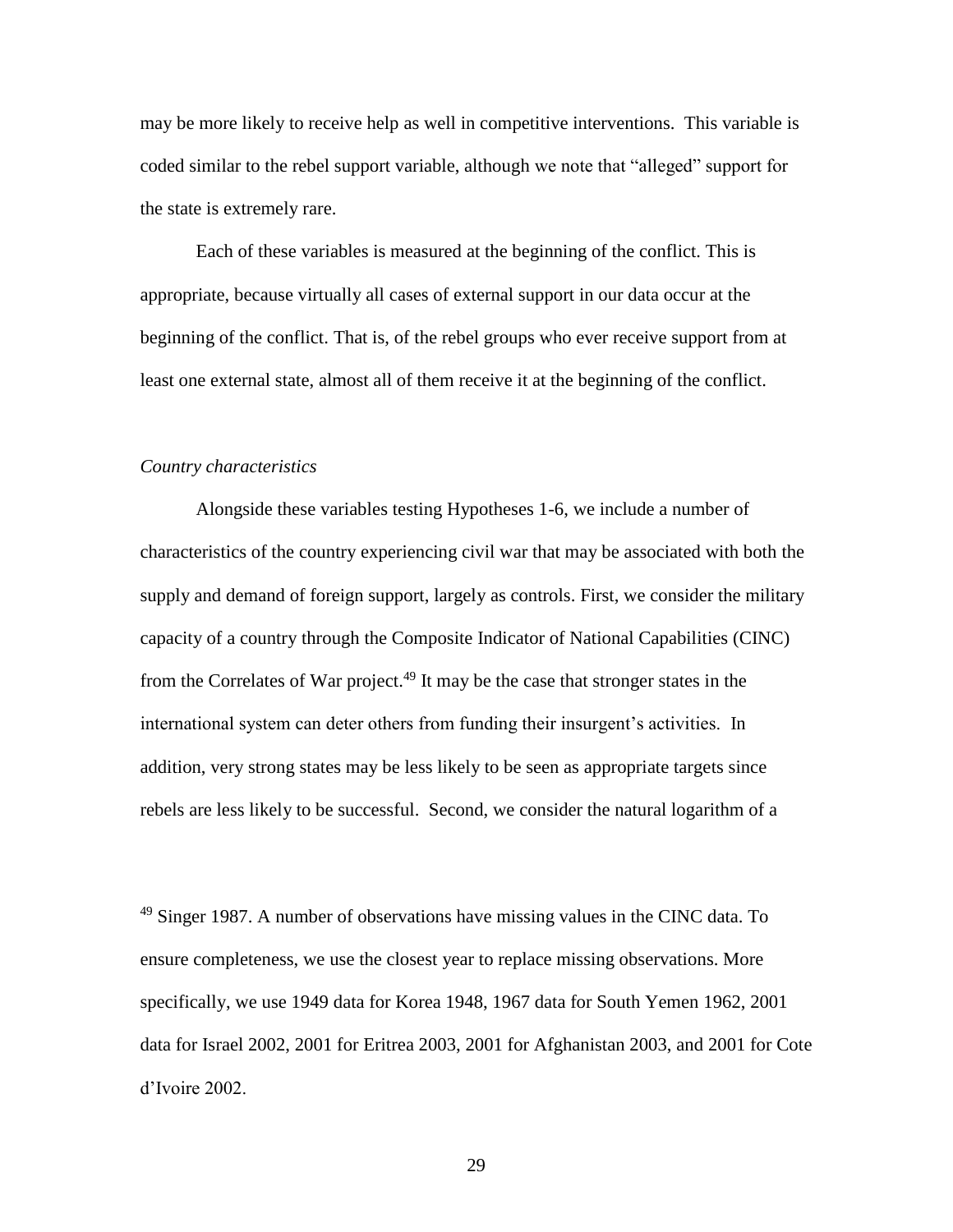may be more likely to receive help as well in competitive interventions. This variable is coded similar to the rebel support variable, although we note that "alleged" support for the state is extremely rare.

Each of these variables is measured at the beginning of the conflict. This is appropriate, because virtually all cases of external support in our data occur at the beginning of the conflict. That is, of the rebel groups who ever receive support from at least one external state, almost all of them receive it at the beginning of the conflict.

## *Country characteristics*

Alongside these variables testing Hypotheses 1-6, we include a number of characteristics of the country experiencing civil war that may be associated with both the supply and demand of foreign support, largely as controls. First, we consider the military capacity of a country through the Composite Indicator of National Capabilities (CINC) from the Correlates of War project. <sup>49</sup> It may be the case that stronger states in the international system can deter others from funding their insurgent's activities. In addition, very strong states may be less likely to be seen as appropriate targets since rebels are less likely to be successful. Second, we consider the natural logarithm of a

 $49$  Singer 1987. A number of observations have missing values in the CINC data. To ensure completeness, we use the closest year to replace missing observations. More specifically, we use 1949 data for Korea 1948, 1967 data for South Yemen 1962, 2001 data for Israel 2002, 2001 for Eritrea 2003, 2001 for Afghanistan 2003, and 2001 for Cote d'Ivoire 2002.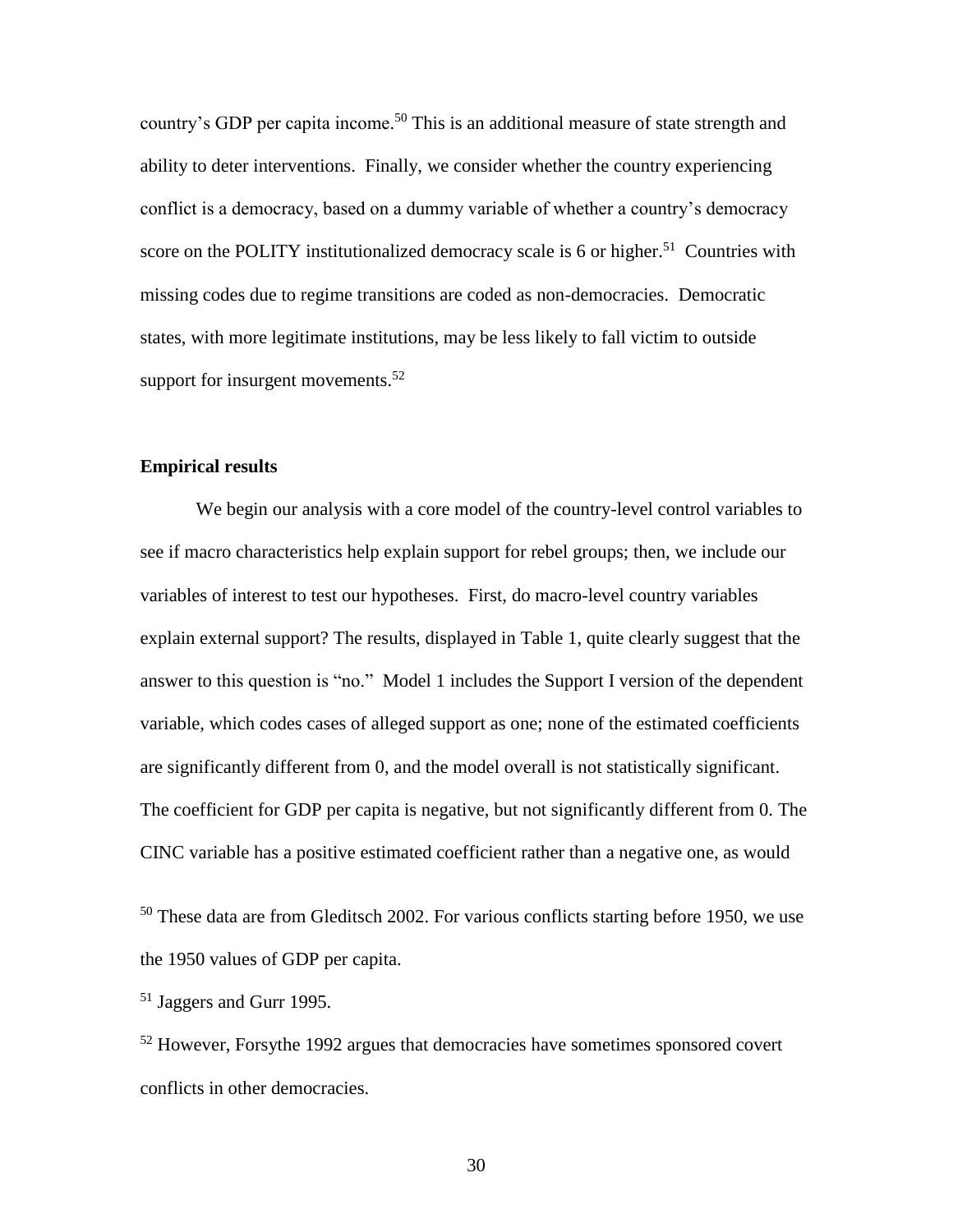country's GDP per capita income.<sup>50</sup> This is an additional measure of state strength and ability to deter interventions. Finally, we consider whether the country experiencing conflict is a democracy, based on a dummy variable of whether a country's democracy score on the POLITY institutionalized democracy scale is 6 or higher.<sup>51</sup> Countries with missing codes due to regime transitions are coded as non-democracies. Democratic states, with more legitimate institutions, may be less likely to fall victim to outside support for insurgent movements.<sup>52</sup>

## **Empirical results**

We begin our analysis with a core model of the country-level control variables to see if macro characteristics help explain support for rebel groups; then, we include our variables of interest to test our hypotheses. First, do macro-level country variables explain external support? The results, displayed in Table 1, quite clearly suggest that the answer to this question is "no." Model 1 includes the Support I version of the dependent variable, which codes cases of alleged support as one; none of the estimated coefficients are significantly different from 0, and the model overall is not statistically significant. The coefficient for GDP per capita is negative, but not significantly different from 0. The CINC variable has a positive estimated coefficient rather than a negative one, as would

<sup>50</sup> These data are from Gleditsch 2002. For various conflicts starting before 1950, we use the 1950 values of GDP per capita.

<sup>51</sup> Jaggers and Gurr 1995.

 $52$  However, Forsythe 1992 argues that democracies have sometimes sponsored covert conflicts in other democracies.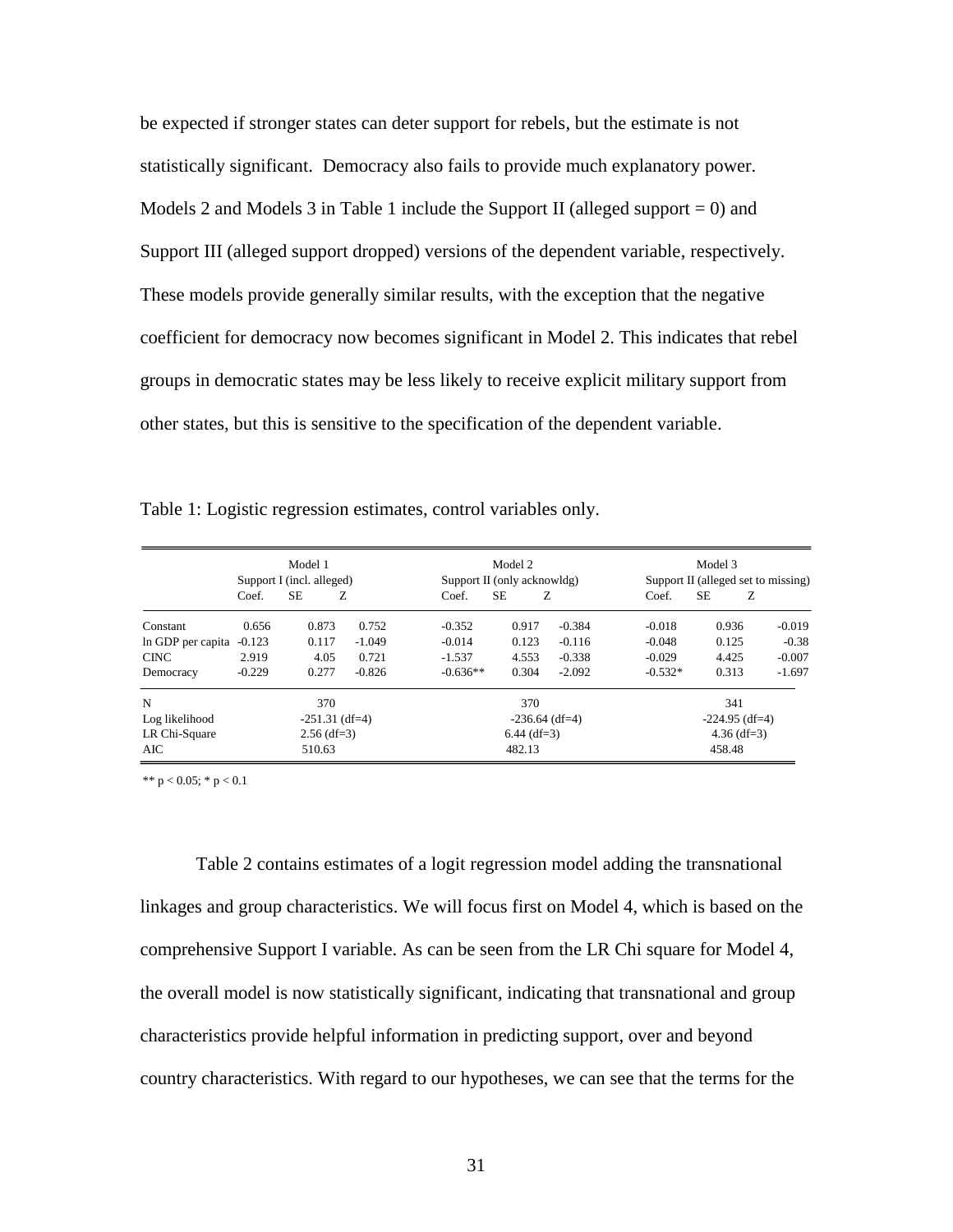be expected if stronger states can deter support for rebels, but the estimate is not statistically significant. Democracy also fails to provide much explanatory power. Models 2 and Models 3 in Table 1 include the Support II (alleged support  $= 0$ ) and Support III (alleged support dropped) versions of the dependent variable, respectively. These models provide generally similar results, with the exception that the negative coefficient for democracy now becomes significant in Model 2. This indicates that rebel groups in democratic states may be less likely to receive explicit military support from other states, but this is sensitive to the specification of the dependent variable.

|                   | Model 1<br>Support I (incl. alleged) |         |                  | Model 2<br>Support II (only acknowldg) |         |                  | Model 3<br>Support II (alleged set to missing) |       |          |
|-------------------|--------------------------------------|---------|------------------|----------------------------------------|---------|------------------|------------------------------------------------|-------|----------|
|                   | Coef.                                | SЕ<br>Z |                  | Coef.                                  | SЕ<br>Z |                  | Coef.                                          | SЕ    | Ζ        |
| Constant          | 0.656                                | 0.873   | 0.752            | $-0.352$                               | 0.917   | $-0.384$         | $-0.018$                                       | 0.936 | $-0.019$ |
| In GDP per capita | $-0.123$                             | 0.117   | $-1.049$         | $-0.014$                               | 0.123   | $-0.116$         | $-0.048$                                       | 0.125 | $-0.38$  |
| <b>CINC</b>       | 2.919                                | 4.05    | 0.721            | $-1.537$                               | 4.553   | $-0.338$         | $-0.029$                                       | 4.425 | $-0.007$ |
| Democracy         | $-0.229$                             | 0.277   | $-0.826$         | $-0.636**$                             | 0.304   | $-2.092$         | $-0.532*$                                      | 0.313 | $-1.697$ |
| N                 |                                      | 370     |                  |                                        | 370     |                  |                                                | 341   |          |
| Log likelihood    | $-251.31$ (df=4)                     |         | $-236.64$ (df=4) |                                        |         | $-224.95$ (df=4) |                                                |       |          |
| LR Chi-Square     | $2.56$ (df=3)                        |         | $6.44$ (df=3)    |                                        |         | $4.36$ (df=3)    |                                                |       |          |
| AIC.              | 510.63                               |         | 482.13           |                                        |         | 458.48           |                                                |       |          |

Table 1: Logistic regression estimates, control variables only.

\*\*  $p < 0.05$ ; \*  $p < 0.1$ 

Table 2 contains estimates of a logit regression model adding the transnational linkages and group characteristics. We will focus first on Model 4, which is based on the comprehensive Support I variable. As can be seen from the LR Chi square for Model 4, the overall model is now statistically significant, indicating that transnational and group characteristics provide helpful information in predicting support, over and beyond country characteristics. With regard to our hypotheses, we can see that the terms for the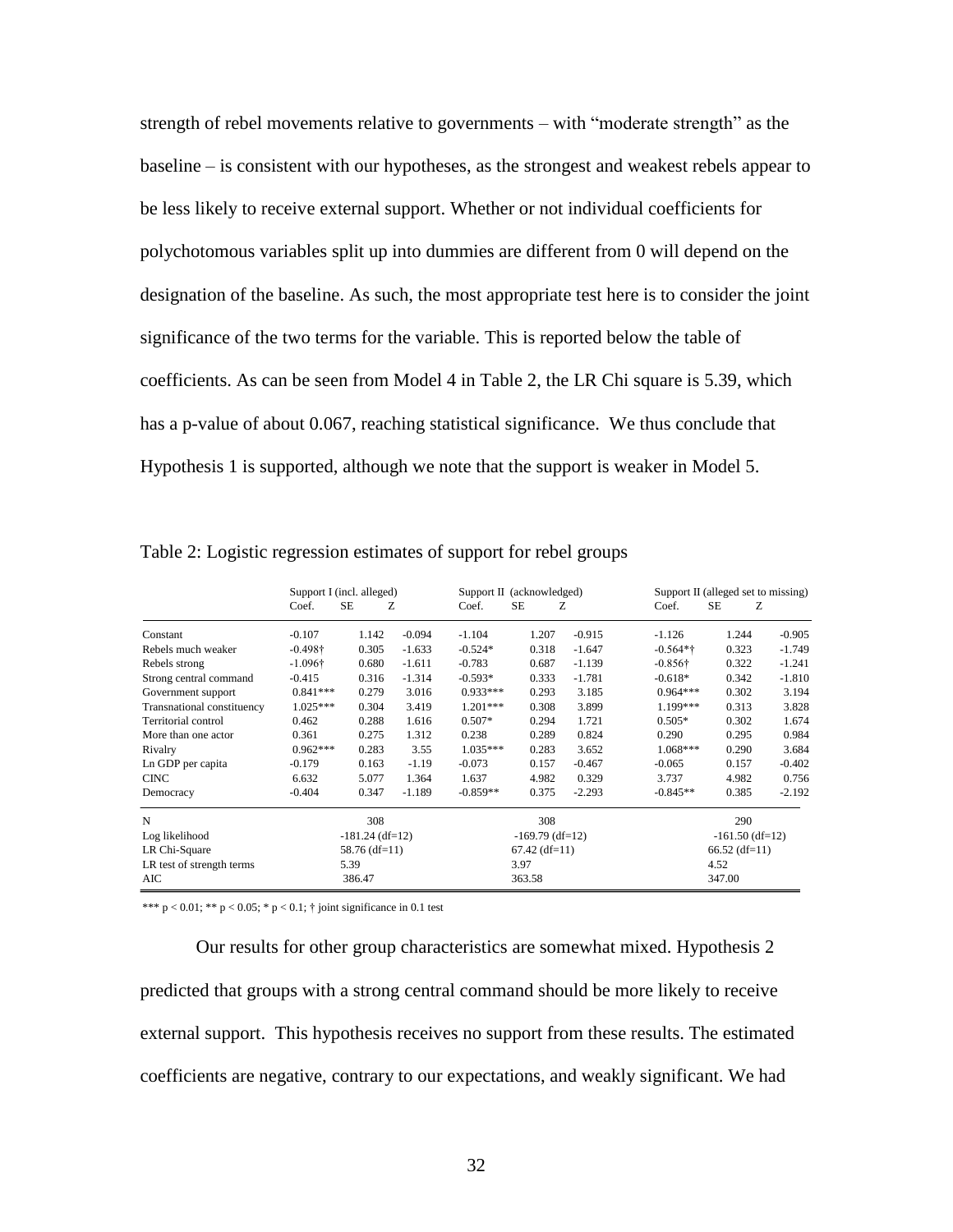strength of rebel movements relative to governments – with "moderate strength" as the baseline – is consistent with our hypotheses, as the strongest and weakest rebels appear to be less likely to receive external support. Whether or not individual coefficients for polychotomous variables split up into dummies are different from 0 will depend on the designation of the baseline. As such, the most appropriate test here is to consider the joint significance of the two terms for the variable. This is reported below the table of coefficients. As can be seen from Model 4 in Table 2, the LR Chi square is 5.39, which has a p-value of about 0.067, reaching statistical significance. We thus conclude that Hypothesis 1 is supported, although we note that the support is weaker in Model 5.

|                            | Support I (incl. alleged) |           |                   | Support II (acknowledged) |        |                   | Support II (alleged set to missing) |        |          |
|----------------------------|---------------------------|-----------|-------------------|---------------------------|--------|-------------------|-------------------------------------|--------|----------|
|                            | Coef.                     | <b>SE</b> | Z                 | Coef.                     | SE     | Z                 | Coef.                               | SE     | Z.       |
| Constant                   | $-0.107$                  | 1.142     | $-0.094$          | $-1.104$                  | 1.207  | $-0.915$          | $-1.126$                            | 1.244  | $-0.905$ |
| Rebels much weaker         | $-0.498\dagger$           | 0.305     | $-1.633$          | $-0.524*$                 | 0.318  | $-1.647$          | $-0.564**$                          | 0.323  | $-1.749$ |
| Rebels strong              | $-1.096\dagger$           | 0.680     | $-1.611$          | $-0.783$                  | 0.687  | $-1.139$          | $-0.856\dagger$                     | 0.322  | $-1.241$ |
| Strong central command     | $-0.415$                  | 0.316     | $-1.314$          | $-0.593*$                 | 0.333  | $-1.781$          | $-0.618*$                           | 0.342  | $-1.810$ |
| Government support         | $0.841***$                | 0.279     | 3.016             | $0.933***$                | 0.293  | 3.185             | $0.964***$                          | 0.302  | 3.194    |
| Transnational constituency | $1.025***$                | 0.304     | 3.419             | $1.201***$                | 0.308  | 3.899             | 1.199***                            | 0.313  | 3.828    |
| Territorial control        | 0.462                     | 0.288     | 1.616             | $0.507*$                  | 0.294  | 1.721             | $0.505*$                            | 0.302  | 1.674    |
| More than one actor        | 0.361                     | 0.275     | 1.312             | 0.238                     | 0.289  | 0.824             | 0.290                               | 0.295  | 0.984    |
| Rivalry                    | $0.962***$                | 0.283     | 3.55              | $1.035***$                | 0.283  | 3.652             | $1.068***$                          | 0.290  | 3.684    |
| Ln GDP per capita          | $-0.179$                  | 0.163     | $-1.19$           | $-0.073$                  | 0.157  | $-0.467$          | $-0.065$                            | 0.157  | $-0.402$ |
| <b>CINC</b>                | 6.632                     | 5.077     | 1.364             | 1.637                     | 4.982  | 0.329             | 3.737                               | 4.982  | 0.756    |
| Democracy                  | $-0.404$                  | 0.347     | $-1.189$          | $-0.859**$                | 0.375  | $-2.293$          | $-0.845**$                          | 0.385  | $-2.192$ |
| N                          |                           | 308       |                   |                           | 308    |                   |                                     | 290    |          |
| Log likelihood             | $-181.24$ (df=12)         |           | $-169.79$ (df=12) |                           |        | $-161.50$ (df=12) |                                     |        |          |
| LR Chi-Square              | $58.76$ (df=11)           |           |                   | $67.42$ (df=11)           |        | $66.52$ (df=11)   |                                     |        |          |
| LR test of strength terms  | 5.39                      |           | 3.97              |                           | 4.52   |                   |                                     |        |          |
| AIC                        |                           | 386.47    |                   |                           | 363.58 |                   |                                     | 347.00 |          |

Table 2: Logistic regression estimates of support for rebel groups

\*\*\*  $p < 0.01$ ; \*\*  $p < 0.05$ ; \*  $p < 0.1$ ; † joint significance in 0.1 test

Our results for other group characteristics are somewhat mixed. Hypothesis 2 predicted that groups with a strong central command should be more likely to receive external support. This hypothesis receives no support from these results. The estimated coefficients are negative, contrary to our expectations, and weakly significant. We had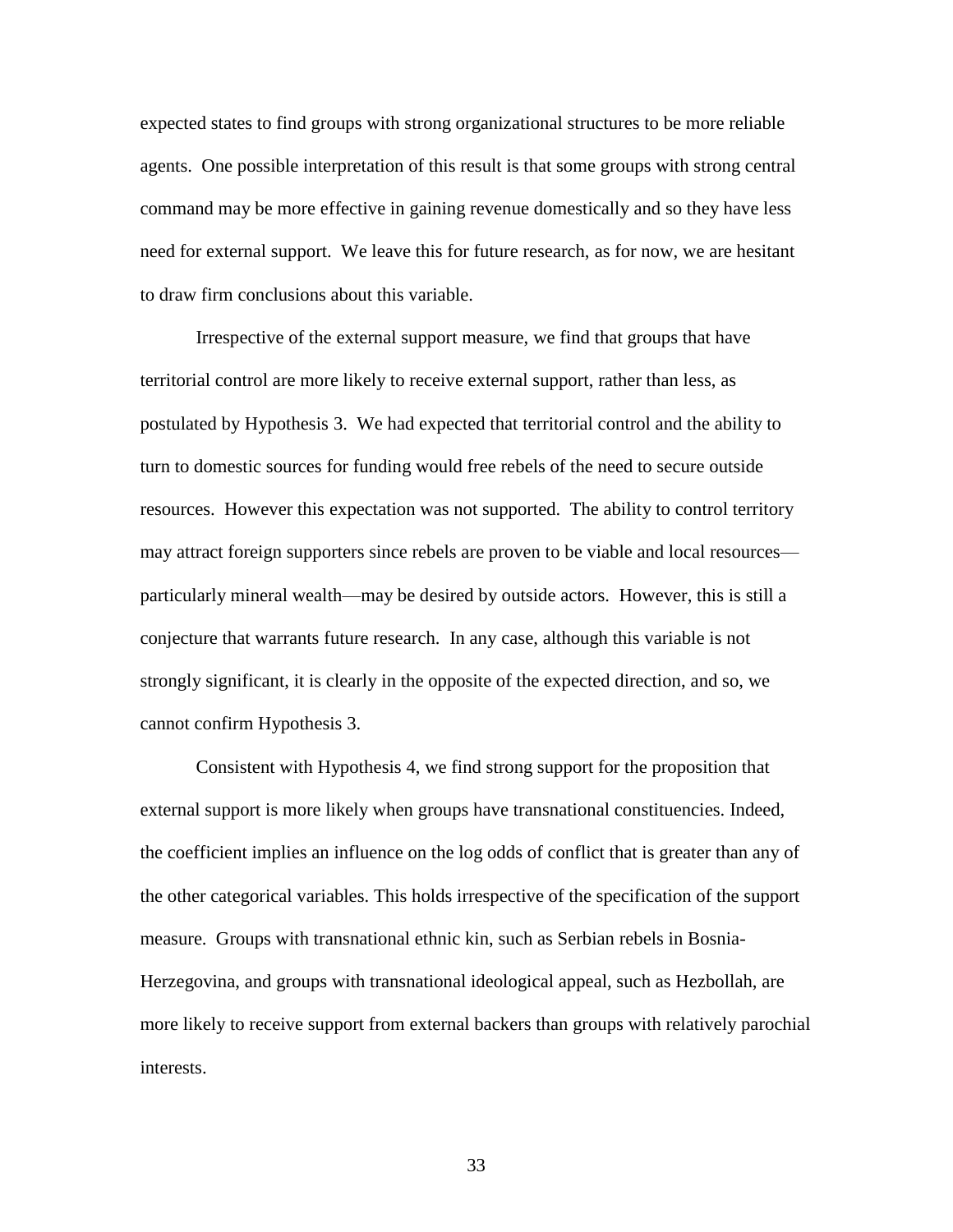expected states to find groups with strong organizational structures to be more reliable agents. One possible interpretation of this result is that some groups with strong central command may be more effective in gaining revenue domestically and so they have less need for external support. We leave this for future research, as for now, we are hesitant to draw firm conclusions about this variable.

Irrespective of the external support measure, we find that groups that have territorial control are more likely to receive external support, rather than less, as postulated by Hypothesis 3. We had expected that territorial control and the ability to turn to domestic sources for funding would free rebels of the need to secure outside resources. However this expectation was not supported. The ability to control territory may attract foreign supporters since rebels are proven to be viable and local resources particularly mineral wealth—may be desired by outside actors. However, this is still a conjecture that warrants future research. In any case, although this variable is not strongly significant, it is clearly in the opposite of the expected direction, and so, we cannot confirm Hypothesis 3.

Consistent with Hypothesis 4, we find strong support for the proposition that external support is more likely when groups have transnational constituencies. Indeed, the coefficient implies an influence on the log odds of conflict that is greater than any of the other categorical variables. This holds irrespective of the specification of the support measure. Groups with transnational ethnic kin, such as Serbian rebels in Bosnia-Herzegovina, and groups with transnational ideological appeal, such as Hezbollah, are more likely to receive support from external backers than groups with relatively parochial interests.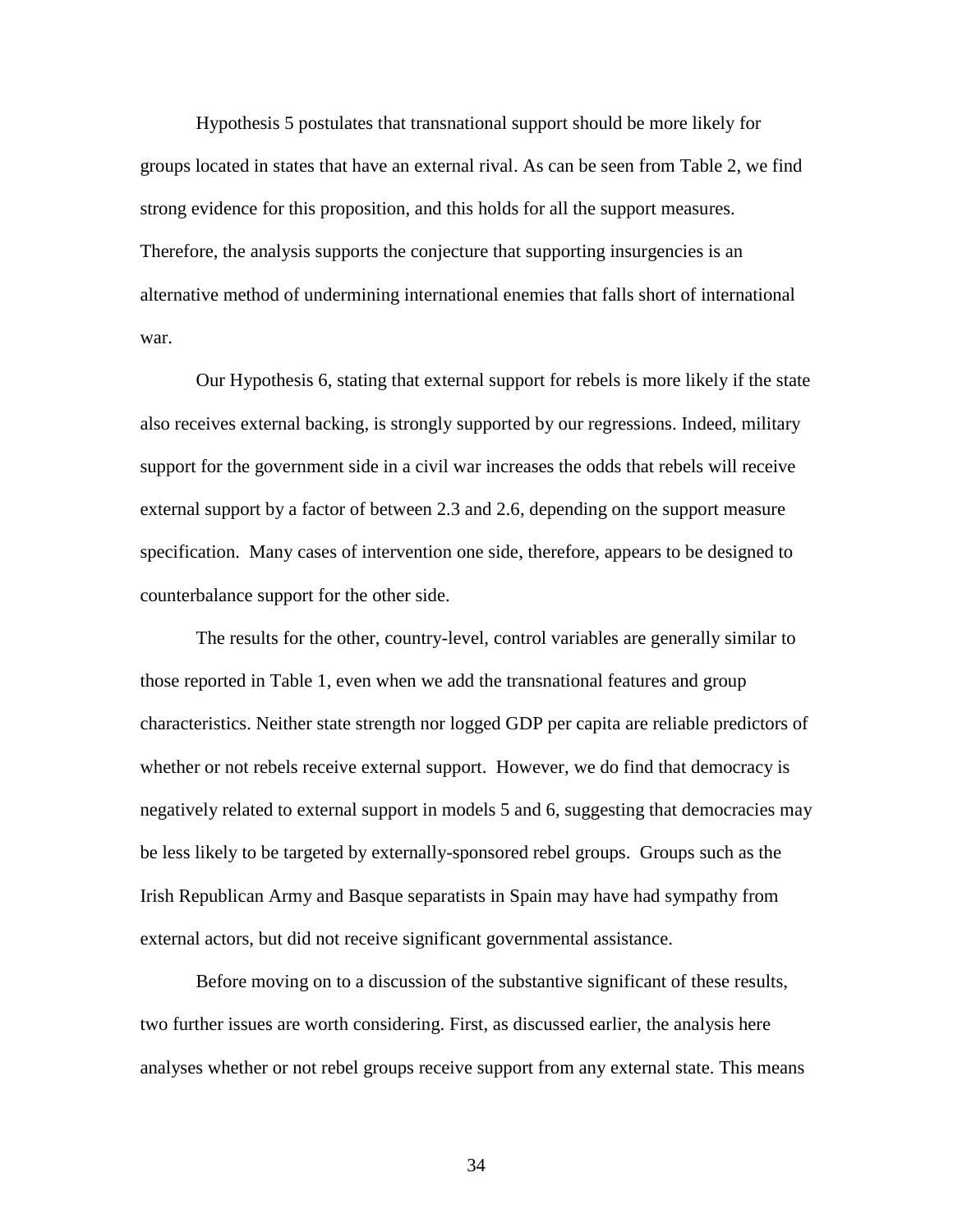Hypothesis 5 postulates that transnational support should be more likely for groups located in states that have an external rival. As can be seen from Table 2, we find strong evidence for this proposition, and this holds for all the support measures. Therefore, the analysis supports the conjecture that supporting insurgencies is an alternative method of undermining international enemies that falls short of international war.

Our Hypothesis 6, stating that external support for rebels is more likely if the state also receives external backing, is strongly supported by our regressions. Indeed, military support for the government side in a civil war increases the odds that rebels will receive external support by a factor of between 2.3 and 2.6, depending on the support measure specification. Many cases of intervention one side, therefore, appears to be designed to counterbalance support for the other side.

The results for the other, country-level, control variables are generally similar to those reported in Table 1, even when we add the transnational features and group characteristics. Neither state strength nor logged GDP per capita are reliable predictors of whether or not rebels receive external support. However, we do find that democracy is negatively related to external support in models 5 and 6, suggesting that democracies may be less likely to be targeted by externally-sponsored rebel groups. Groups such as the Irish Republican Army and Basque separatists in Spain may have had sympathy from external actors, but did not receive significant governmental assistance.

Before moving on to a discussion of the substantive significant of these results, two further issues are worth considering. First, as discussed earlier, the analysis here analyses whether or not rebel groups receive support from any external state. This means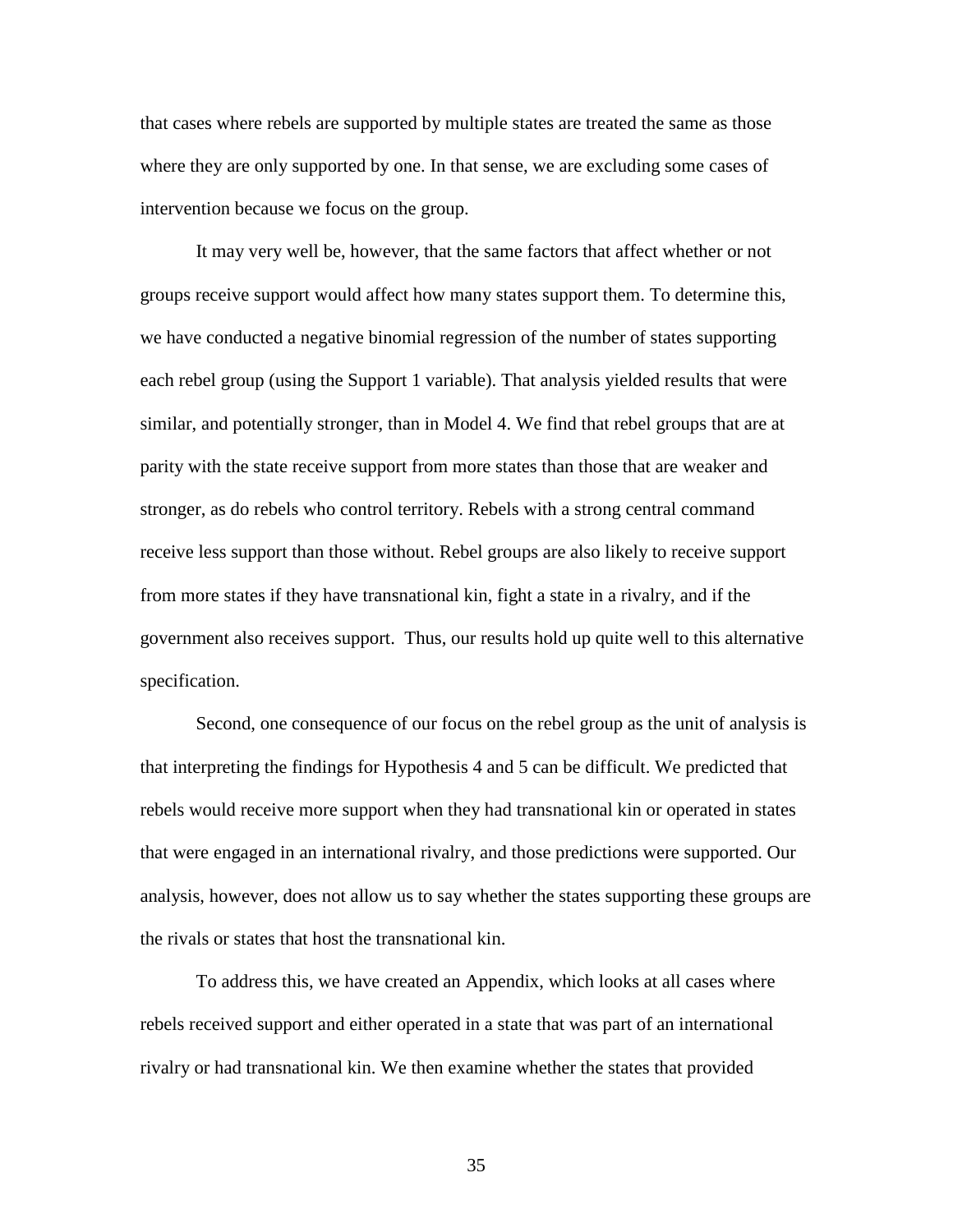that cases where rebels are supported by multiple states are treated the same as those where they are only supported by one. In that sense, we are excluding some cases of intervention because we focus on the group.

It may very well be, however, that the same factors that affect whether or not groups receive support would affect how many states support them. To determine this, we have conducted a negative binomial regression of the number of states supporting each rebel group (using the Support 1 variable). That analysis yielded results that were similar, and potentially stronger, than in Model 4. We find that rebel groups that are at parity with the state receive support from more states than those that are weaker and stronger, as do rebels who control territory. Rebels with a strong central command receive less support than those without. Rebel groups are also likely to receive support from more states if they have transnational kin, fight a state in a rivalry, and if the government also receives support. Thus, our results hold up quite well to this alternative specification.

Second, one consequence of our focus on the rebel group as the unit of analysis is that interpreting the findings for Hypothesis 4 and 5 can be difficult. We predicted that rebels would receive more support when they had transnational kin or operated in states that were engaged in an international rivalry, and those predictions were supported. Our analysis, however, does not allow us to say whether the states supporting these groups are the rivals or states that host the transnational kin.

To address this, we have created an Appendix, which looks at all cases where rebels received support and either operated in a state that was part of an international rivalry or had transnational kin. We then examine whether the states that provided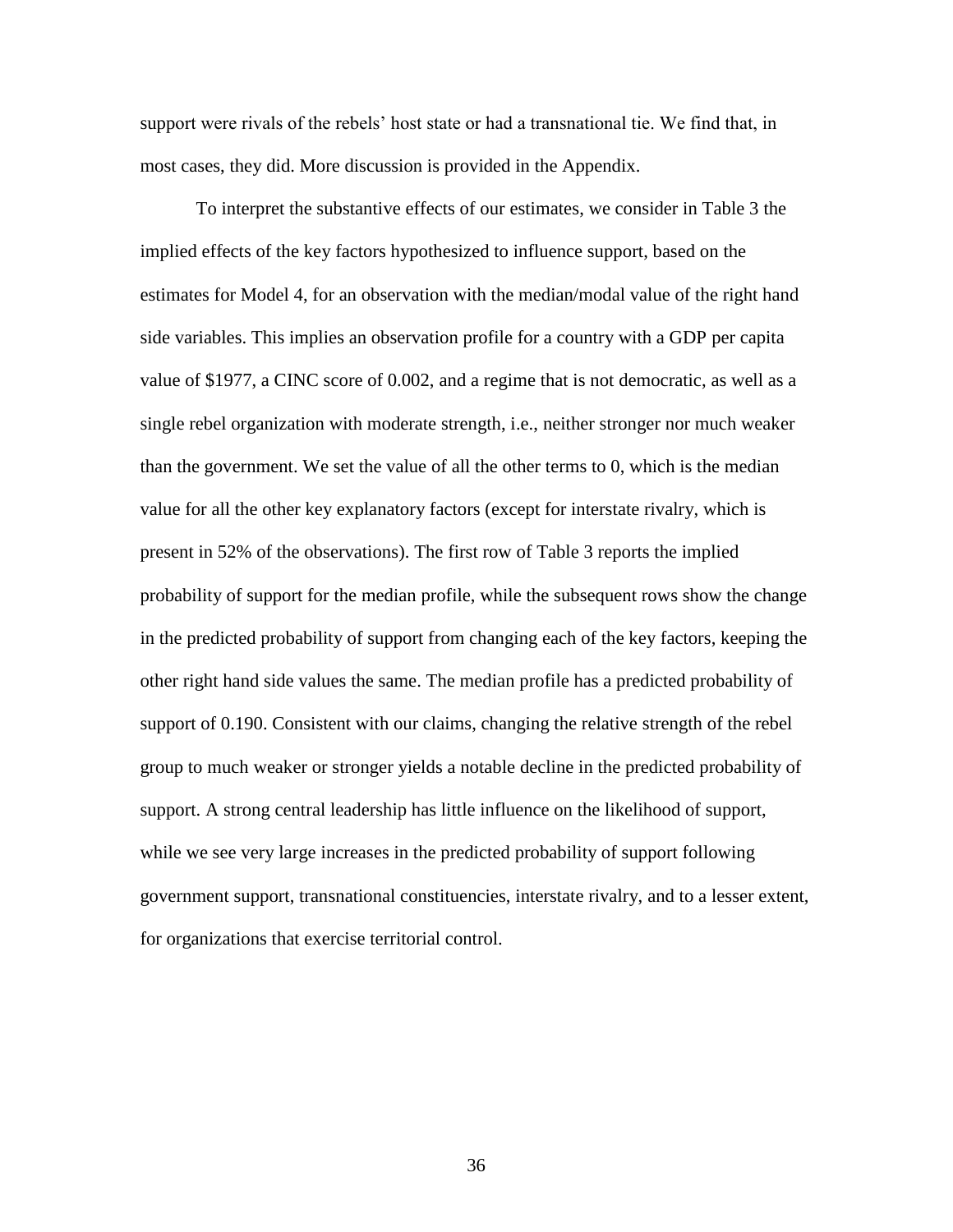support were rivals of the rebels' host state or had a transnational tie. We find that, in most cases, they did. More discussion is provided in the Appendix.

To interpret the substantive effects of our estimates, we consider in Table 3 the implied effects of the key factors hypothesized to influence support, based on the estimates for Model 4, for an observation with the median/modal value of the right hand side variables. This implies an observation profile for a country with a GDP per capita value of \$1977, a CINC score of 0.002, and a regime that is not democratic, as well as a single rebel organization with moderate strength, i.e., neither stronger nor much weaker than the government. We set the value of all the other terms to 0, which is the median value for all the other key explanatory factors (except for interstate rivalry, which is present in 52% of the observations). The first row of Table 3 reports the implied probability of support for the median profile, while the subsequent rows show the change in the predicted probability of support from changing each of the key factors, keeping the other right hand side values the same. The median profile has a predicted probability of support of 0.190. Consistent with our claims, changing the relative strength of the rebel group to much weaker or stronger yields a notable decline in the predicted probability of support. A strong central leadership has little influence on the likelihood of support, while we see very large increases in the predicted probability of support following government support, transnational constituencies, interstate rivalry, and to a lesser extent, for organizations that exercise territorial control.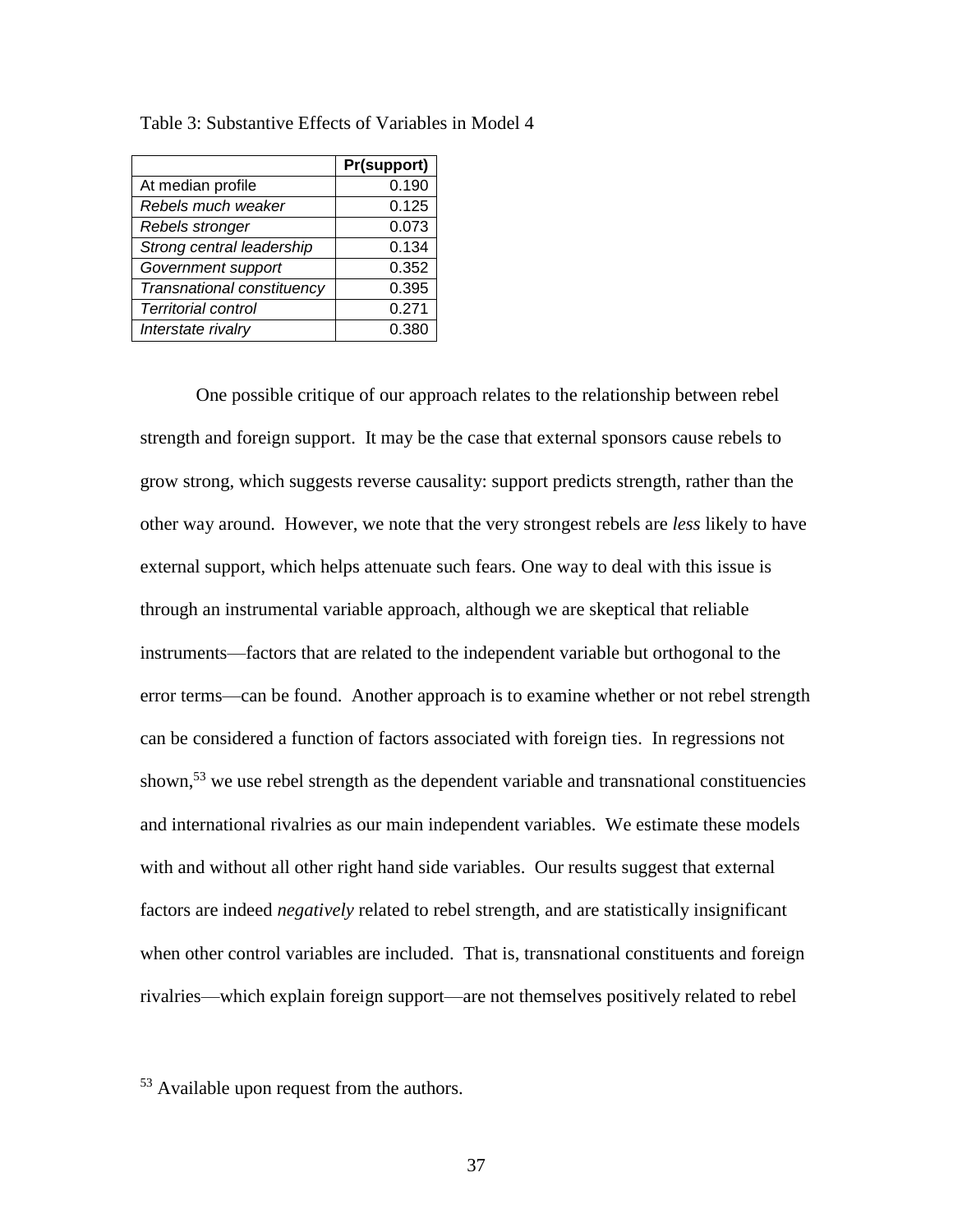|                            | Pr(support) |
|----------------------------|-------------|
| At median profile          | 0.190       |
| Rebels much weaker         | 0.125       |
| Rebels stronger            | 0.073       |
| Strong central leadership  | 0.134       |
| Government support         | 0.352       |
| Transnational constituency | 0.395       |
| <b>Territorial control</b> | 0.271       |
| Interstate rivalry         | 0.380       |

Table 3: Substantive Effects of Variables in Model 4

One possible critique of our approach relates to the relationship between rebel strength and foreign support. It may be the case that external sponsors cause rebels to grow strong, which suggests reverse causality: support predicts strength, rather than the other way around. However, we note that the very strongest rebels are *less* likely to have external support, which helps attenuate such fears. One way to deal with this issue is through an instrumental variable approach, although we are skeptical that reliable instruments—factors that are related to the independent variable but orthogonal to the error terms—can be found. Another approach is to examine whether or not rebel strength can be considered a function of factors associated with foreign ties. In regressions not shown,<sup>53</sup> we use rebel strength as the dependent variable and transnational constituencies and international rivalries as our main independent variables. We estimate these models with and without all other right hand side variables. Our results suggest that external factors are indeed *negatively* related to rebel strength, and are statistically insignificant when other control variables are included. That is, transnational constituents and foreign rivalries—which explain foreign support—are not themselves positively related to rebel

<sup>53</sup> Available upon request from the authors.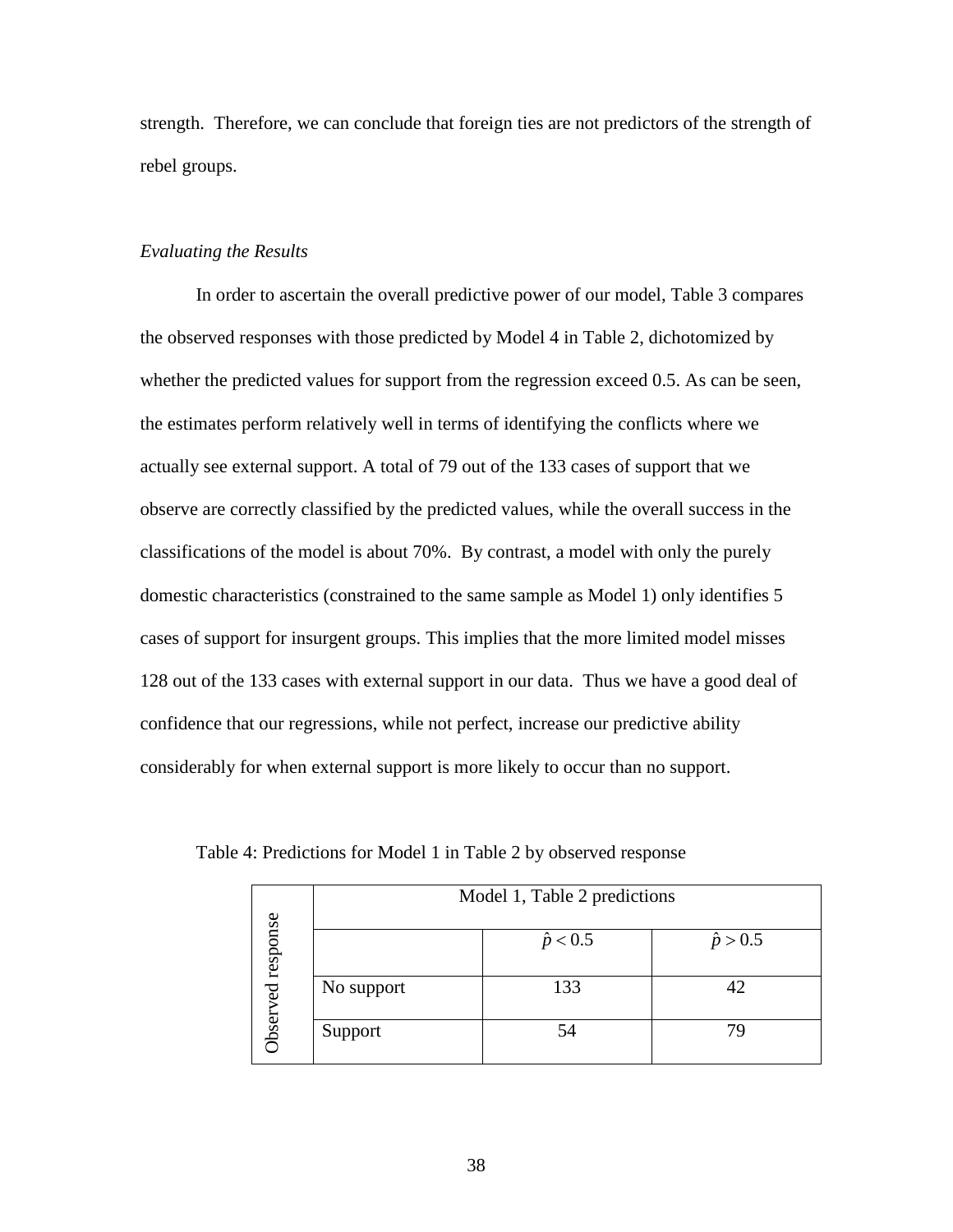strength. Therefore, we can conclude that foreign ties are not predictors of the strength of rebel groups.

## *Evaluating the Results*

In order to ascertain the overall predictive power of our model, Table 3 compares the observed responses with those predicted by Model 4 in Table 2, dichotomized by whether the predicted values for support from the regression exceed 0.5. As can be seen, the estimates perform relatively well in terms of identifying the conflicts where we actually see external support. A total of 79 out of the 133 cases of support that we observe are correctly classified by the predicted values, while the overall success in the classifications of the model is about 70%. By contrast, a model with only the purely domestic characteristics (constrained to the same sample as Model 1) only identifies 5 cases of support for insurgent groups. This implies that the more limited model misses 128 out of the 133 cases with external support in our data. Thus we have a good deal of confidence that our regressions, while not perfect, increase our predictive ability considerably for when external support is more likely to occur than no support.

|               | Model 1, Table 2 predictions |                 |                 |  |  |  |
|---------------|------------------------------|-----------------|-----------------|--|--|--|
| response      |                              | $\hat{p}$ < 0.5 | $\hat{p} > 0.5$ |  |  |  |
| $\mathbf{B}$  | No support                   | 133             | 42              |  |  |  |
| <b>Jbserv</b> | Support                      | 54              | 79              |  |  |  |

Table 4: Predictions for Model 1 in Table 2 by observed response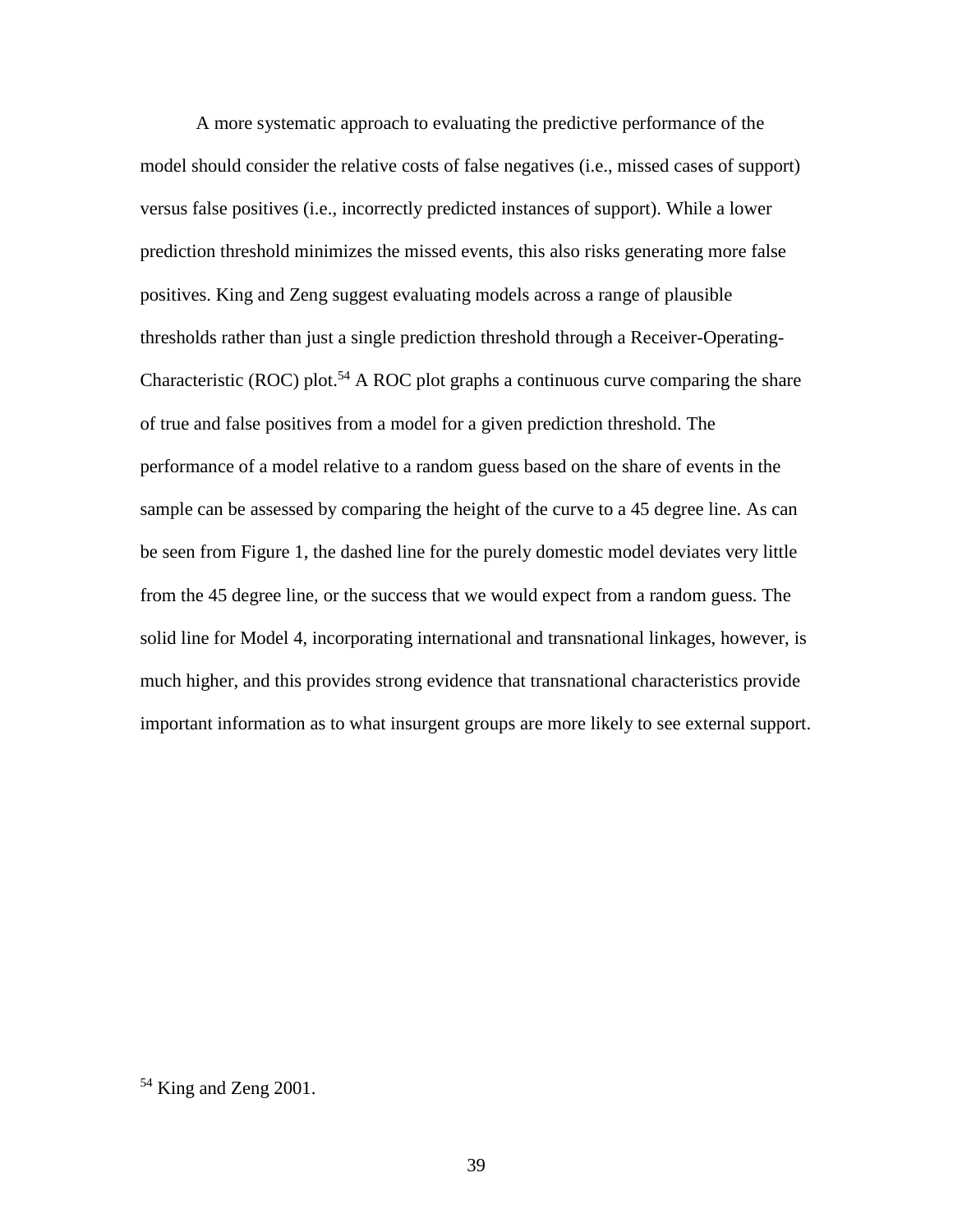A more systematic approach to evaluating the predictive performance of the model should consider the relative costs of false negatives (i.e., missed cases of support) versus false positives (i.e., incorrectly predicted instances of support). While a lower prediction threshold minimizes the missed events, this also risks generating more false positives. King and Zeng suggest evaluating models across a range of plausible thresholds rather than just a single prediction threshold through a Receiver-Operating-Characteristic (ROC) plot.<sup>54</sup> A ROC plot graphs a continuous curve comparing the share of true and false positives from a model for a given prediction threshold. The performance of a model relative to a random guess based on the share of events in the sample can be assessed by comparing the height of the curve to a 45 degree line. As can be seen from Figure 1, the dashed line for the purely domestic model deviates very little from the 45 degree line, or the success that we would expect from a random guess. The solid line for Model 4, incorporating international and transnational linkages, however, is much higher, and this provides strong evidence that transnational characteristics provide important information as to what insurgent groups are more likely to see external support.

<sup>&</sup>lt;sup>54</sup> King and Zeng 2001.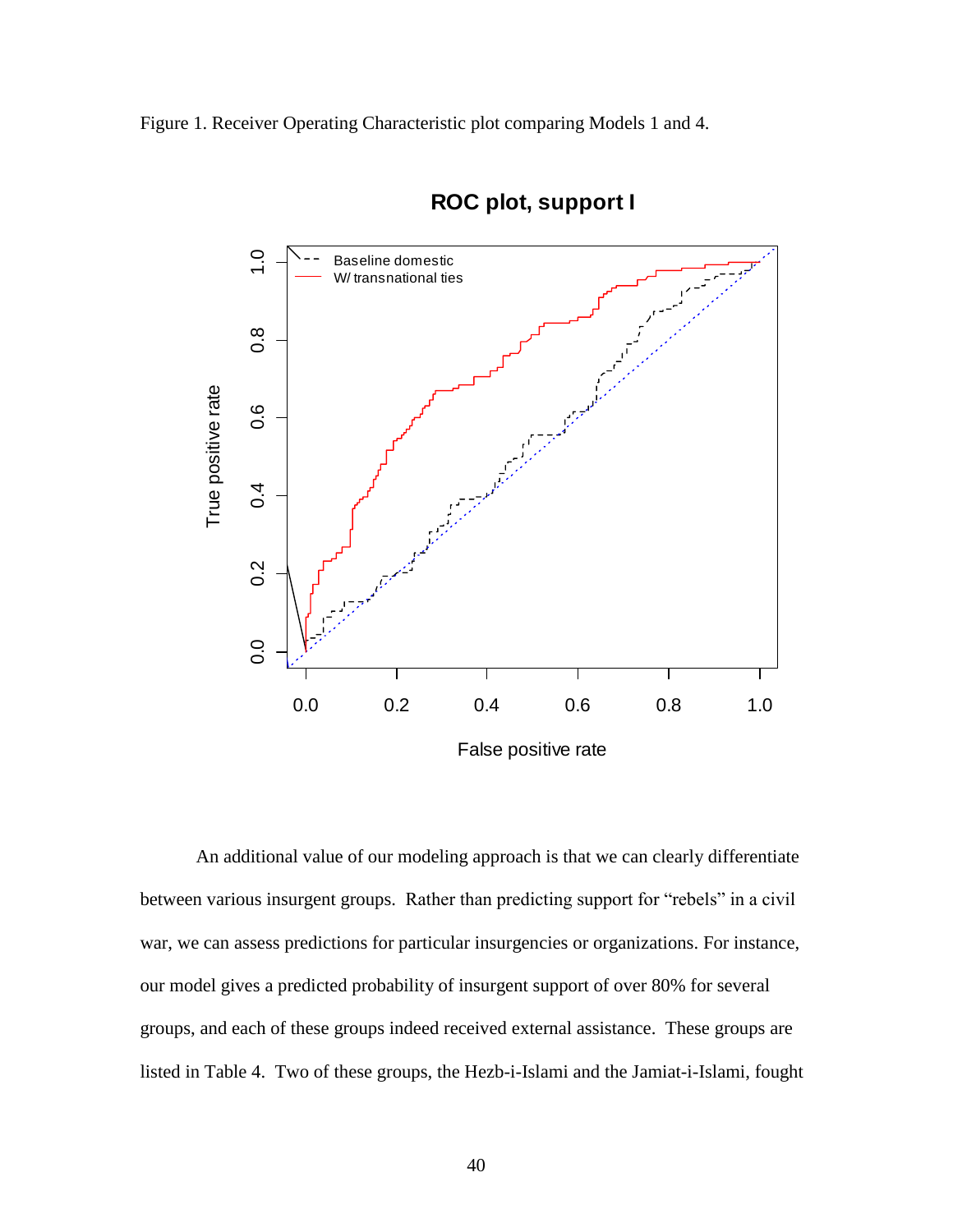Figure 1. Receiver Operating Characteristic plot comparing Models 1 and 4.



# **ROC plot, support I**

An additional value of our modeling approach is that we can clearly differentiate between various insurgent groups. Rather than predicting support for "rebels" in a civil war, we can assess predictions for particular insurgencies or organizations. For instance, our model gives a predicted probability of insurgent support of over 80% for several groups, and each of these groups indeed received external assistance. These groups are listed in Table 4. Two of these groups, the Hezb-i-Islami and the Jamiat-i-Islami, fought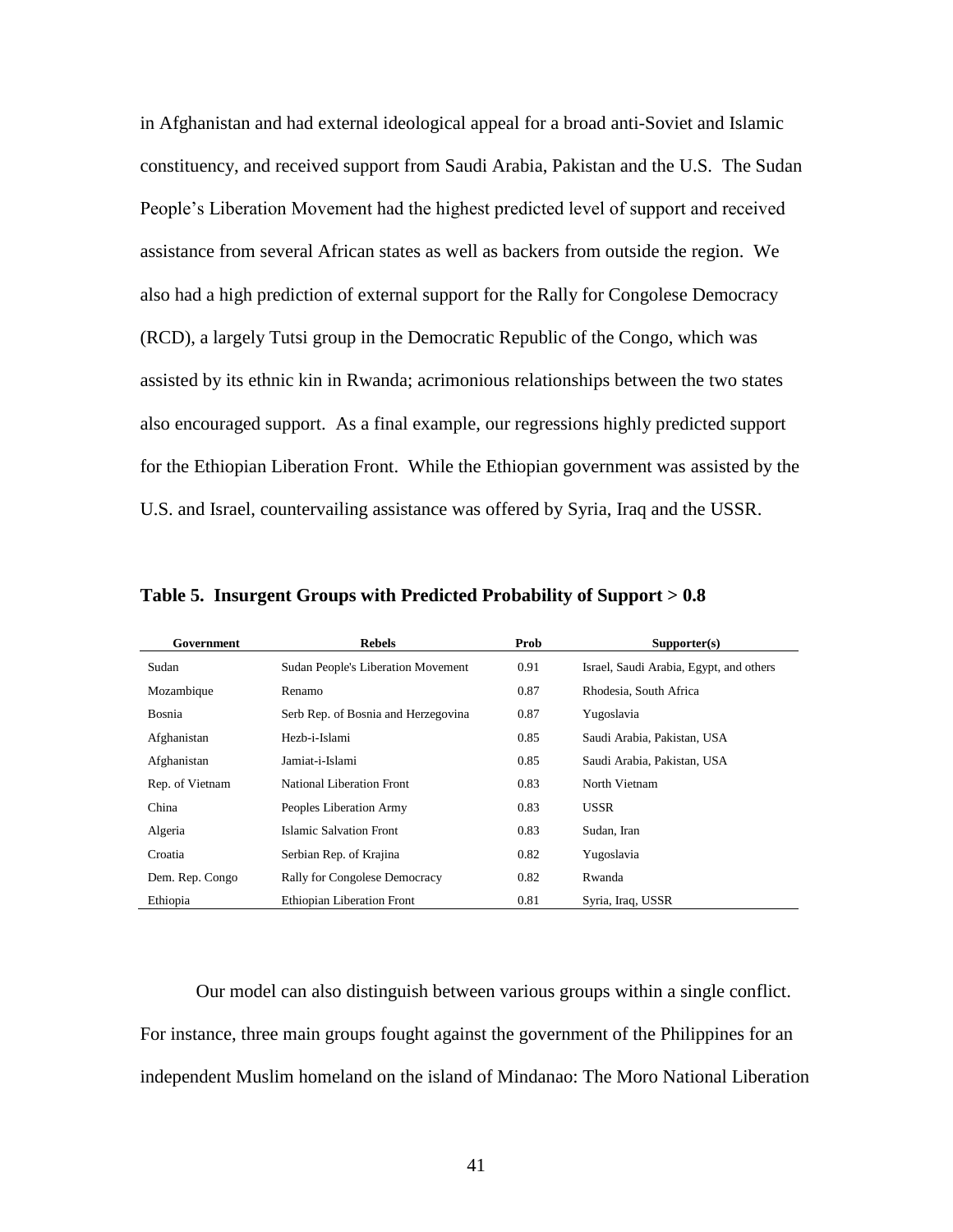in Afghanistan and had external ideological appeal for a broad anti-Soviet and Islamic constituency, and received support from Saudi Arabia, Pakistan and the U.S. The Sudan People's Liberation Movement had the highest predicted level of support and received assistance from several African states as well as backers from outside the region. We also had a high prediction of external support for the Rally for Congolese Democracy (RCD), a largely Tutsi group in the Democratic Republic of the Congo, which was assisted by its ethnic kin in Rwanda; acrimonious relationships between the two states also encouraged support. As a final example, our regressions highly predicted support for the Ethiopian Liberation Front. While the Ethiopian government was assisted by the U.S. and Israel, countervailing assistance was offered by Syria, Iraq and the USSR.

| Government      | <b>Rebels</b>                             | Prob | Supporter(s)                            |
|-----------------|-------------------------------------------|------|-----------------------------------------|
| Sudan           | <b>Sudan People's Liberation Movement</b> | 0.91 | Israel, Saudi Arabia, Egypt, and others |
| Mozambique      | Renamo                                    | 0.87 | Rhodesia, South Africa                  |
| Bosnia          | Serb Rep. of Bosnia and Herzegovina       | 0.87 | Yugoslavia                              |
| Afghanistan     | Hezb-i-Islami                             | 0.85 | Saudi Arabia, Pakistan, USA             |
| Afghanistan     | Jamiat-i-Islami                           | 0.85 | Saudi Arabia, Pakistan, USA             |
| Rep. of Vietnam | <b>National Liberation Front</b>          | 0.83 | North Vietnam                           |
| China           | Peoples Liberation Army                   | 0.83 | <b>USSR</b>                             |
| Algeria         | <b>Islamic Salvation Front</b>            | 0.83 | Sudan, Iran                             |
| Croatia         | Serbian Rep. of Krajina                   | 0.82 | Yugoslavia                              |
| Dem. Rep. Congo | <b>Rally for Congolese Democracy</b>      | 0.82 | Rwanda                                  |
| Ethiopia        | <b>Ethiopian Liberation Front</b>         | 0.81 | Syria, Iraq, USSR                       |

**Table 5. Insurgent Groups with Predicted Probability of Support > 0.8**

Our model can also distinguish between various groups within a single conflict. For instance, three main groups fought against the government of the Philippines for an independent Muslim homeland on the island of Mindanao: The Moro National Liberation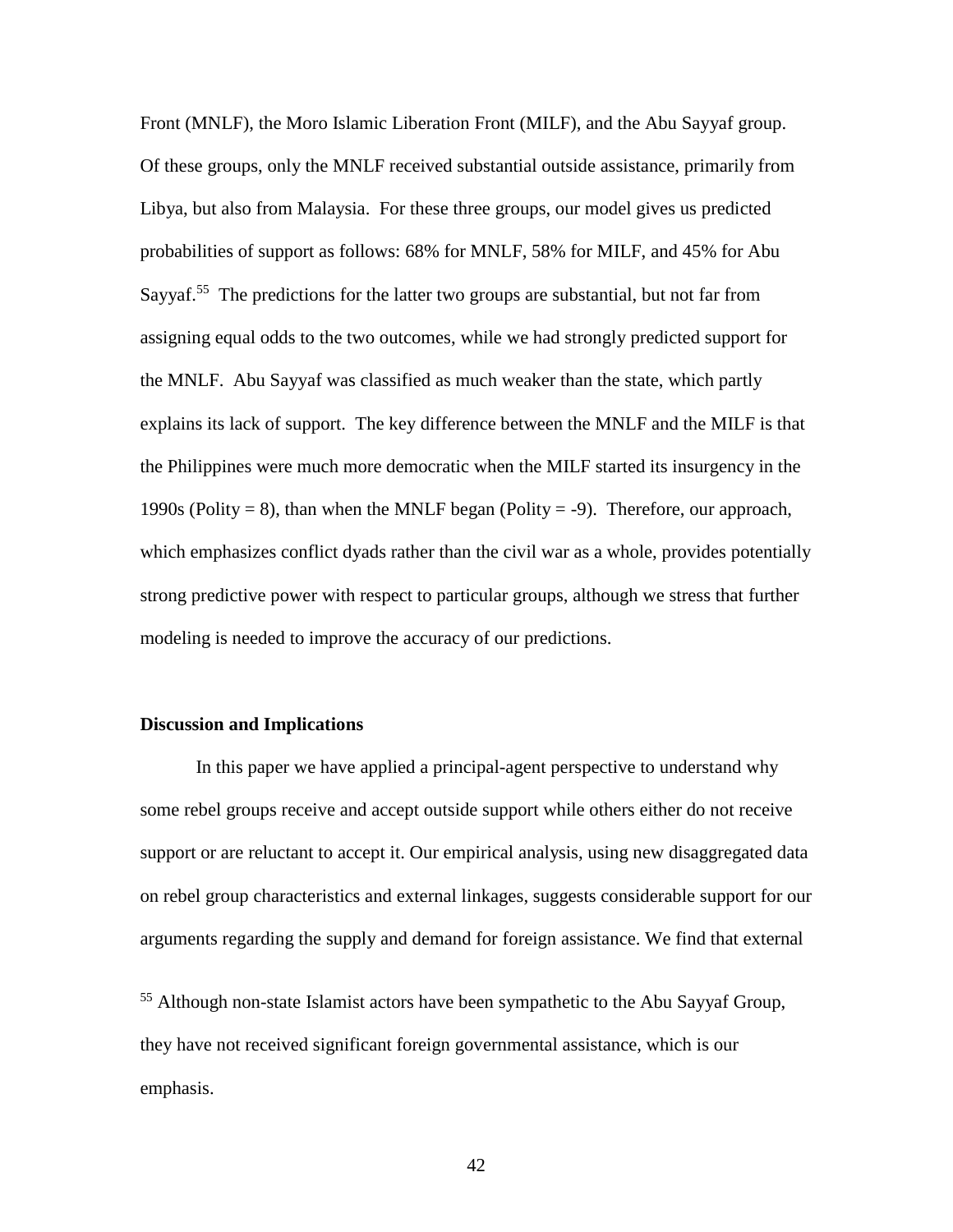Front (MNLF), the Moro Islamic Liberation Front (MILF), and the Abu Sayyaf group. Of these groups, only the MNLF received substantial outside assistance, primarily from Libya, but also from Malaysia. For these three groups, our model gives us predicted probabilities of support as follows: 68% for MNLF, 58% for MILF, and 45% for Abu Sayyaf.<sup>55</sup> The predictions for the latter two groups are substantial, but not far from assigning equal odds to the two outcomes, while we had strongly predicted support for the MNLF. Abu Sayyaf was classified as much weaker than the state, which partly explains its lack of support. The key difference between the MNLF and the MILF is that the Philippines were much more democratic when the MILF started its insurgency in the 1990s (Polity = 8), than when the MNLF began (Polity = -9). Therefore, our approach, which emphasizes conflict dyads rather than the civil war as a whole, provides potentially strong predictive power with respect to particular groups, although we stress that further modeling is needed to improve the accuracy of our predictions.

### **Discussion and Implications**

In this paper we have applied a principal-agent perspective to understand why some rebel groups receive and accept outside support while others either do not receive support or are reluctant to accept it. Our empirical analysis, using new disaggregated data on rebel group characteristics and external linkages, suggests considerable support for our arguments regarding the supply and demand for foreign assistance. We find that external

<sup>55</sup> Although non-state Islamist actors have been sympathetic to the Abu Sayyaf Group, they have not received significant foreign governmental assistance, which is our emphasis.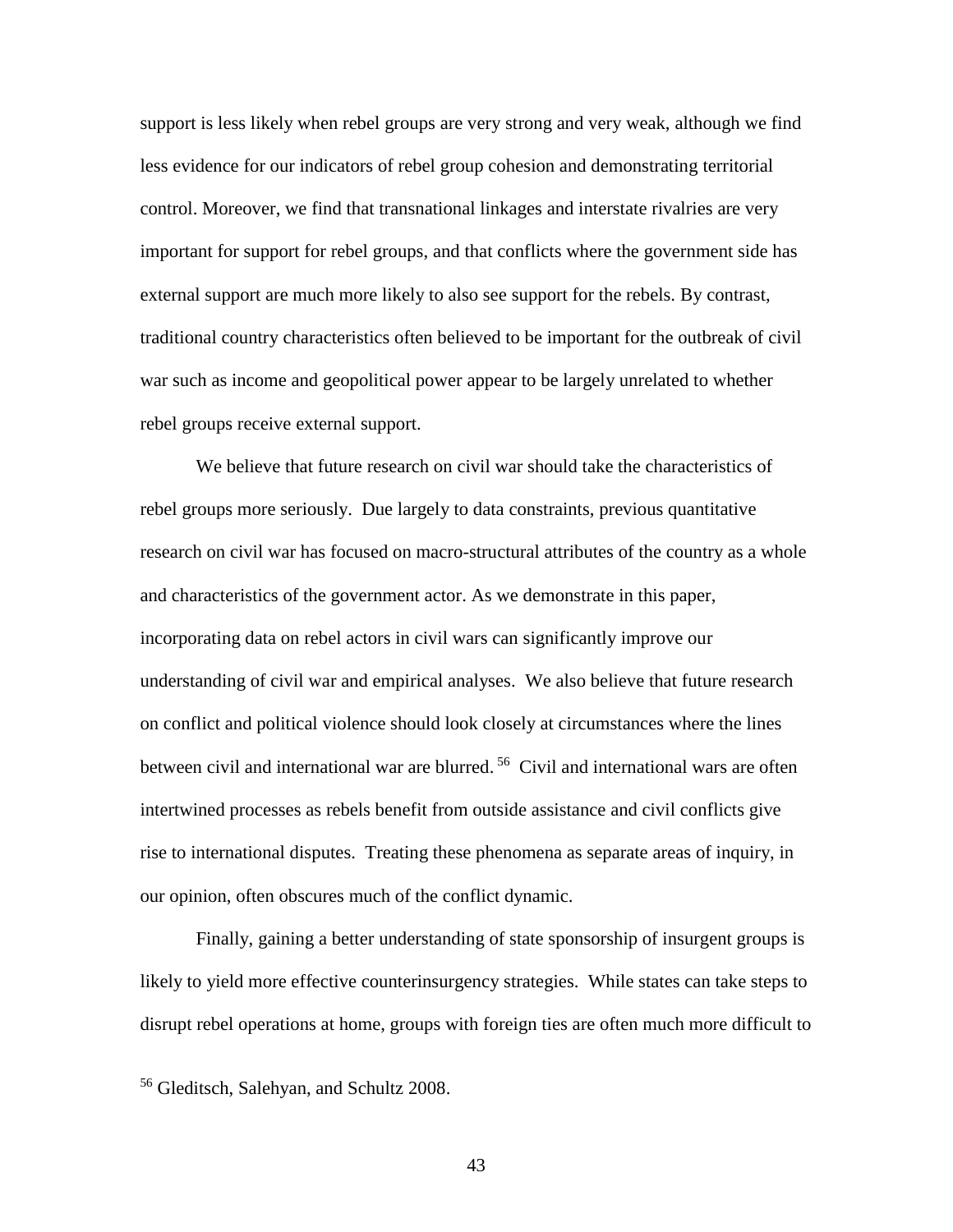support is less likely when rebel groups are very strong and very weak, although we find less evidence for our indicators of rebel group cohesion and demonstrating territorial control. Moreover, we find that transnational linkages and interstate rivalries are very important for support for rebel groups, and that conflicts where the government side has external support are much more likely to also see support for the rebels. By contrast, traditional country characteristics often believed to be important for the outbreak of civil war such as income and geopolitical power appear to be largely unrelated to whether rebel groups receive external support.

We believe that future research on civil war should take the characteristics of rebel groups more seriously. Due largely to data constraints, previous quantitative research on civil war has focused on macro-structural attributes of the country as a whole and characteristics of the government actor. As we demonstrate in this paper, incorporating data on rebel actors in civil wars can significantly improve our understanding of civil war and empirical analyses. We also believe that future research on conflict and political violence should look closely at circumstances where the lines between civil and international war are blurred. <sup>56</sup> Civil and international wars are often intertwined processes as rebels benefit from outside assistance and civil conflicts give rise to international disputes. Treating these phenomena as separate areas of inquiry, in our opinion, often obscures much of the conflict dynamic.

Finally, gaining a better understanding of state sponsorship of insurgent groups is likely to yield more effective counterinsurgency strategies. While states can take steps to disrupt rebel operations at home, groups with foreign ties are often much more difficult to

<sup>56</sup> Gleditsch, Salehyan, and Schultz 2008.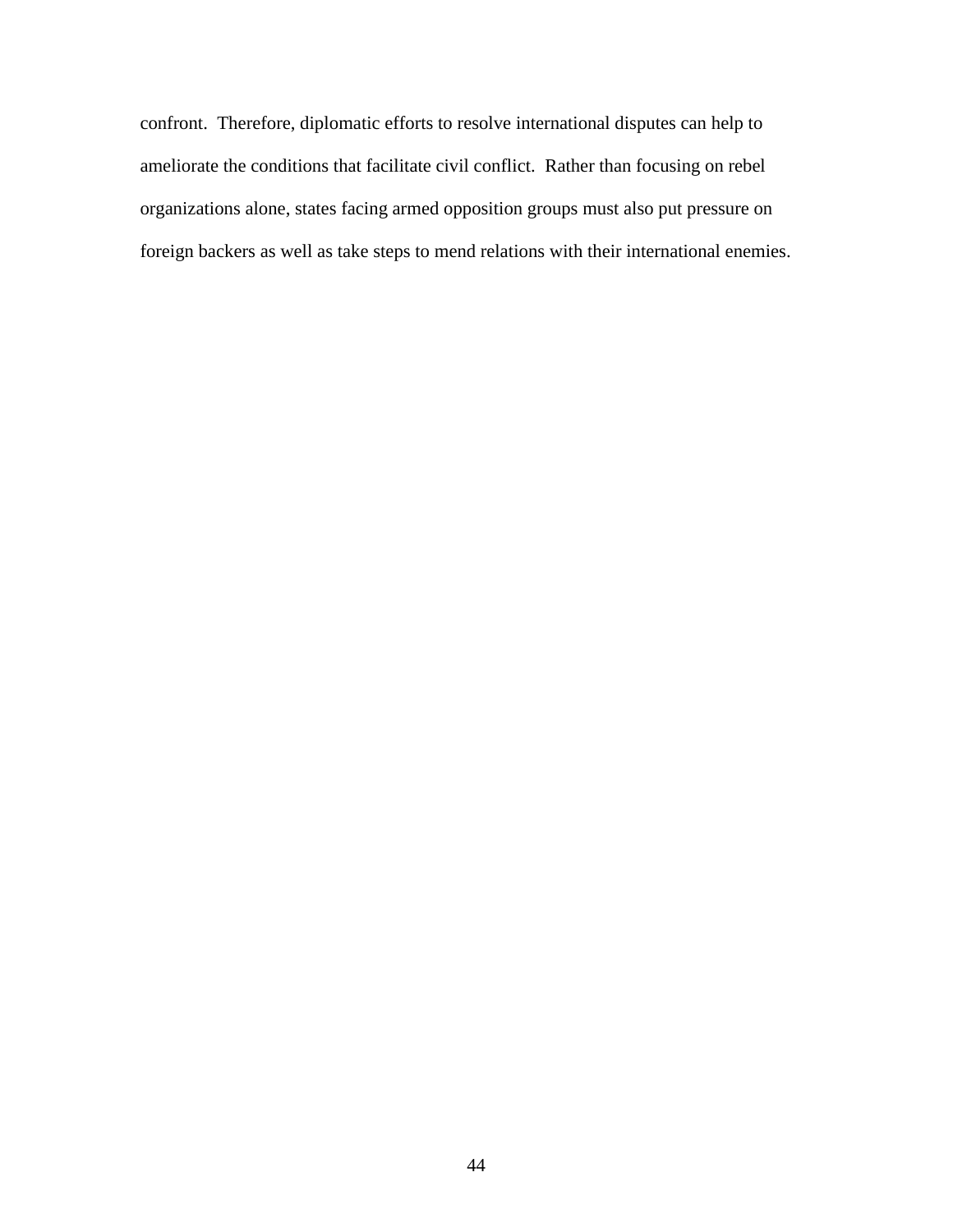confront. Therefore, diplomatic efforts to resolve international disputes can help to ameliorate the conditions that facilitate civil conflict. Rather than focusing on rebel organizations alone, states facing armed opposition groups must also put pressure on foreign backers as well as take steps to mend relations with their international enemies.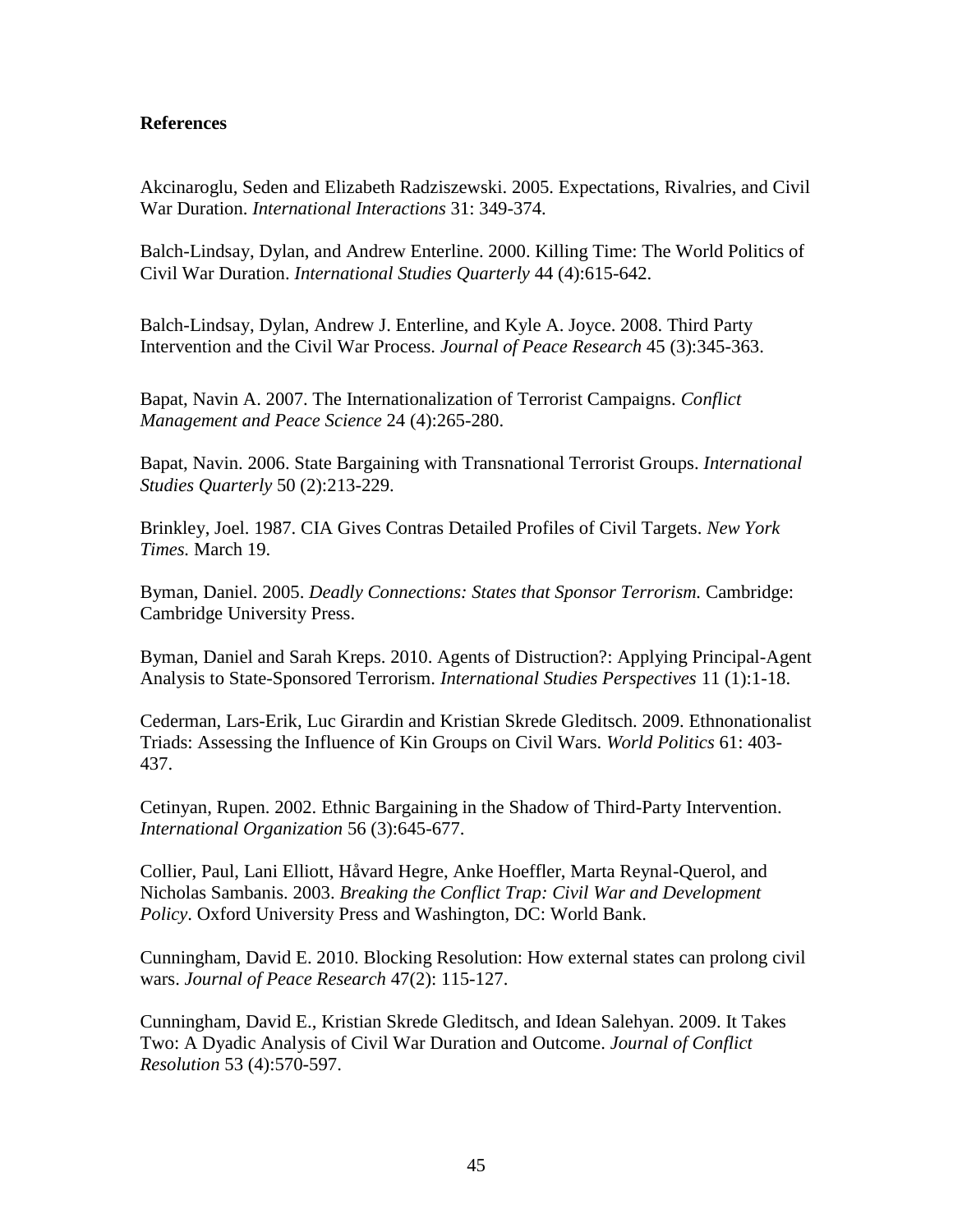## **References**

Akcinaroglu, Seden and Elizabeth Radziszewski. 2005. Expectations, Rivalries, and Civil War Duration. *International Interactions* 31: 349-374.

Balch-Lindsay, Dylan, and Andrew Enterline. 2000. Killing Time: The World Politics of Civil War Duration. *International Studies Quarterly* 44 (4):615-642.

Balch-Lindsay, Dylan, Andrew J. Enterline, and Kyle A. Joyce. 2008. Third Party Intervention and the Civil War Process. *Journal of Peace Research* 45 (3):345-363.

Bapat, Navin A. 2007. The Internationalization of Terrorist Campaigns. *Conflict Management and Peace Science* 24 (4):265-280.

Bapat, Navin. 2006. State Bargaining with Transnational Terrorist Groups. *International Studies Quarterly* 50 (2):213-229.

Brinkley, Joel. 1987. CIA Gives Contras Detailed Profiles of Civil Targets. *New York Times.* March 19.

Byman, Daniel. 2005. *Deadly Connections: States that Sponsor Terrorism.* Cambridge: Cambridge University Press.

Byman, Daniel and Sarah Kreps. 2010. Agents of Distruction?: Applying Principal-Agent Analysis to State-Sponsored Terrorism. *International Studies Perspectives* 11 (1):1-18.

Cederman, Lars-Erik, Luc Girardin and Kristian Skrede Gleditsch. 2009. Ethnonationalist Triads: Assessing the Influence of Kin Groups on Civil Wars. *World Politics* 61: 403- 437.

Cetinyan, Rupen. 2002. Ethnic Bargaining in the Shadow of Third-Party Intervention. *International Organization* 56 (3):645-677.

Collier, Paul, Lani Elliott, Håvard Hegre, Anke Hoeffler, Marta Reynal-Querol, and Nicholas Sambanis. 2003. *Breaking the Conflict Trap: Civil War and Development Policy*. Oxford University Press and Washington, DC: World Bank.

Cunningham, David E. 2010. Blocking Resolution: How external states can prolong civil wars. *Journal of Peace Research* 47(2): 115-127.

Cunningham, David E., Kristian Skrede Gleditsch, and Idean Salehyan. 2009. It Takes Two: A Dyadic Analysis of Civil War Duration and Outcome. *Journal of Conflict Resolution* 53 (4):570-597.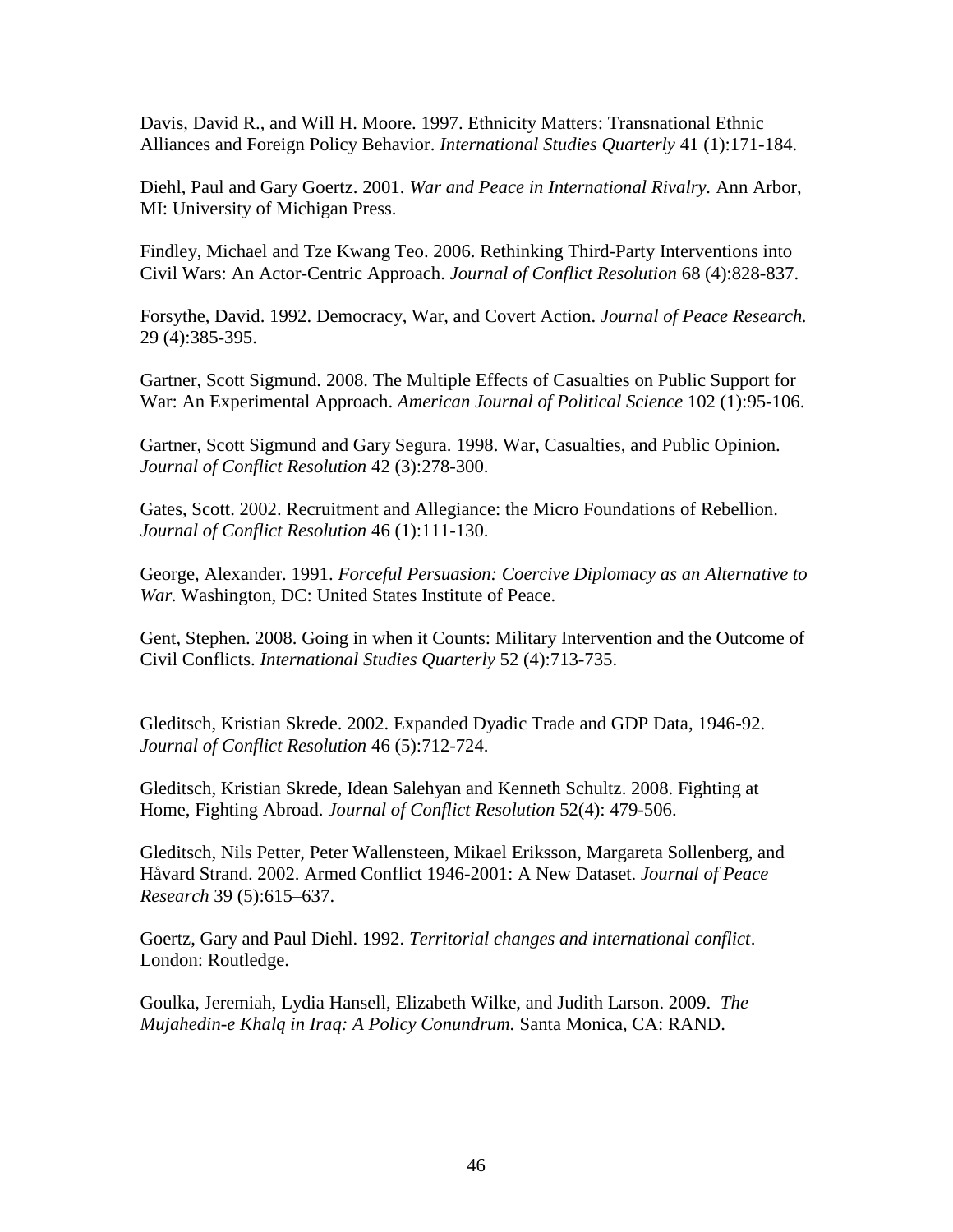Davis, David R., and Will H. Moore. 1997. Ethnicity Matters: Transnational Ethnic Alliances and Foreign Policy Behavior. *International Studies Quarterly* 41 (1):171-184.

Diehl, Paul and Gary Goertz. 2001. *War and Peace in International Rivalry.* Ann Arbor, MI: University of Michigan Press.

Findley, Michael and Tze Kwang Teo. 2006. Rethinking Third-Party Interventions into Civil Wars: An Actor-Centric Approach. *Journal of Conflict Resolution* 68 (4):828-837.

Forsythe, David. 1992. Democracy, War, and Covert Action. *Journal of Peace Research.*  29 (4):385-395.

Gartner, Scott Sigmund. 2008. The Multiple Effects of Casualties on Public Support for War: An Experimental Approach. *American Journal of Political Science* 102 (1):95-106.

Gartner, Scott Sigmund and Gary Segura. 1998. War, Casualties, and Public Opinion. *Journal of Conflict Resolution* 42 (3):278-300.

Gates, Scott. 2002. Recruitment and Allegiance: the Micro Foundations of Rebellion. *Journal of Conflict Resolution* 46 (1):111-130.

George, Alexander. 1991. *Forceful Persuasion: Coercive Diplomacy as an Alternative to War.* Washington, DC: United States Institute of Peace.

Gent, Stephen. 2008. Going in when it Counts: Military Intervention and the Outcome of Civil Conflicts. *International Studies Quarterly* 52 (4):713-735.

Gleditsch, Kristian Skrede. 2002. Expanded Dyadic Trade and GDP Data, 1946-92. *Journal of Conflict Resolution* 46 (5):712-724.

Gleditsch, Kristian Skrede, Idean Salehyan and Kenneth Schultz. 2008. Fighting at Home, Fighting Abroad. *Journal of Conflict Resolution* 52(4): 479-506.

Gleditsch, Nils Petter, Peter Wallensteen, Mikael Eriksson, Margareta Sollenberg, and Håvard Strand. 2002. Armed Conflict 1946-2001: A New Dataset. *Journal of Peace Research* 39 (5):615–637.

Goertz, Gary and Paul Diehl. 1992. *Territorial changes and international conflict*. London: Routledge.

Goulka, Jeremiah, Lydia Hansell, Elizabeth Wilke, and Judith Larson. 2009. *The Mujahedin-e Khalq in Iraq: A Policy Conundrum.* Santa Monica, CA: RAND.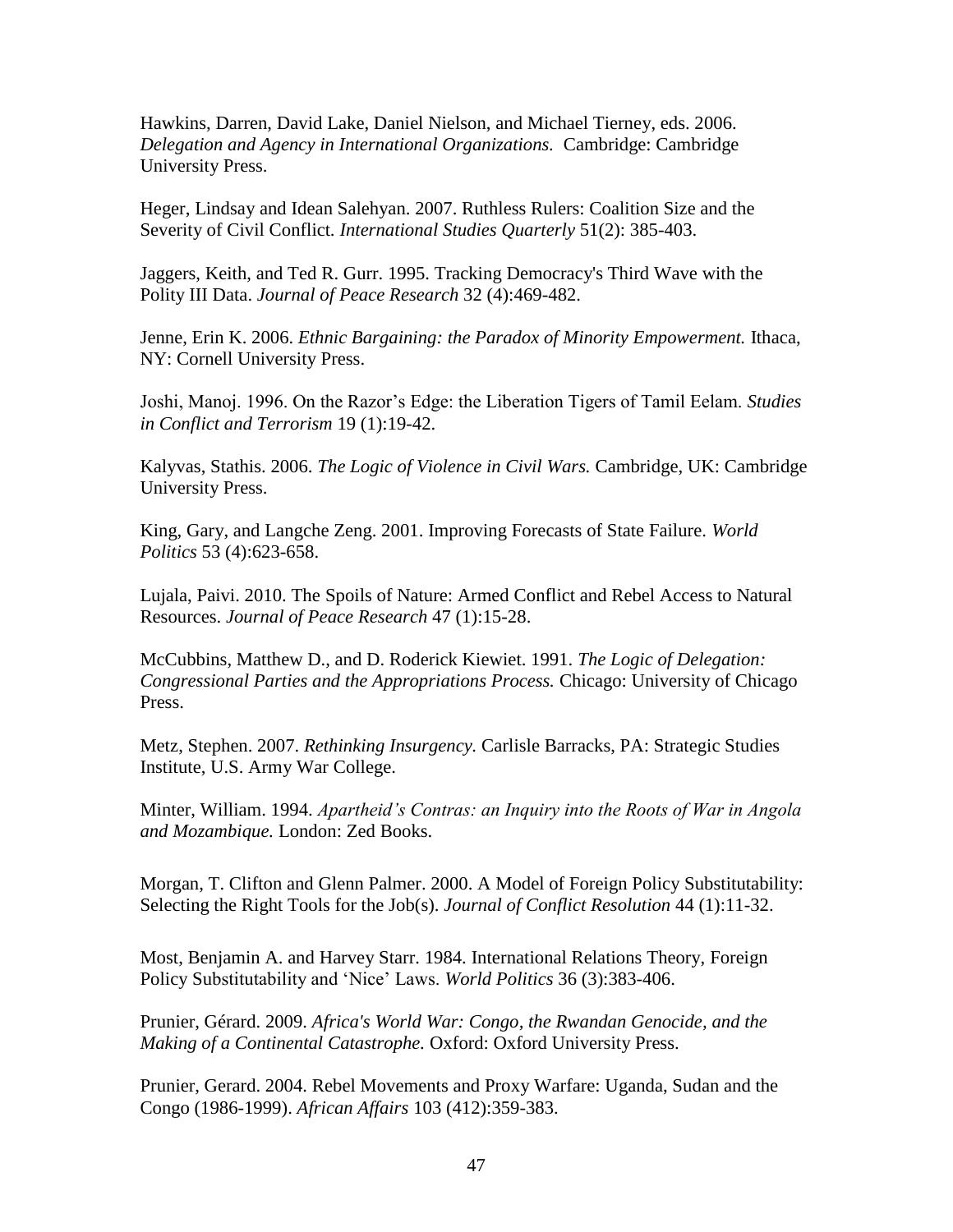Hawkins, Darren, David Lake, Daniel Nielson, and Michael Tierney, eds. 2006. *Delegation and Agency in International Organizations.* Cambridge: Cambridge University Press.

Heger, Lindsay and Idean Salehyan. 2007. Ruthless Rulers: Coalition Size and the Severity of Civil Conflict. *International Studies Quarterly* 51(2): 385-403.

Jaggers, Keith, and Ted R. Gurr. 1995. Tracking Democracy's Third Wave with the Polity III Data. *Journal of Peace Research* 32 (4):469-482.

Jenne, Erin K. 2006. *Ethnic Bargaining: the Paradox of Minority Empowerment.* Ithaca, NY: Cornell University Press.

Joshi, Manoj. 1996. On the Razor's Edge: the Liberation Tigers of Tamil Eelam. *Studies in Conflict and Terrorism* 19 (1):19-42.

Kalyvas, Stathis. 2006. *The Logic of Violence in Civil Wars.* Cambridge, UK: Cambridge University Press.

King, Gary, and Langche Zeng. 2001. Improving Forecasts of State Failure. *World Politics* 53 (4):623-658.

Lujala, Paivi. 2010. The Spoils of Nature: Armed Conflict and Rebel Access to Natural Resources. *Journal of Peace Research* 47 (1):15-28.

McCubbins, Matthew D., and D. Roderick Kiewiet. 1991. *The Logic of Delegation: Congressional Parties and the Appropriations Process.* Chicago: University of Chicago Press.

Metz, Stephen. 2007. *Rethinking Insurgency.* Carlisle Barracks, PA: Strategic Studies Institute, U.S. Army War College.

Minter, William. 1994. *Apartheid's Contras: an Inquiry into the Roots of War in Angola and Mozambique.* London: Zed Books.

Morgan, T. Clifton and Glenn Palmer. 2000. A Model of Foreign Policy Substitutability: Selecting the Right Tools for the Job(s). *Journal of Conflict Resolution* 44 (1):11-32.

Most, Benjamin A. and Harvey Starr. 1984. International Relations Theory, Foreign Policy Substitutability and 'Nice' Laws. *World Politics* 36 (3):383-406.

Prunier, Gérard. 2009. *Africa's World War: Congo, the Rwandan Genocide, and the Making of a Continental Catastrophe.* Oxford: Oxford University Press.

Prunier, Gerard. 2004. Rebel Movements and Proxy Warfare: Uganda, Sudan and the Congo (1986-1999). *African Affairs* 103 (412):359-383.